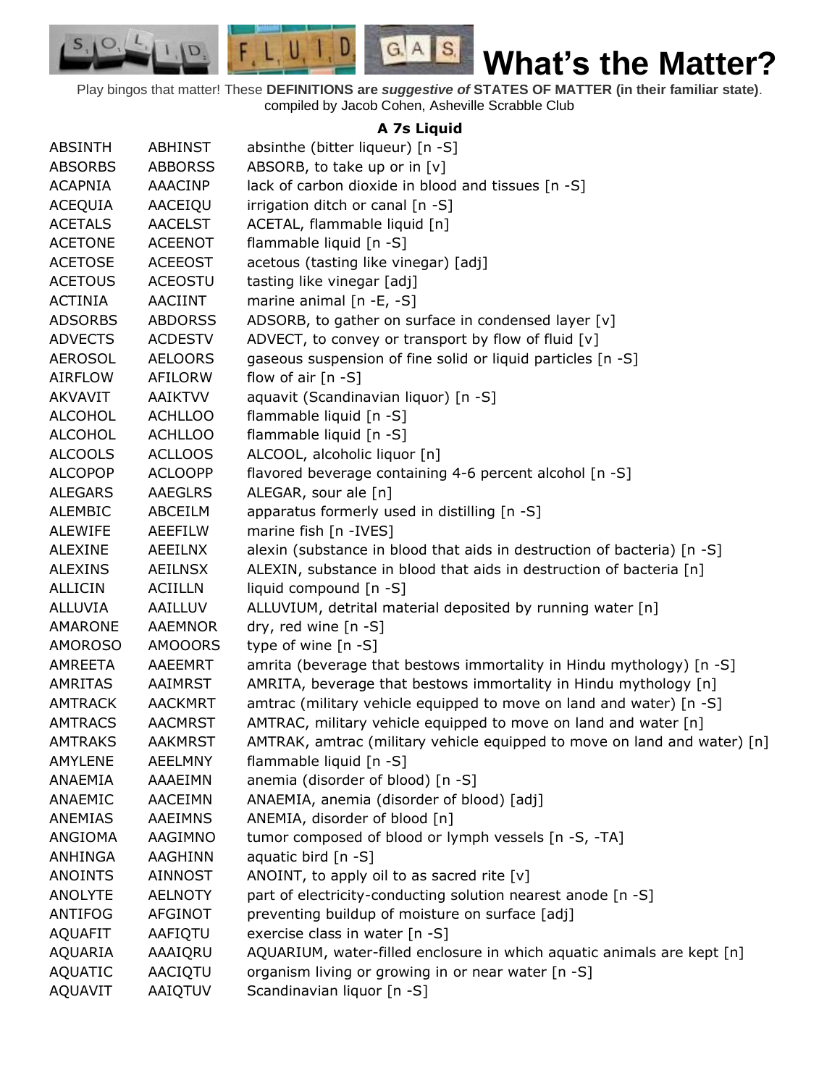$F, L, U, I, D$  $G.A.S.$ **What's the Matter?**

Play bingos that matter! These **DEFINITIONS are** *suggestive of* **STATES OF MATTER (in their familiar state)**. compiled by Jacob Cohen, Asheville Scrabble Club

 $S_{1}$  $\circ$ 

D.

## **A 7s Liquid**

| <b>ABSINTH</b> | <b>ABHINST</b> | absinthe (bitter liqueur) [n -S]                                         |
|----------------|----------------|--------------------------------------------------------------------------|
| <b>ABSORBS</b> | <b>ABBORSS</b> | ABSORB, to take up or in [v]                                             |
| <b>ACAPNIA</b> | AAACINP        | lack of carbon dioxide in blood and tissues [n -S]                       |
| <b>ACEQUIA</b> | AACEIQU        | irrigation ditch or canal [n -S]                                         |
| <b>ACETALS</b> | <b>AACELST</b> | ACETAL, flammable liquid [n]                                             |
| <b>ACETONE</b> | <b>ACEENOT</b> | flammable liquid [n -S]                                                  |
| <b>ACETOSE</b> | <b>ACEEOST</b> | acetous (tasting like vinegar) [adj]                                     |
| <b>ACETOUS</b> | <b>ACEOSTU</b> | tasting like vinegar [adj]                                               |
| <b>ACTINIA</b> | <b>AACIINT</b> | marine animal $[n -E, -S]$                                               |
| <b>ADSORBS</b> | <b>ABDORSS</b> | ADSORB, to gather on surface in condensed layer [v]                      |
| <b>ADVECTS</b> | <b>ACDESTV</b> | ADVECT, to convey or transport by flow of fluid [v]                      |
| <b>AEROSOL</b> | <b>AELOORS</b> | gaseous suspension of fine solid or liquid particles [n -S]              |
| <b>AIRFLOW</b> | AFILORW        | flow of air $[n - S]$                                                    |
| <b>AKVAVIT</b> | <b>AAIKTVV</b> | aquavit (Scandinavian liquor) [n -S]                                     |
| <b>ALCOHOL</b> | <b>ACHLLOO</b> | flammable liquid [n -S]                                                  |
| <b>ALCOHOL</b> | <b>ACHLLOO</b> | flammable liquid [n -S]                                                  |
| <b>ALCOOLS</b> | <b>ACLLOOS</b> | ALCOOL, alcoholic liquor [n]                                             |
| <b>ALCOPOP</b> | <b>ACLOOPP</b> | flavored beverage containing 4-6 percent alcohol [n -S]                  |
| <b>ALEGARS</b> | <b>AAEGLRS</b> | ALEGAR, sour ale [n]                                                     |
| <b>ALEMBIC</b> | ABCEILM        | apparatus formerly used in distilling [n -S]                             |
| <b>ALEWIFE</b> | <b>AEEFILW</b> | marine fish [n -IVES]                                                    |
| <b>ALEXINE</b> | <b>AEEILNX</b> | alexin (substance in blood that aids in destruction of bacteria) [n -S]  |
| <b>ALEXINS</b> | <b>AEILNSX</b> | ALEXIN, substance in blood that aids in destruction of bacteria [n]      |
| <b>ALLICIN</b> | <b>ACIILLN</b> | liquid compound [n -S]                                                   |
| ALLUVIA        | AAILLUV        | ALLUVIUM, detrital material deposited by running water [n]               |
| AMARONE        | AAEMNOR        | dry, red wine [n -S]                                                     |
| <b>AMOROSO</b> | <b>AMOOORS</b> | type of wine [n -S]                                                      |
| AMREETA        | AAEEMRT        | amrita (beverage that bestows immortality in Hindu mythology) [n -S]     |
| <b>AMRITAS</b> | AAIMRST        | AMRITA, beverage that bestows immortality in Hindu mythology [n]         |
| <b>AMTRACK</b> | <b>AACKMRT</b> | amtrac (military vehicle equipped to move on land and water) [n -S]      |
| <b>AMTRACS</b> | <b>AACMRST</b> | AMTRAC, military vehicle equipped to move on land and water [n]          |
| <b>AMTRAKS</b> | <b>AAKMRST</b> | AMTRAK, amtrac (military vehicle equipped to move on land and water) [n] |
| AMYLENE        | <b>AEELMNY</b> | flammable liquid [n -S]                                                  |
| ANAEMIA        | AAAEIMN        | anemia (disorder of blood) [n -S]                                        |
| ANAEMIC        | AACEIMN        | ANAEMIA, anemia (disorder of blood) [adj]                                |
| ANEMIAS        | <b>AAEIMNS</b> | ANEMIA, disorder of blood [n]                                            |
| ANGIOMA        | AAGIMNO        | tumor composed of blood or lymph vessels [n -S, -TA]                     |
| <b>ANHINGA</b> | AAGHINN        | aquatic bird [n -S]                                                      |
| <b>ANOINTS</b> | <b>AINNOST</b> | ANOINT, to apply oil to as sacred rite [v]                               |
| <b>ANOLYTE</b> | <b>AELNOTY</b> | part of electricity-conducting solution nearest anode [n -S]             |
| <b>ANTIFOG</b> | AFGINOT        | preventing buildup of moisture on surface [adj]                          |
| <b>AQUAFIT</b> | AAFIQTU        | exercise class in water [n -S]                                           |
| <b>AQUARIA</b> | AAAIQRU        | AQUARIUM, water-filled enclosure in which aquatic animals are kept [n]   |
| <b>AQUATIC</b> | AACIQTU        | organism living or growing in or near water [n -S]                       |
| <b>AQUAVIT</b> | AAIQTUV        | Scandinavian liquor [n -S]                                               |
|                |                |                                                                          |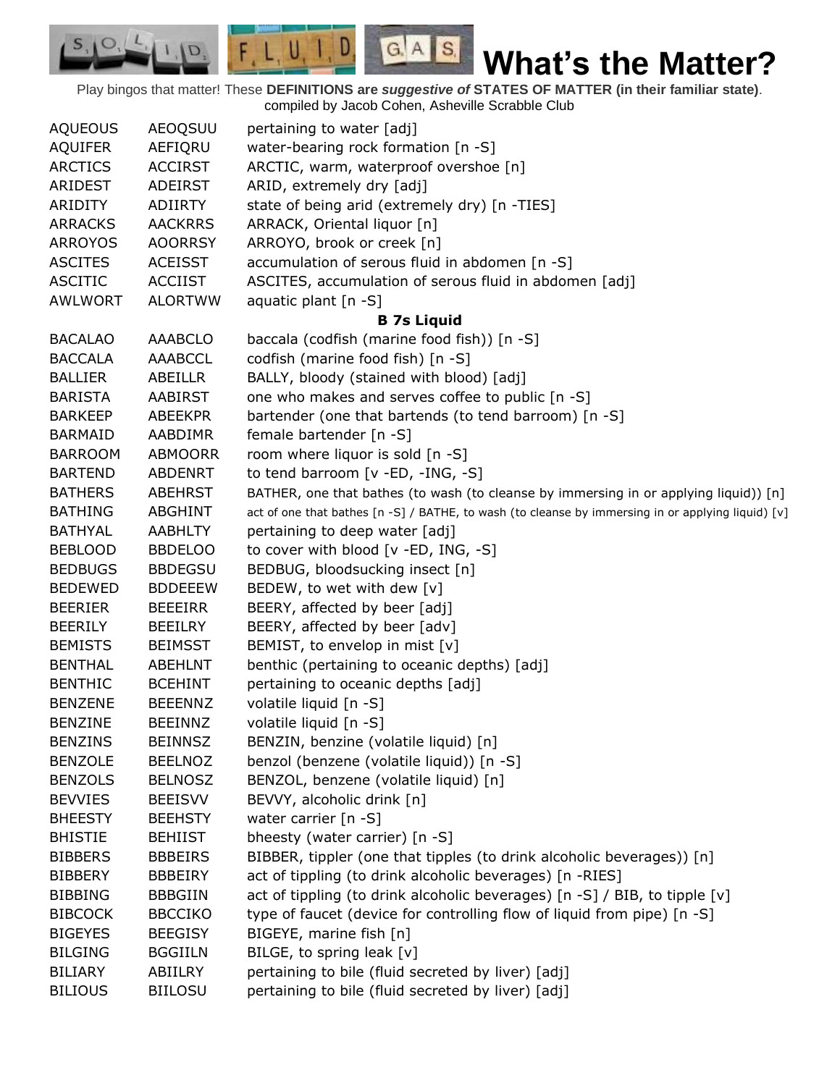Play bingos that matter! These **DEFINITIONS are** *suggestive of* **STATES OF MATTER (in their familiar state)**. compiled by Jacob Cohen, Asheville Scrabble Club

 $G.A.S.$ 

 $F, L, U, I, D$ 

D.

| <b>AQUEOUS</b> | AEOQSUU                          | pertaining to water [adj]                                                                          |
|----------------|----------------------------------|----------------------------------------------------------------------------------------------------|
| <b>AQUIFER</b> | AEFIQRU                          | water-bearing rock formation [n -S]                                                                |
| <b>ARCTICS</b> | <b>ACCIRST</b>                   | ARCTIC, warm, waterproof overshoe [n]                                                              |
| ARIDEST        | ADEIRST                          | ARID, extremely dry [adj]                                                                          |
| ARIDITY        | ADIIRTY                          | state of being arid (extremely dry) [n -TIES]                                                      |
| <b>ARRACKS</b> | <b>AACKRRS</b>                   | ARRACK, Oriental liquor [n]                                                                        |
| <b>ARROYOS</b> | <b>AOORRSY</b>                   | ARROYO, brook or creek [n]                                                                         |
| <b>ASCITES</b> | <b>ACEISST</b>                   | accumulation of serous fluid in abdomen [n -S]                                                     |
| <b>ASCITIC</b> | <b>ACCIIST</b>                   | ASCITES, accumulation of serous fluid in abdomen [adj]                                             |
| <b>AWLWORT</b> | <b>ALORTWW</b>                   | aquatic plant [n -S]                                                                               |
|                |                                  | <b>B 7s Liquid</b>                                                                                 |
| <b>BACALAO</b> | AAABCLO                          | baccala (codfish (marine food fish)) [n -S]                                                        |
| <b>BACCALA</b> | <b>AAABCCL</b>                   | codfish (marine food fish) [n -S]                                                                  |
| <b>BALLIER</b> | ABEILLR                          | BALLY, bloody (stained with blood) [adj]                                                           |
| <b>BARISTA</b> | <b>AABIRST</b>                   | one who makes and serves coffee to public [n -S]                                                   |
| <b>BARKEEP</b> | <b>ABEEKPR</b>                   | bartender (one that bartends (to tend barroom) [n -S]                                              |
| <b>BARMAID</b> | AABDIMR                          | female bartender [n -S]                                                                            |
| <b>BARROOM</b> | ABMOORR                          | room where liquor is sold [n -S]                                                                   |
| <b>BARTEND</b> | <b>ABDENRT</b>                   | to tend barroom [v -ED, -ING, -S]                                                                  |
| <b>BATHERS</b> | <b>ABEHRST</b>                   | BATHER, one that bathes (to wash (to cleanse by immersing in or applying liquid)) [n]              |
| <b>BATHING</b> | ABGHINT                          | act of one that bathes [n -S] / BATHE, to wash (to cleanse by immersing in or applying liquid) [v] |
| <b>BATHYAL</b> | <b>AABHLTY</b>                   | pertaining to deep water [adj]                                                                     |
| <b>BEBLOOD</b> | <b>BBDELOO</b>                   | to cover with blood [v -ED, ING, -S]                                                               |
| <b>BEDBUGS</b> | <b>BBDEGSU</b>                   | BEDBUG, bloodsucking insect [n]                                                                    |
| <b>BEDEWED</b> | <b>BDDEEEW</b>                   | BEDEW, to wet with dew [v]                                                                         |
| <b>BEERIER</b> | <b>BEEEIRR</b>                   | BEERY, affected by beer [adj]                                                                      |
| <b>BEERILY</b> | BEEILRY                          | BEERY, affected by beer [adv]                                                                      |
| <b>BEMISTS</b> | <b>BEIMSST</b>                   | BEMIST, to envelop in mist [v]                                                                     |
| <b>BENTHAL</b> | <b>ABEHLNT</b>                   | benthic (pertaining to oceanic depths) [adj]                                                       |
| <b>BENTHIC</b> | <b>BCEHINT</b>                   | pertaining to oceanic depths [adj]                                                                 |
| <b>BENZENE</b> | <b>BEEENNZ</b>                   | volatile liquid [n -S]                                                                             |
| <b>BENZINE</b> | <b>BEEINNZ</b>                   | volatile liquid [n -S]                                                                             |
| <b>BENZINS</b> | <b>BEINNSZ</b>                   | BENZIN, benzine (volatile liquid) [n]                                                              |
| <b>BENZOLE</b> | <b>BEELNOZ</b>                   | benzol (benzene (volatile liquid)) [n -S]                                                          |
| <b>BENZOLS</b> |                                  |                                                                                                    |
|                | <b>BELNOSZ</b><br><b>BEEISVV</b> | BENZOL, benzene (volatile liquid) [n]                                                              |
| <b>BEVVIES</b> | <b>BEEHSTY</b>                   | BEVVY, alcoholic drink [n]                                                                         |
| <b>BHEESTY</b> |                                  | water carrier $[n - S]$                                                                            |
| <b>BHISTIE</b> | <b>BEHIIST</b>                   | bheesty (water carrier) [n -S]                                                                     |
| <b>BIBBERS</b> | <b>BBBEIRS</b>                   | BIBBER, tippler (one that tipples (to drink alcoholic beverages)) [n]                              |
| <b>BIBBERY</b> | BBBEIRY                          | act of tippling (to drink alcoholic beverages) [n -RIES]                                           |
| <b>BIBBING</b> | <b>BBBGIIN</b>                   | act of tippling (to drink alcoholic beverages) [n -S] / BIB, to tipple [v]                         |
| <b>BIBCOCK</b> | <b>BBCCIKO</b>                   | type of faucet (device for controlling flow of liquid from pipe) [n -S]                            |
| <b>BIGEYES</b> | <b>BEEGISY</b>                   | BIGEYE, marine fish [n]                                                                            |
| <b>BILGING</b> | <b>BGGIILN</b>                   | BILGE, to spring leak [v]                                                                          |
| <b>BILIARY</b> | ABIILRY                          | pertaining to bile (fluid secreted by liver) [adj]                                                 |
| <b>BILIOUS</b> | <b>BIILOSU</b>                   | pertaining to bile (fluid secreted by liver) [adj]                                                 |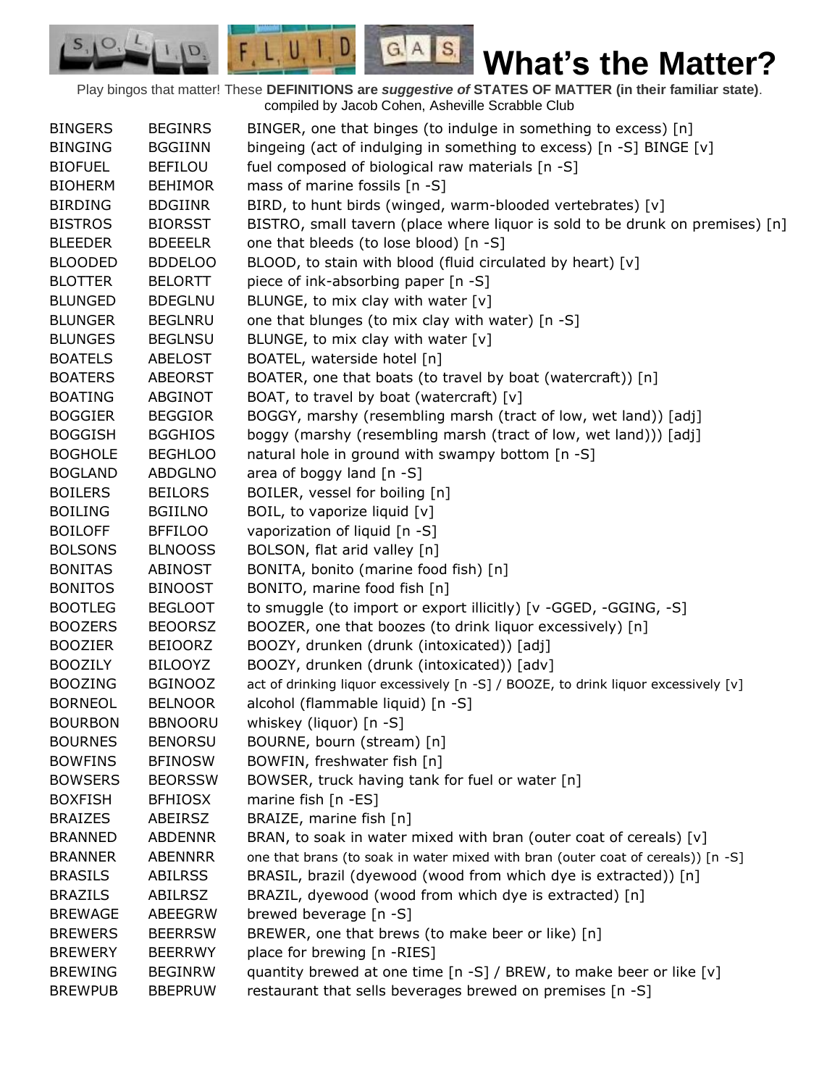Play bingos that matter! These **DEFINITIONS are** *suggestive of* **STATES OF MATTER (in their familiar state)**. compiled by Jacob Cohen, Asheville Scrabble Club

 $G.A.S.$ 

 $F, L, U, I, D$ 

D.

| <b>BINGERS</b> | <b>BEGINRS</b> | BINGER, one that binges (to indulge in something to excess) [n]                    |
|----------------|----------------|------------------------------------------------------------------------------------|
| <b>BINGING</b> | <b>BGGIINN</b> | bingeing (act of indulging in something to excess) [n -S] BINGE [v]                |
| <b>BIOFUEL</b> | <b>BEFILOU</b> | fuel composed of biological raw materials [n -S]                                   |
| <b>BIOHERM</b> | <b>BEHIMOR</b> | mass of marine fossils [n -S]                                                      |
| <b>BIRDING</b> | <b>BDGIINR</b> | BIRD, to hunt birds (winged, warm-blooded vertebrates) [v]                         |
| <b>BISTROS</b> | <b>BIORSST</b> | BISTRO, small tavern (place where liquor is sold to be drunk on premises) [n]      |
| <b>BLEEDER</b> | <b>BDEEELR</b> | one that bleeds (to lose blood) [n -S]                                             |
| <b>BLOODED</b> | <b>BDDELOO</b> | BLOOD, to stain with blood (fluid circulated by heart) [v]                         |
| <b>BLOTTER</b> | <b>BELORTT</b> | piece of ink-absorbing paper [n -S]                                                |
| <b>BLUNGED</b> | <b>BDEGLNU</b> | BLUNGE, to mix clay with water [v]                                                 |
| <b>BLUNGER</b> | <b>BEGLNRU</b> | one that blunges (to mix clay with water) [n -S]                                   |
| <b>BLUNGES</b> | <b>BEGLNSU</b> | BLUNGE, to mix clay with water [v]                                                 |
| <b>BOATELS</b> | <b>ABELOST</b> | BOATEL, waterside hotel [n]                                                        |
| <b>BOATERS</b> | <b>ABEORST</b> | BOATER, one that boats (to travel by boat (watercraft)) [n]                        |
| <b>BOATING</b> | <b>ABGINOT</b> | BOAT, to travel by boat (watercraft) [v]                                           |
| <b>BOGGIER</b> | <b>BEGGIOR</b> | BOGGY, marshy (resembling marsh (tract of low, wet land)) [adj]                    |
| <b>BOGGISH</b> | <b>BGGHIOS</b> | boggy (marshy (resembling marsh (tract of low, wet land))) [adj]                   |
| <b>BOGHOLE</b> | <b>BEGHLOO</b> | natural hole in ground with swampy bottom [n -S]                                   |
| <b>BOGLAND</b> | <b>ABDGLNO</b> | area of boggy land [n -S]                                                          |
| <b>BOILERS</b> | <b>BEILORS</b> | BOILER, vessel for boiling [n]                                                     |
| <b>BOILING</b> | <b>BGIILNO</b> | BOIL, to vaporize liquid [v]                                                       |
| <b>BOILOFF</b> | <b>BFFILOO</b> | vaporization of liquid [n -S]                                                      |
| <b>BOLSONS</b> | <b>BLNOOSS</b> | BOLSON, flat arid valley [n]                                                       |
| <b>BONITAS</b> | ABINOST        | BONITA, bonito (marine food fish) [n]                                              |
| <b>BONITOS</b> | <b>BINOOST</b> | BONITO, marine food fish [n]                                                       |
| <b>BOOTLEG</b> | <b>BEGLOOT</b> | to smuggle (to import or export illicitly) [v -GGED, -GGING, -S]                   |
| <b>BOOZERS</b> | <b>BEOORSZ</b> | BOOZER, one that boozes (to drink liquor excessively) [n]                          |
| <b>BOOZIER</b> | <b>BEIOORZ</b> | BOOZY, drunken (drunk (intoxicated)) [adj]                                         |
| <b>BOOZILY</b> | <b>BILOOYZ</b> | BOOZY, drunken (drunk (intoxicated)) [adv]                                         |
| <b>BOOZING</b> | <b>BGINOOZ</b> | act of drinking liquor excessively [n -S] / BOOZE, to drink liquor excessively [v] |
| <b>BORNEOL</b> | <b>BELNOOR</b> | alcohol (flammable liquid) [n -S]                                                  |
| <b>BOURBON</b> | <b>BBNOORU</b> | whiskey (liquor) [n -S]                                                            |
| <b>BOURNES</b> | <b>BENORSU</b> | BOURNE, bourn (stream) [n]                                                         |
| <b>BOWFINS</b> | <b>BFINOSW</b> | BOWFIN, freshwater fish [n]                                                        |
| <b>BOWSERS</b> | <b>BEORSSW</b> | BOWSER, truck having tank for fuel or water [n]                                    |
| <b>BOXFISH</b> | <b>BFHIOSX</b> | marine fish [n -ES]                                                                |
| <b>BRAIZES</b> | ABEIRSZ        | BRAIZE, marine fish [n]                                                            |
| <b>BRANNED</b> | <b>ABDENNR</b> | BRAN, to soak in water mixed with bran (outer coat of cereals) [v]                 |
| <b>BRANNER</b> | <b>ABENNRR</b> | one that brans (to soak in water mixed with bran (outer coat of cereals)) [n -S]   |
| <b>BRASILS</b> | <b>ABILRSS</b> | BRASIL, brazil (dyewood (wood from which dye is extracted)) [n]                    |
| <b>BRAZILS</b> | <b>ABILRSZ</b> | BRAZIL, dyewood (wood from which dye is extracted) [n]                             |
| <b>BREWAGE</b> | ABEEGRW        | brewed beverage [n -S]                                                             |
| <b>BREWERS</b> | <b>BEERRSW</b> | BREWER, one that brews (to make beer or like) [n]                                  |
| <b>BREWERY</b> | <b>BEERRWY</b> | place for brewing [n -RIES]                                                        |
| <b>BREWING</b> | <b>BEGINRW</b> | quantity brewed at one time [n -S] / BREW, to make beer or like [v]                |
| <b>BREWPUB</b> | <b>BBEPRUW</b> | restaurant that sells beverages brewed on premises [n -S]                          |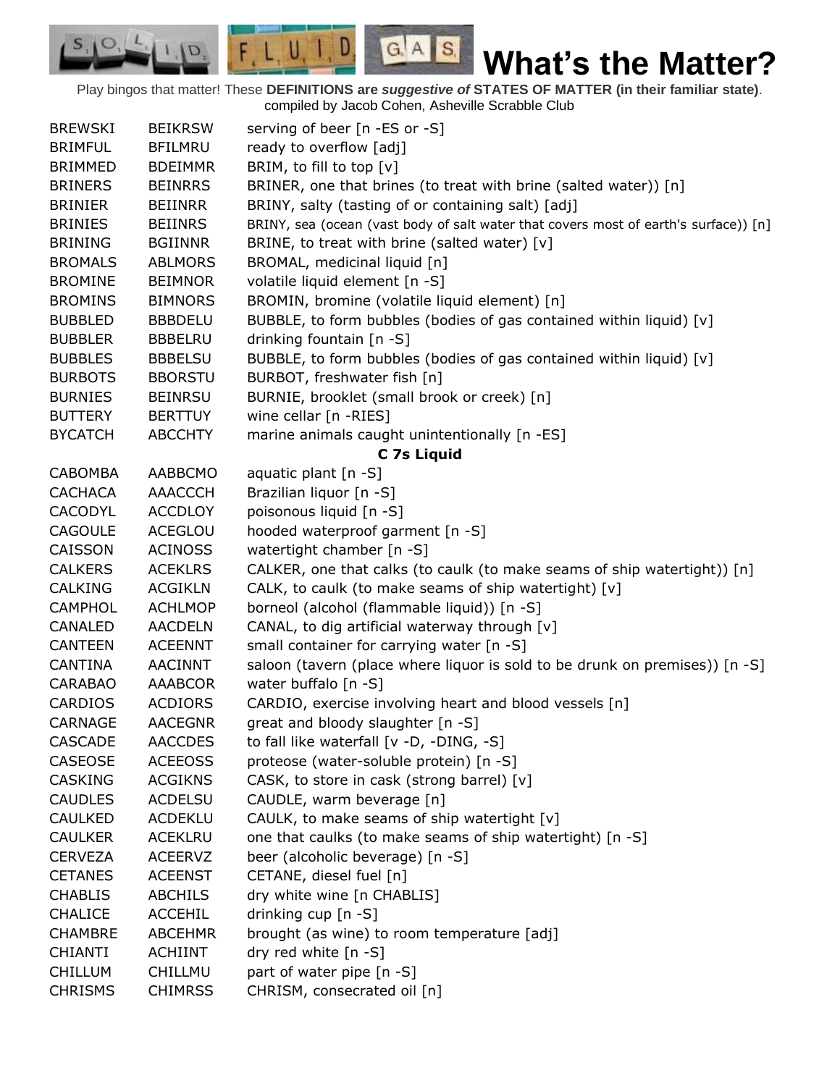Play bingos that matter! These **DEFINITIONS are** *suggestive of* **STATES OF MATTER (in their familiar state)**. compiled by Jacob Cohen, Asheville Scrabble Club

 $G.A.S.$ 

 $F, L, U, I, D$ 

D.

| <b>BREWSKI</b> | <b>BEIKRSW</b> | serving of beer [n -ES or -S]                                                        |
|----------------|----------------|--------------------------------------------------------------------------------------|
| <b>BRIMFUL</b> | <b>BFILMRU</b> | ready to overflow [adj]                                                              |
| <b>BRIMMED</b> | <b>BDEIMMR</b> | BRIM, to fill to top [v]                                                             |
| <b>BRINERS</b> | <b>BEINRRS</b> | BRINER, one that brines (to treat with brine (salted water)) [n]                     |
| <b>BRINIER</b> | <b>BEIINRR</b> | BRINY, salty (tasting of or containing salt) [adj]                                   |
| <b>BRINIES</b> | <b>BEIINRS</b> | BRINY, sea (ocean (vast body of salt water that covers most of earth's surface)) [n] |
| <b>BRINING</b> | <b>BGIINNR</b> | BRINE, to treat with brine (salted water) [v]                                        |
| <b>BROMALS</b> | <b>ABLMORS</b> | BROMAL, medicinal liquid [n]                                                         |
| <b>BROMINE</b> | <b>BEIMNOR</b> | volatile liquid element [n -S]                                                       |
| <b>BROMINS</b> | <b>BIMNORS</b> | BROMIN, bromine (volatile liquid element) [n]                                        |
| <b>BUBBLED</b> | <b>BBBDELU</b> | BUBBLE, to form bubbles (bodies of gas contained within liquid) [v]                  |
| <b>BUBBLER</b> | <b>BBBELRU</b> | drinking fountain [n -S]                                                             |
| <b>BUBBLES</b> | <b>BBBELSU</b> | BUBBLE, to form bubbles (bodies of gas contained within liquid) [v]                  |
| <b>BURBOTS</b> | <b>BBORSTU</b> | BURBOT, freshwater fish [n]                                                          |
| <b>BURNIES</b> | <b>BEINRSU</b> | BURNIE, brooklet (small brook or creek) [n]                                          |
| <b>BUTTERY</b> | <b>BERTTUY</b> | wine cellar [n -RIES]                                                                |
| <b>BYCATCH</b> | <b>ABCCHTY</b> | marine animals caught unintentionally [n -ES]                                        |
|                |                | C 7s Liquid                                                                          |
| <b>CABOMBA</b> | AABBCMO        | aquatic plant [n -S]                                                                 |
| <b>CACHACA</b> | AAACCCH        | Brazilian liquor [n -S]                                                              |
| <b>CACODYL</b> | <b>ACCDLOY</b> | poisonous liquid [n -S]                                                              |
| <b>CAGOULE</b> | ACEGLOU        | hooded waterproof garment [n -S]                                                     |
| CAISSON        | <b>ACINOSS</b> | watertight chamber [n -S]                                                            |
| <b>CALKERS</b> | <b>ACEKLRS</b> | CALKER, one that calks (to caulk (to make seams of ship watertight)) [n]             |
| CALKING        | <b>ACGIKLN</b> | CALK, to caulk (to make seams of ship watertight) [v]                                |
| <b>CAMPHOL</b> | <b>ACHLMOP</b> | borneol (alcohol (flammable liquid)) [n -S]                                          |
| CANALED        | <b>AACDELN</b> | CANAL, to dig artificial waterway through [v]                                        |
| <b>CANTEEN</b> | <b>ACEENNT</b> | small container for carrying water [n -S]                                            |
| <b>CANTINA</b> | <b>AACINNT</b> | saloon (tavern (place where liquor is sold to be drunk on premises)) [n -S]          |
| <b>CARABAO</b> | <b>AAABCOR</b> | water buffalo [n -S]                                                                 |
| <b>CARDIOS</b> | <b>ACDIORS</b> | CARDIO, exercise involving heart and blood vessels [n]                               |
| <b>CARNAGE</b> | <b>AACEGNR</b> | great and bloody slaughter [n -S]                                                    |
| <b>CASCADE</b> | <b>AACCDES</b> | to fall like waterfall [v -D, -DING, -S]                                             |
| CASEOSE        | <b>ACEEOSS</b> | proteose (water-soluble protein) [n -S]                                              |
| <b>CASKING</b> | <b>ACGIKNS</b> | CASK, to store in cask (strong barrel) [v]                                           |
| <b>CAUDLES</b> | <b>ACDELSU</b> | CAUDLE, warm beverage [n]                                                            |
| <b>CAULKED</b> | <b>ACDEKLU</b> | CAULK, to make seams of ship watertight [v]                                          |
| <b>CAULKER</b> | <b>ACEKLRU</b> | one that caulks (to make seams of ship watertight) [n -S]                            |
| <b>CERVEZA</b> | <b>ACEERVZ</b> | beer (alcoholic beverage) [n -S]                                                     |
| <b>CETANES</b> | <b>ACEENST</b> | CETANE, diesel fuel [n]                                                              |
| <b>CHABLIS</b> | <b>ABCHILS</b> | dry white wine [n CHABLIS]                                                           |
| <b>CHALICE</b> | <b>ACCEHIL</b> | drinking cup [n -S]                                                                  |
| <b>CHAMBRE</b> | <b>ABCEHMR</b> | brought (as wine) to room temperature [adj]                                          |
| <b>CHIANTI</b> | <b>ACHIINT</b> | dry red white [n -S]                                                                 |
| <b>CHILLUM</b> | CHILLMU        | part of water pipe [n -S]                                                            |
| <b>CHRISMS</b> | <b>CHIMRSS</b> | CHRISM, consecrated oil [n]                                                          |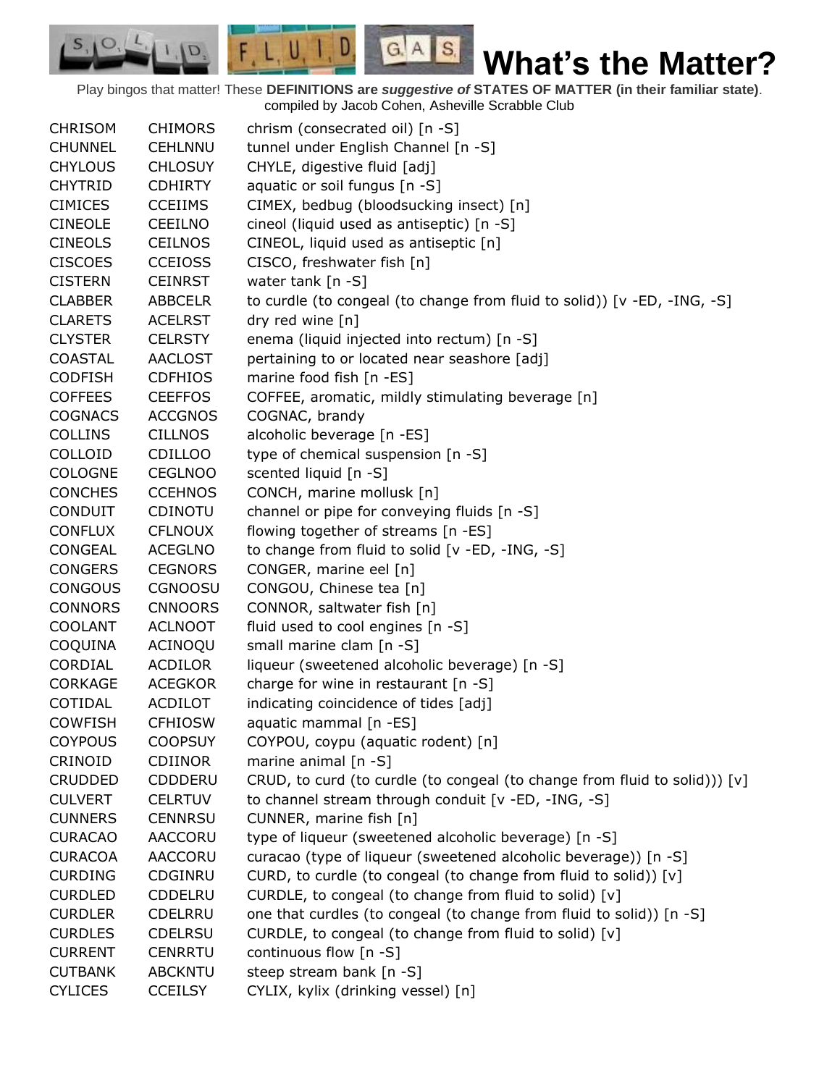Play bingos that matter! These **DEFINITIONS are** *suggestive of* **STATES OF MATTER (in their familiar state)**. compiled by Jacob Cohen, Asheville Scrabble Club

 $G.A.S.$ 

 $F, L, U, I, D$ 

D.

| <b>CHRISOM</b> | <b>CHIMORS</b> | chrism (consecrated oil) [n -S]                                            |
|----------------|----------------|----------------------------------------------------------------------------|
| <b>CHUNNEL</b> | <b>CEHLNNU</b> | tunnel under English Channel [n -S]                                        |
| <b>CHYLOUS</b> | <b>CHLOSUY</b> | CHYLE, digestive fluid [adj]                                               |
| <b>CHYTRID</b> | <b>CDHIRTY</b> | aquatic or soil fungus [n -S]                                              |
| <b>CIMICES</b> | <b>CCEIIMS</b> | CIMEX, bedbug (bloodsucking insect) [n]                                    |
| <b>CINEOLE</b> | <b>CEEILNO</b> | cineol (liquid used as antiseptic) [n -S]                                  |
| <b>CINEOLS</b> | <b>CEILNOS</b> | CINEOL, liquid used as antiseptic [n]                                      |
| <b>CISCOES</b> | <b>CCEIOSS</b> | CISCO, freshwater fish [n]                                                 |
| <b>CISTERN</b> | <b>CEINRST</b> | water tank [n -S]                                                          |
| <b>CLABBER</b> | <b>ABBCELR</b> | to curdle (to congeal (to change from fluid to solid)) [v -ED, -ING, -S]   |
| <b>CLARETS</b> | <b>ACELRST</b> | dry red wine [n]                                                           |
| <b>CLYSTER</b> | <b>CELRSTY</b> | enema (liquid injected into rectum) [n -S]                                 |
| COASTAL        | <b>AACLOST</b> | pertaining to or located near seashore [adj]                               |
| <b>CODFISH</b> | <b>CDFHIOS</b> | marine food fish [n -ES]                                                   |
| <b>COFFEES</b> | <b>CEEFFOS</b> | COFFEE, aromatic, mildly stimulating beverage [n]                          |
| <b>COGNACS</b> | <b>ACCGNOS</b> | COGNAC, brandy                                                             |
| <b>COLLINS</b> | <b>CILLNOS</b> | alcoholic beverage [n -ES]                                                 |
| COLLOID        | <b>CDILLOO</b> | type of chemical suspension [n -S]                                         |
| <b>COLOGNE</b> | <b>CEGLNOO</b> | scented liquid [n -S]                                                      |
| <b>CONCHES</b> | <b>CCEHNOS</b> | CONCH, marine mollusk [n]                                                  |
| <b>CONDUIT</b> | CDINOTU        | channel or pipe for conveying fluids [n -S]                                |
| <b>CONFLUX</b> | <b>CFLNOUX</b> | flowing together of streams [n -ES]                                        |
| <b>CONGEAL</b> | <b>ACEGLNO</b> | to change from fluid to solid [v -ED, -ING, -S]                            |
| <b>CONGERS</b> | <b>CEGNORS</b> | CONGER, marine eel [n]                                                     |
| <b>CONGOUS</b> | <b>CGNOOSU</b> | CONGOU, Chinese tea [n]                                                    |
| <b>CONNORS</b> | <b>CNNOORS</b> | CONNOR, saltwater fish [n]                                                 |
| <b>COOLANT</b> | <b>ACLNOOT</b> | fluid used to cool engines [n -S]                                          |
| COQUINA        | ACINOQU        | small marine clam [n -S]                                                   |
| CORDIAL        | <b>ACDILOR</b> | liqueur (sweetened alcoholic beverage) [n -S]                              |
| <b>CORKAGE</b> | <b>ACEGKOR</b> | charge for wine in restaurant [n -S]                                       |
| COTIDAL        | <b>ACDILOT</b> | indicating coincidence of tides [adj]                                      |
| <b>COWFISH</b> | <b>CFHIOSW</b> | aquatic mammal [n -ES]                                                     |
| <b>COYPOUS</b> | <b>COOPSUY</b> | COYPOU, coypu (aquatic rodent) [n]                                         |
| CRINOID        | <b>CDIINOR</b> | marine animal $[n - S]$                                                    |
| <b>CRUDDED</b> |                |                                                                            |
|                | CDDDERU        | CRUD, to curd (to curdle (to congeal (to change from fluid to solid))) [v] |
| <b>CULVERT</b> | <b>CELRTUV</b> | to channel stream through conduit [v -ED, -ING, -S]                        |
| <b>CUNNERS</b> | <b>CENNRSU</b> | CUNNER, marine fish [n]                                                    |
| <b>CURACAO</b> | <b>AACCORU</b> | type of liqueur (sweetened alcoholic beverage) [n -S]                      |
| <b>CURACOA</b> | AACCORU        | curacao (type of liqueur (sweetened alcoholic beverage)) [n -S]            |
| <b>CURDING</b> | CDGINRU        | CURD, to curdle (to congeal (to change from fluid to solid)) [v]           |
| <b>CURDLED</b> | <b>CDDELRU</b> | CURDLE, to congeal (to change from fluid to solid) [v]                     |
| <b>CURDLER</b> | CDELRRU        | one that curdles (to congeal (to change from fluid to solid)) [n -S]       |
| <b>CURDLES</b> | <b>CDELRSU</b> | CURDLE, to congeal (to change from fluid to solid) [v]                     |
| <b>CURRENT</b> | CENRRTU        | continuous flow [n -S]                                                     |
| <b>CUTBANK</b> | <b>ABCKNTU</b> | steep stream bank [n -S]                                                   |
| <b>CYLICES</b> | <b>CCEILSY</b> | CYLIX, kylix (drinking vessel) [n]                                         |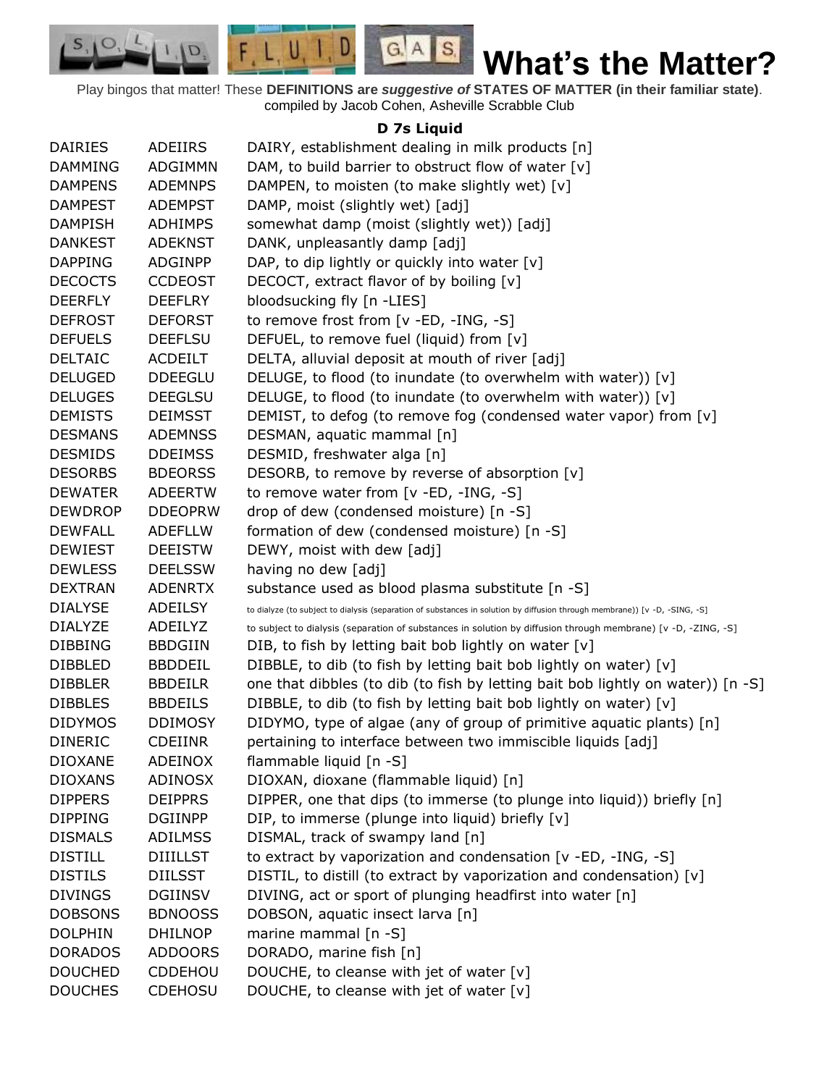

Play bingos that matter! These **DEFINITIONS are** *suggestive of* **STATES OF MATTER (in their familiar state)**. compiled by Jacob Cohen, Asheville Scrabble Club

## **D 7s Liquid**

| <b>DAIRIES</b> | ADEIIRS         | DAIRY, establishment dealing in milk products [n]                                                                          |
|----------------|-----------------|----------------------------------------------------------------------------------------------------------------------------|
| <b>DAMMING</b> | ADGIMMN         | DAM, to build barrier to obstruct flow of water [v]                                                                        |
| <b>DAMPENS</b> | <b>ADEMNPS</b>  | DAMPEN, to moisten (to make slightly wet) [v]                                                                              |
| <b>DAMPEST</b> | <b>ADEMPST</b>  | DAMP, moist (slightly wet) [adj]                                                                                           |
| <b>DAMPISH</b> | <b>ADHIMPS</b>  | somewhat damp (moist (slightly wet)) [adj]                                                                                 |
| <b>DANKEST</b> | <b>ADEKNST</b>  | DANK, unpleasantly damp [adj]                                                                                              |
| <b>DAPPING</b> | ADGINPP         | DAP, to dip lightly or quickly into water [v]                                                                              |
| <b>DECOCTS</b> | <b>CCDEOST</b>  | DECOCT, extract flavor of by boiling [v]                                                                                   |
| <b>DEERFLY</b> | <b>DEEFLRY</b>  | bloodsucking fly [n -LIES]                                                                                                 |
| <b>DEFROST</b> | <b>DEFORST</b>  | to remove frost from [v -ED, -ING, -S]                                                                                     |
| <b>DEFUELS</b> | <b>DEEFLSU</b>  | DEFUEL, to remove fuel (liquid) from [v]                                                                                   |
| <b>DELTAIC</b> | <b>ACDEILT</b>  | DELTA, alluvial deposit at mouth of river [adj]                                                                            |
| <b>DELUGED</b> | <b>DDEEGLU</b>  | DELUGE, to flood (to inundate (to overwhelm with water)) [v]                                                               |
| <b>DELUGES</b> | <b>DEEGLSU</b>  | DELUGE, to flood (to inundate (to overwhelm with water)) [v]                                                               |
| <b>DEMISTS</b> | <b>DEIMSST</b>  | DEMIST, to defog (to remove fog (condensed water vapor) from [v]                                                           |
| <b>DESMANS</b> | <b>ADEMNSS</b>  | DESMAN, aquatic mammal [n]                                                                                                 |
| <b>DESMIDS</b> | <b>DDEIMSS</b>  | DESMID, freshwater alga [n]                                                                                                |
| <b>DESORBS</b> | <b>BDEORSS</b>  | DESORB, to remove by reverse of absorption [v]                                                                             |
| <b>DEWATER</b> | <b>ADEERTW</b>  | to remove water from $[v - ED, -ING, -S]$                                                                                  |
| <b>DEWDROP</b> | <b>DDEOPRW</b>  | drop of dew (condensed moisture) [n -S]                                                                                    |
| <b>DEWFALL</b> | <b>ADEFLLW</b>  | formation of dew (condensed moisture) [n -S]                                                                               |
| <b>DEWIEST</b> | <b>DEEISTW</b>  | DEWY, moist with dew [adj]                                                                                                 |
| <b>DEWLESS</b> | <b>DEELSSW</b>  | having no dew [adj]                                                                                                        |
| <b>DEXTRAN</b> | <b>ADENRTX</b>  | substance used as blood plasma substitute [n -S]                                                                           |
| <b>DIALYSE</b> | ADEILSY         | to dialyze (to subject to dialysis (separation of substances in solution by diffusion through membrane)) [v -D, -SING, -S] |
| <b>DIALYZE</b> | ADEILYZ         | to subject to dialysis (separation of substances in solution by diffusion through membrane) [v -D, -ZING, -S]              |
| <b>DIBBING</b> | <b>BBDGIIN</b>  | DIB, to fish by letting bait bob lightly on water [v]                                                                      |
| <b>DIBBLED</b> | <b>BBDDEIL</b>  | DIBBLE, to dib (to fish by letting bait bob lightly on water) [v]                                                          |
| <b>DIBBLER</b> | <b>BBDEILR</b>  | one that dibbles (to dib (to fish by letting bait bob lightly on water)) [n -S]                                            |
| <b>DIBBLES</b> | <b>BBDEILS</b>  | DIBBLE, to dib (to fish by letting bait bob lightly on water) [v]                                                          |
| <b>DIDYMOS</b> | <b>DDIMOSY</b>  | DIDYMO, type of algae (any of group of primitive aquatic plants) [n]                                                       |
| <b>DINERIC</b> | <b>CDEIINR</b>  | pertaining to interface between two immiscible liquids [adj]                                                               |
| <b>DIOXANE</b> | <b>ADEINOX</b>  | flammable liquid [n -S]                                                                                                    |
| <b>DIOXANS</b> | <b>ADINOSX</b>  | DIOXAN, dioxane (flammable liquid) [n]                                                                                     |
| <b>DIPPERS</b> | <b>DEIPPRS</b>  | DIPPER, one that dips (to immerse (to plunge into liquid)) briefly [n]                                                     |
| <b>DIPPING</b> | <b>DGIINPP</b>  | DIP, to immerse (plunge into liquid) briefly [v]                                                                           |
| <b>DISMALS</b> | <b>ADILMSS</b>  | DISMAL, track of swampy land [n]                                                                                           |
| <b>DISTILL</b> | <b>DIIILLST</b> | to extract by vaporization and condensation [v -ED, -ING, -S]                                                              |
| <b>DISTILS</b> | <b>DIILSST</b>  | DISTIL, to distill (to extract by vaporization and condensation) [v]                                                       |
| <b>DIVINGS</b> | <b>DGIINSV</b>  | DIVING, act or sport of plunging headfirst into water [n]                                                                  |
| <b>DOBSONS</b> | <b>BDNOOSS</b>  | DOBSON, aquatic insect larva [n]                                                                                           |
| <b>DOLPHIN</b> | <b>DHILNOP</b>  | marine mammal [n -S]                                                                                                       |
| <b>DORADOS</b> | <b>ADDOORS</b>  | DORADO, marine fish [n]                                                                                                    |
| <b>DOUCHED</b> | CDDEHOU         | DOUCHE, to cleanse with jet of water [v]                                                                                   |
| <b>DOUCHES</b> | <b>CDEHOSU</b>  | DOUCHE, to cleanse with jet of water [v]                                                                                   |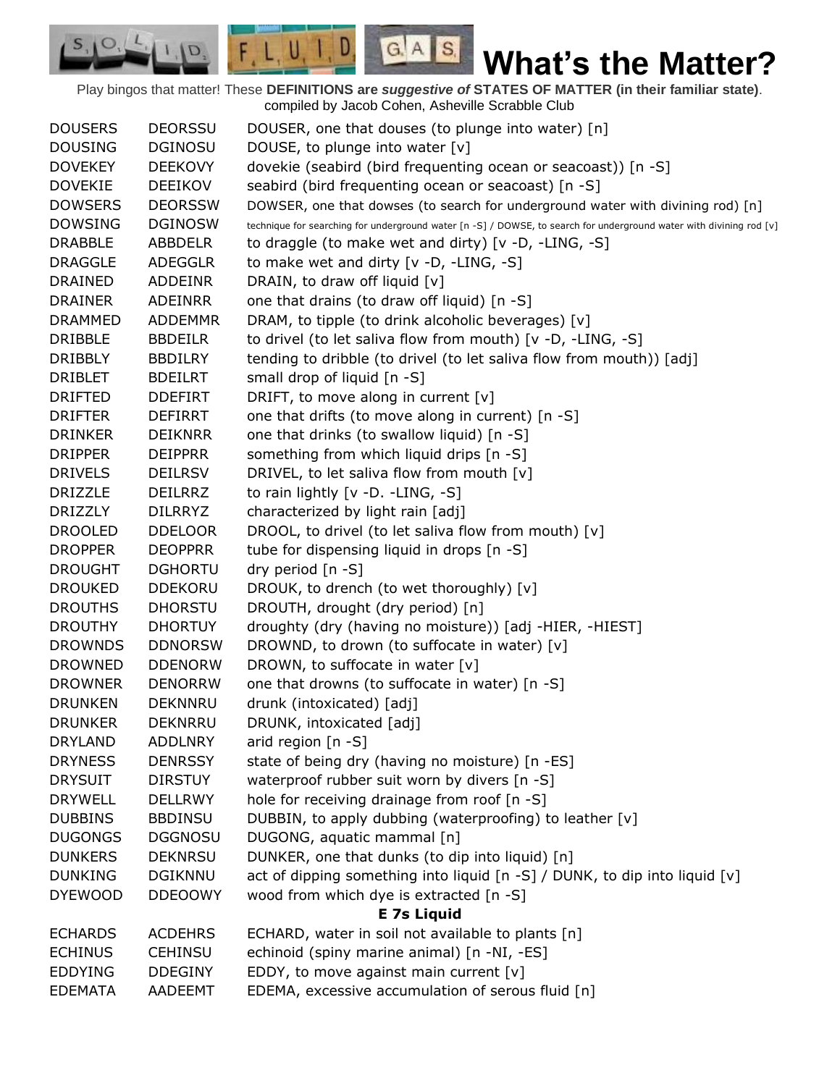Play bingos that matter! These **DEFINITIONS are** *suggestive of* **STATES OF MATTER (in their familiar state)**. compiled by Jacob Cohen, Asheville Scrabble Club

 $G.A.S.$ 

 $\Box$ 

 $F, L, U, I$ 

D.

| <b>DOUSERS</b> | <b>DEORSSU</b> | DOUSER, one that douses (to plunge into water) [n]                                                                  |
|----------------|----------------|---------------------------------------------------------------------------------------------------------------------|
| <b>DOUSING</b> | <b>DGINOSU</b> | DOUSE, to plunge into water [v]                                                                                     |
| <b>DOVEKEY</b> | <b>DEEKOVY</b> | dovekie (seabird (bird frequenting ocean or seacoast)) [n -S]                                                       |
| <b>DOVEKIE</b> | <b>DEEIKOV</b> | seabird (bird frequenting ocean or seacoast) [n -S]                                                                 |
| <b>DOWSERS</b> | <b>DEORSSW</b> | DOWSER, one that dowses (to search for underground water with divining rod) [n]                                     |
| <b>DOWSING</b> | <b>DGINOSW</b> | technique for searching for underground water [n -S] / DOWSE, to search for underground water with divining rod [v] |
| <b>DRABBLE</b> | ABBDELR        | to draggle (to make wet and dirty) $[v -D, -LING, -S]$                                                              |
| <b>DRAGGLE</b> | <b>ADEGGLR</b> | to make wet and dirty [v -D, -LING, -S]                                                                             |
| <b>DRAINED</b> | <b>ADDEINR</b> | DRAIN, to draw off liquid [v]                                                                                       |
| <b>DRAINER</b> | ADEINRR        | one that drains (to draw off liquid) [n -S]                                                                         |
| <b>DRAMMED</b> | <b>ADDEMMR</b> | DRAM, to tipple (to drink alcoholic beverages) [v]                                                                  |
| <b>DRIBBLE</b> | <b>BBDEILR</b> | to drivel (to let saliva flow from mouth) [v -D, -LING, -S]                                                         |
| <b>DRIBBLY</b> | <b>BBDILRY</b> | tending to dribble (to drivel (to let saliva flow from mouth)) [adj]                                                |
| <b>DRIBLET</b> | <b>BDEILRT</b> | small drop of liquid [n -S]                                                                                         |
| <b>DRIFTED</b> | <b>DDEFIRT</b> | DRIFT, to move along in current [v]                                                                                 |
| <b>DRIFTER</b> | <b>DEFIRRT</b> | one that drifts (to move along in current) [n -S]                                                                   |
| <b>DRINKER</b> | <b>DEIKNRR</b> | one that drinks (to swallow liquid) [n -S]                                                                          |
| <b>DRIPPER</b> | <b>DEIPPRR</b> | something from which liquid drips [n -S]                                                                            |
| <b>DRIVELS</b> | <b>DEILRSV</b> | DRIVEL, to let saliva flow from mouth [v]                                                                           |
| <b>DRIZZLE</b> | <b>DEILRRZ</b> | to rain lightly [v -D. -LING, -S]                                                                                   |
| <b>DRIZZLY</b> | <b>DILRRYZ</b> | characterized by light rain [adj]                                                                                   |
| <b>DROOLED</b> | <b>DDELOOR</b> | DROOL, to drivel (to let saliva flow from mouth) [v]                                                                |
| <b>DROPPER</b> | <b>DEOPPRR</b> | tube for dispensing liquid in drops [n -S]                                                                          |
| <b>DROUGHT</b> | <b>DGHORTU</b> | dry period [n -S]                                                                                                   |
| <b>DROUKED</b> | <b>DDEKORU</b> | DROUK, to drench (to wet thoroughly) [v]                                                                            |
| <b>DROUTHS</b> | <b>DHORSTU</b> | DROUTH, drought (dry period) [n]                                                                                    |
| <b>DROUTHY</b> | <b>DHORTUY</b> | droughty (dry (having no moisture)) [adj -HIER, -HIEST]                                                             |
| <b>DROWNDS</b> | <b>DDNORSW</b> | DROWND, to drown (to suffocate in water) [v]                                                                        |
| <b>DROWNED</b> | <b>DDENORW</b> | DROWN, to suffocate in water $[v]$                                                                                  |
| <b>DROWNER</b> | <b>DENORRW</b> | one that drowns (to suffocate in water) [n -S]                                                                      |
| <b>DRUNKEN</b> | <b>DEKNNRU</b> | drunk (intoxicated) [adj]                                                                                           |
| <b>DRUNKER</b> | <b>DEKNRRU</b> | DRUNK, intoxicated [adj]                                                                                            |
| <b>DRYLAND</b> | <b>ADDLNRY</b> | arid region $[n - S]$                                                                                               |
| <b>DRYNESS</b> | <b>DENRSSY</b> | state of being dry (having no moisture) [n -ES]                                                                     |
| <b>DRYSUIT</b> | <b>DIRSTUY</b> | waterproof rubber suit worn by divers [n -S]                                                                        |
| <b>DRYWELL</b> | <b>DELLRWY</b> | hole for receiving drainage from roof [n -S]                                                                        |
| <b>DUBBINS</b> | <b>BBDINSU</b> | DUBBIN, to apply dubbing (waterproofing) to leather [v]                                                             |
| <b>DUGONGS</b> | <b>DGGNOSU</b> | DUGONG, aquatic mammal [n]                                                                                          |
| <b>DUNKERS</b> | <b>DEKNRSU</b> | DUNKER, one that dunks (to dip into liquid) [n]                                                                     |
| <b>DUNKING</b> | <b>DGIKNNU</b> | act of dipping something into liquid [n -S] / DUNK, to dip into liquid [v]                                          |
| <b>DYEWOOD</b> | <b>DDEOOWY</b> | wood from which dye is extracted [n -S]                                                                             |
|                |                | <b>E</b> 7s Liquid                                                                                                  |
| <b>ECHARDS</b> | <b>ACDEHRS</b> | ECHARD, water in soil not available to plants [n]                                                                   |
| <b>ECHINUS</b> | <b>CEHINSU</b> | echinoid (spiny marine animal) [n -NI, -ES]                                                                         |
| <b>EDDYING</b> | <b>DDEGINY</b> | EDDY, to move against main current [v]                                                                              |
| <b>EDEMATA</b> | AADEEMT        | EDEMA, excessive accumulation of serous fluid [n]                                                                   |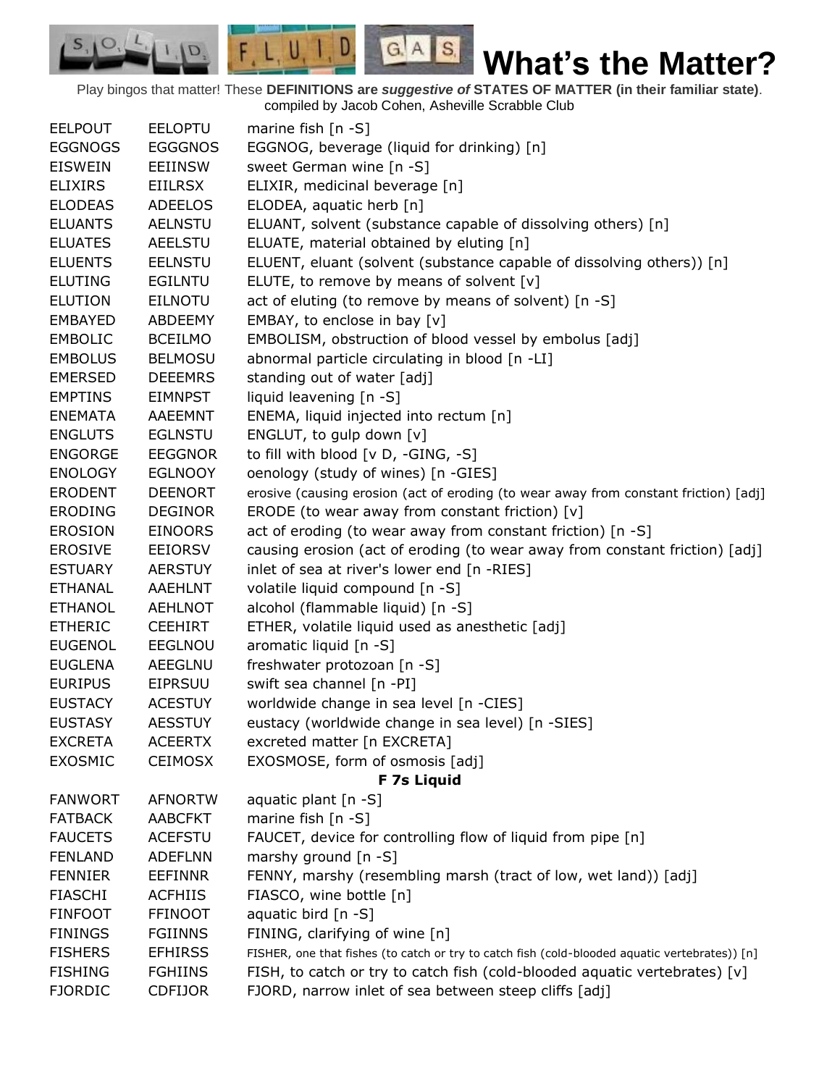Play bingos that matter! These **DEFINITIONS are** *suggestive of* **STATES OF MATTER (in their familiar state)**. compiled by Jacob Cohen, Asheville Scrabble Club

 $G.A.S.$ 

 $F, L, U, I, D$ 

D.

| <b>EELPOUT</b> | <b>EELOPTU</b> | marine fish $[n - S]$                                                                          |
|----------------|----------------|------------------------------------------------------------------------------------------------|
| <b>EGGNOGS</b> | <b>EGGGNOS</b> | EGGNOG, beverage (liquid for drinking) [n]                                                     |
| <b>EISWEIN</b> | <b>EEIINSW</b> | sweet German wine [n -S]                                                                       |
| <b>ELIXIRS</b> | <b>EIILRSX</b> | ELIXIR, medicinal beverage [n]                                                                 |
| <b>ELODEAS</b> | <b>ADEELOS</b> | ELODEA, aquatic herb [n]                                                                       |
| <b>ELUANTS</b> | <b>AELNSTU</b> | ELUANT, solvent (substance capable of dissolving others) [n]                                   |
| <b>ELUATES</b> | <b>AEELSTU</b> | ELUATE, material obtained by eluting [n]                                                       |
| <b>ELUENTS</b> | <b>EELNSTU</b> | ELUENT, eluant (solvent (substance capable of dissolving others)) [n]                          |
| <b>ELUTING</b> | <b>EGILNTU</b> | ELUTE, to remove by means of solvent [v]                                                       |
| <b>ELUTION</b> | <b>EILNOTU</b> | act of eluting (to remove by means of solvent) [n -S]                                          |
| <b>EMBAYED</b> | ABDEEMY        | EMBAY, to enclose in bay [v]                                                                   |
| <b>EMBOLIC</b> | <b>BCEILMO</b> | EMBOLISM, obstruction of blood vessel by embolus [adj]                                         |
| <b>EMBOLUS</b> | <b>BELMOSU</b> | abnormal particle circulating in blood [n -LI]                                                 |
| <b>EMERSED</b> | <b>DEEEMRS</b> | standing out of water [adj]                                                                    |
| <b>EMPTINS</b> | <b>EIMNPST</b> | liquid leavening [n -S]                                                                        |
| <b>ENEMATA</b> | AAEEMNT        | ENEMA, liquid injected into rectum [n]                                                         |
| <b>ENGLUTS</b> | <b>EGLNSTU</b> | ENGLUT, to gulp down [v]                                                                       |
| <b>ENGORGE</b> | <b>EEGGNOR</b> | to fill with blood [v D, -GING, -S]                                                            |
| <b>ENOLOGY</b> | <b>EGLNOOY</b> | oenology (study of wines) [n -GIES]                                                            |
| <b>ERODENT</b> | <b>DEENORT</b> | erosive (causing erosion (act of eroding (to wear away from constant friction) [adj]           |
| <b>ERODING</b> | <b>DEGINOR</b> | ERODE (to wear away from constant friction) [v]                                                |
| <b>EROSION</b> | <b>EINOORS</b> | act of eroding (to wear away from constant friction) [n -S]                                    |
| <b>EROSIVE</b> | <b>EEIORSV</b> | causing erosion (act of eroding (to wear away from constant friction) [adj]                    |
| <b>ESTUARY</b> | <b>AERSTUY</b> | inlet of sea at river's lower end [n -RIES]                                                    |
| <b>ETHANAL</b> | AAEHLNT        | volatile liquid compound [n -S]                                                                |
| <b>ETHANOL</b> | <b>AEHLNOT</b> | alcohol (flammable liquid) [n -S]                                                              |
| <b>ETHERIC</b> | <b>CEEHIRT</b> | ETHER, volatile liquid used as anesthetic [adj]                                                |
| <b>EUGENOL</b> | <b>EEGLNOU</b> | aromatic liquid [n -S]                                                                         |
| <b>EUGLENA</b> | AEEGLNU        | freshwater protozoan [n -S]                                                                    |
| <b>EURIPUS</b> | <b>EIPRSUU</b> | swift sea channel [n -PI]                                                                      |
| <b>EUSTACY</b> | <b>ACESTUY</b> | worldwide change in sea level [n -CIES]                                                        |
| <b>EUSTASY</b> | <b>AESSTUY</b> | eustacy (worldwide change in sea level) [n -SIES]                                              |
| <b>EXCRETA</b> | <b>ACEERTX</b> | excreted matter [n EXCRETA]                                                                    |
| <b>EXOSMIC</b> | <b>CEIMOSX</b> | EXOSMOSE, form of osmosis [adj]                                                                |
|                |                | F 7s Liquid                                                                                    |
| <b>FANWORT</b> | <b>AFNORTW</b> | aquatic plant [n -S]                                                                           |
| <b>FATBACK</b> | <b>AABCFKT</b> | marine fish $[n - S]$                                                                          |
| <b>FAUCETS</b> | <b>ACEFSTU</b> | FAUCET, device for controlling flow of liquid from pipe [n]                                    |
| <b>FENLAND</b> | <b>ADEFLNN</b> | marshy ground $[n - S]$                                                                        |
| <b>FENNIER</b> | <b>EEFINNR</b> | FENNY, marshy (resembling marsh (tract of low, wet land)) [adj]                                |
| <b>FIASCHI</b> | <b>ACFHIIS</b> | FIASCO, wine bottle [n]                                                                        |
| <b>FINFOOT</b> | <b>FFINOOT</b> | aquatic bird [n -S]                                                                            |
| <b>FININGS</b> | <b>FGIINNS</b> | FINING, clarifying of wine [n]                                                                 |
| <b>FISHERS</b> | <b>EFHIRSS</b> | FISHER, one that fishes (to catch or try to catch fish (cold-blooded aquatic vertebrates)) [n] |
| <b>FISHING</b> | <b>FGHIINS</b> | FISH, to catch or try to catch fish (cold-blooded aquatic vertebrates) [v]                     |
| <b>FJORDIC</b> | <b>CDFIJOR</b> | FJORD, narrow inlet of sea between steep cliffs [adj]                                          |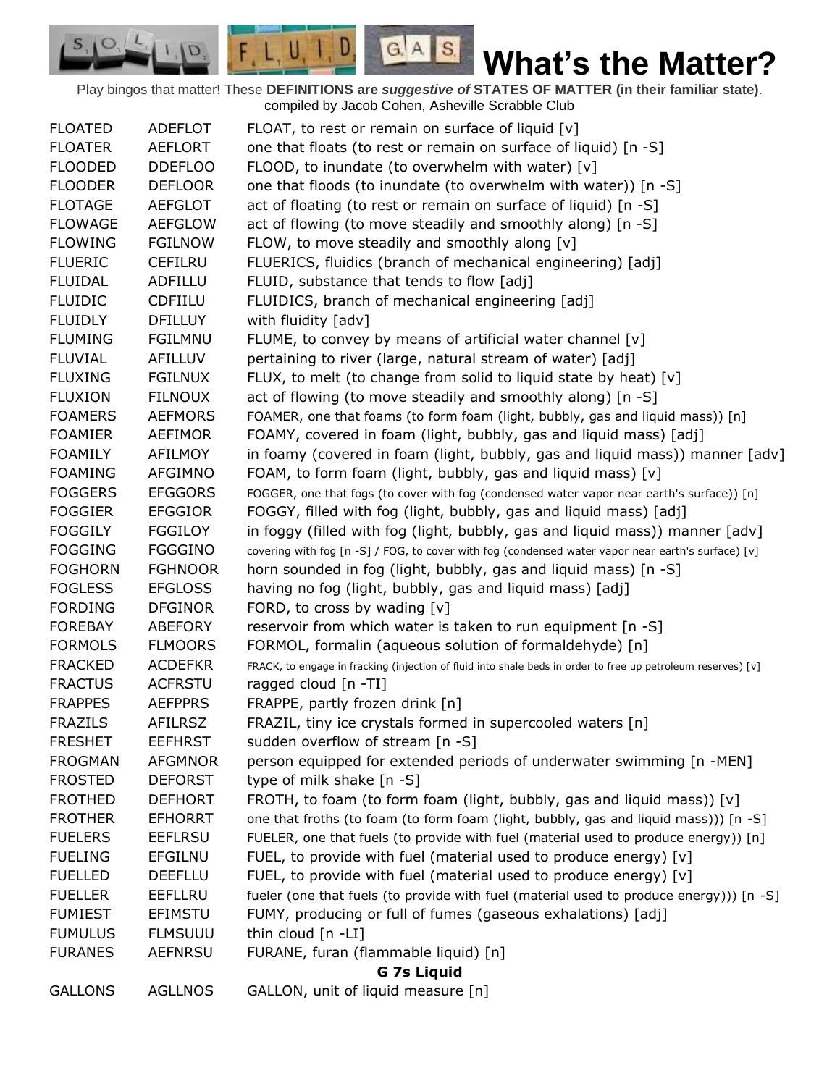Play bingos that matter! These **DEFINITIONS are** *suggestive of* **STATES OF MATTER (in their familiar state)**. compiled by Jacob Cohen, Asheville Scrabble Club

 $G.A.S.$ 

 $F, L, U, I, D$ 

D.

| <b>FLOATED</b> | <b>ADEFLOT</b>     | FLOAT, to rest or remain on surface of liquid $[v]$                                                          |  |  |
|----------------|--------------------|--------------------------------------------------------------------------------------------------------------|--|--|
| <b>FLOATER</b> | <b>AEFLORT</b>     | one that floats (to rest or remain on surface of liquid) [n -S]                                              |  |  |
| <b>FLOODED</b> | <b>DDEFLOO</b>     | FLOOD, to inundate (to overwhelm with water) $[v]$                                                           |  |  |
| <b>FLOODER</b> | <b>DEFLOOR</b>     | one that floods (to inundate (to overwhelm with water)) [n -S]                                               |  |  |
| <b>FLOTAGE</b> | <b>AEFGLOT</b>     | act of floating (to rest or remain on surface of liquid) [n -S]                                              |  |  |
| <b>FLOWAGE</b> | <b>AEFGLOW</b>     | act of flowing (to move steadily and smoothly along) [n -S]                                                  |  |  |
| <b>FLOWING</b> | <b>FGILNOW</b>     | FLOW, to move steadily and smoothly along [v]                                                                |  |  |
| <b>FLUERIC</b> | <b>CEFILRU</b>     | FLUERICS, fluidics (branch of mechanical engineering) [adj]                                                  |  |  |
| <b>FLUIDAL</b> | ADFILLU            | FLUID, substance that tends to flow [adj]                                                                    |  |  |
| <b>FLUIDIC</b> | <b>CDFIILU</b>     | FLUIDICS, branch of mechanical engineering [adj]                                                             |  |  |
| <b>FLUIDLY</b> | <b>DFILLUY</b>     | with fluidity [adv]                                                                                          |  |  |
| <b>FLUMING</b> | <b>FGILMNU</b>     | FLUME, to convey by means of artificial water channel [v]                                                    |  |  |
| <b>FLUVIAL</b> | AFILLUV            | pertaining to river (large, natural stream of water) [adj]                                                   |  |  |
| <b>FLUXING</b> | <b>FGILNUX</b>     | FLUX, to melt (to change from solid to liquid state by heat) [v]                                             |  |  |
| <b>FLUXION</b> | <b>FILNOUX</b>     | act of flowing (to move steadily and smoothly along) [n -S]                                                  |  |  |
| <b>FOAMERS</b> | <b>AEFMORS</b>     | FOAMER, one that foams (to form foam (light, bubbly, gas and liquid mass)) [n]                               |  |  |
| <b>FOAMIER</b> | <b>AEFIMOR</b>     | FOAMY, covered in foam (light, bubbly, gas and liquid mass) [adj]                                            |  |  |
| <b>FOAMILY</b> | AFILMOY            | in foamy (covered in foam (light, bubbly, gas and liquid mass)) manner [adv]                                 |  |  |
| <b>FOAMING</b> | AFGIMNO            | FOAM, to form foam (light, bubbly, gas and liquid mass) [v]                                                  |  |  |
| <b>FOGGERS</b> | <b>EFGGORS</b>     | FOGGER, one that fogs (to cover with fog (condensed water vapor near earth's surface)) [n]                   |  |  |
| <b>FOGGIER</b> | <b>EFGGIOR</b>     | FOGGY, filled with fog (light, bubbly, gas and liquid mass) [adj]                                            |  |  |
| <b>FOGGILY</b> | <b>FGGILOY</b>     | in foggy (filled with fog (light, bubbly, gas and liquid mass)) manner [adv]                                 |  |  |
| <b>FOGGING</b> | <b>FGGGINO</b>     | covering with fog [n -S] / FOG, to cover with fog (condensed water vapor near earth's surface) [v]           |  |  |
| <b>FOGHORN</b> | <b>FGHNOOR</b>     | horn sounded in fog (light, bubbly, gas and liquid mass) [n -S]                                              |  |  |
| <b>FOGLESS</b> | <b>EFGLOSS</b>     | having no fog (light, bubbly, gas and liquid mass) [adj]                                                     |  |  |
| <b>FORDING</b> | <b>DFGINOR</b>     | FORD, to cross by wading [v]                                                                                 |  |  |
| <b>FOREBAY</b> | ABEFORY            | reservoir from which water is taken to run equipment [n -S]                                                  |  |  |
| <b>FORMOLS</b> | <b>FLMOORS</b>     | FORMOL, formalin (aqueous solution of formaldehyde) [n]                                                      |  |  |
| <b>FRACKED</b> | <b>ACDEFKR</b>     | FRACK, to engage in fracking (injection of fluid into shale beds in order to free up petroleum reserves) [v] |  |  |
| <b>FRACTUS</b> | <b>ACFRSTU</b>     | ragged cloud [n -TI]                                                                                         |  |  |
| <b>FRAPPES</b> | <b>AEFPPRS</b>     | FRAPPE, partly frozen drink [n]                                                                              |  |  |
| <b>FRAZILS</b> | <b>AFILRSZ</b>     | FRAZIL, tiny ice crystals formed in supercooled waters [n]                                                   |  |  |
| <b>FRESHET</b> | <b>EEFHRST</b>     | sudden overflow of stream [n -S]                                                                             |  |  |
| <b>FROGMAN</b> | <b>AFGMNOR</b>     | person equipped for extended periods of underwater swimming [n -MEN]                                         |  |  |
| <b>FROSTED</b> | <b>DEFORST</b>     | type of milk shake [n -S]                                                                                    |  |  |
| <b>FROTHED</b> | <b>DEFHORT</b>     | FROTH, to foam (to form foam (light, bubbly, gas and liquid mass)) $[v]$                                     |  |  |
| <b>FROTHER</b> | <b>EFHORRT</b>     | one that froths (to foam (to form foam (light, bubbly, gas and liquid mass))) [n -S]                         |  |  |
| <b>FUELERS</b> | <b>EEFLRSU</b>     | FUELER, one that fuels (to provide with fuel (material used to produce energy)) [n]                          |  |  |
| <b>FUELING</b> | <b>EFGILNU</b>     | FUEL, to provide with fuel (material used to produce energy) [v]                                             |  |  |
| <b>FUELLED</b> | <b>DEEFLLU</b>     | FUEL, to provide with fuel (material used to produce energy) [v]                                             |  |  |
| <b>FUELLER</b> | <b>EEFLLRU</b>     | fueler (one that fuels (to provide with fuel (material used to produce energy))) [n -S]                      |  |  |
| <b>FUMIEST</b> | <b>EFIMSTU</b>     | FUMY, producing or full of fumes (gaseous exhalations) [adj]                                                 |  |  |
| <b>FUMULUS</b> | <b>FLMSUUU</b>     | thin cloud [n -LI]                                                                                           |  |  |
| <b>FURANES</b> | <b>AEFNRSU</b>     | FURANE, furan (flammable liquid) [n]                                                                         |  |  |
|                | <b>G 7s Liquid</b> |                                                                                                              |  |  |
| <b>GALLONS</b> | <b>AGLLNOS</b>     | GALLON, unit of liquid measure [n]                                                                           |  |  |
|                |                    |                                                                                                              |  |  |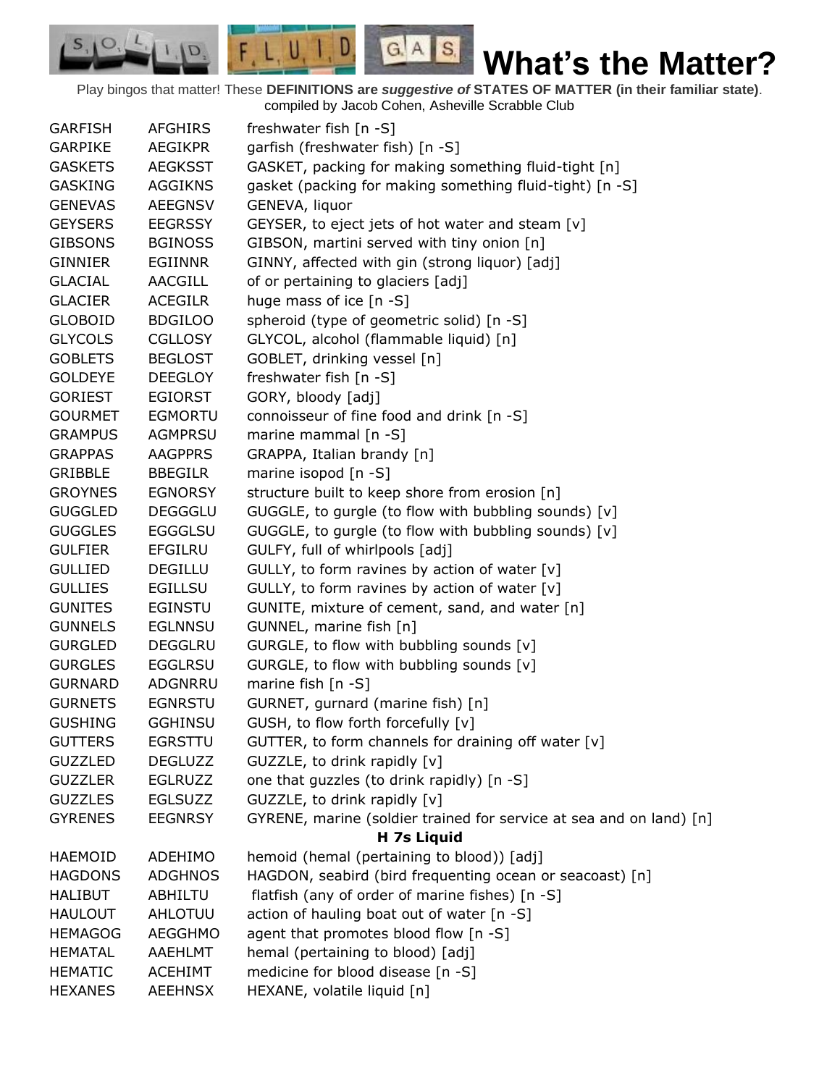Play bingos that matter! These **DEFINITIONS are** *suggestive of* **STATES OF MATTER (in their familiar state)**. compiled by Jacob Cohen, Asheville Scrabble Club

 $G.A.S.$ 

 $F, L, U, I, D$ 

D.

 $S, \mathbf{O}$ 

| <b>GARFISH</b> | <b>AFGHIRS</b> | freshwater fish [n -S]                                              |
|----------------|----------------|---------------------------------------------------------------------|
| <b>GARPIKE</b> | <b>AEGIKPR</b> | garfish (freshwater fish) [n -S]                                    |
| <b>GASKETS</b> | <b>AEGKSST</b> | GASKET, packing for making something fluid-tight [n]                |
| <b>GASKING</b> | <b>AGGIKNS</b> | gasket (packing for making something fluid-tight) [n -S]            |
| <b>GENEVAS</b> | <b>AEEGNSV</b> | GENEVA, liquor                                                      |
| <b>GEYSERS</b> | <b>EEGRSSY</b> | GEYSER, to eject jets of hot water and steam [v]                    |
| <b>GIBSONS</b> | <b>BGINOSS</b> | GIBSON, martini served with tiny onion [n]                          |
| <b>GINNIER</b> | EGIINNR        | GINNY, affected with gin (strong liquor) [adj]                      |
| <b>GLACIAL</b> | <b>AACGILL</b> | of or pertaining to glaciers [adj]                                  |
| <b>GLACIER</b> | <b>ACEGILR</b> | huge mass of ice [n -S]                                             |
| <b>GLOBOID</b> | <b>BDGILOO</b> | spheroid (type of geometric solid) [n -S]                           |
| <b>GLYCOLS</b> | <b>CGLLOSY</b> | GLYCOL, alcohol (flammable liquid) [n]                              |
| <b>GOBLETS</b> | <b>BEGLOST</b> | GOBLET, drinking vessel [n]                                         |
| <b>GOLDEYE</b> | <b>DEEGLOY</b> | freshwater fish [n -S]                                              |
| <b>GORIEST</b> | <b>EGIORST</b> | GORY, bloody [adj]                                                  |
| <b>GOURMET</b> | <b>EGMORTU</b> | connoisseur of fine food and drink [n -S]                           |
| <b>GRAMPUS</b> | <b>AGMPRSU</b> | marine mammal $[n - S]$                                             |
| <b>GRAPPAS</b> | <b>AAGPPRS</b> | GRAPPA, Italian brandy [n]                                          |
| <b>GRIBBLE</b> | <b>BBEGILR</b> | marine isopod [n -S]                                                |
| <b>GROYNES</b> | <b>EGNORSY</b> | structure built to keep shore from erosion [n]                      |
|                | <b>DEGGGLU</b> |                                                                     |
| <b>GUGGLED</b> |                | GUGGLE, to gurgle (to flow with bubbling sounds) [v]                |
| <b>GUGGLES</b> | <b>EGGGLSU</b> | GUGGLE, to gurgle (to flow with bubbling sounds) [v]                |
| <b>GULFIER</b> | <b>EFGILRU</b> | GULFY, full of whirlpools [adj]                                     |
| <b>GULLIED</b> | <b>DEGILLU</b> | GULLY, to form ravines by action of water [v]                       |
| <b>GULLIES</b> | <b>EGILLSU</b> | GULLY, to form ravines by action of water $[v]$                     |
| <b>GUNITES</b> | <b>EGINSTU</b> | GUNITE, mixture of cement, sand, and water [n]                      |
| <b>GUNNELS</b> | <b>EGLNNSU</b> | GUNNEL, marine fish [n]                                             |
| <b>GURGLED</b> | <b>DEGGLRU</b> | GURGLE, to flow with bubbling sounds [v]                            |
| <b>GURGLES</b> | <b>EGGLRSU</b> | GURGLE, to flow with bubbling sounds [v]                            |
| <b>GURNARD</b> | ADGNRRU        | marine fish $[n - S]$                                               |
| <b>GURNETS</b> | <b>EGNRSTU</b> | GURNET, gurnard (marine fish) [n]                                   |
| <b>GUSHING</b> | <b>GGHINSU</b> | GUSH, to flow forth forcefully [v]                                  |
| <b>GUTTERS</b> | <b>EGRSTTU</b> | GUTTER, to form channels for draining off water [v]                 |
| <b>GUZZLED</b> | <b>DEGLUZZ</b> | GUZZLE, to drink rapidly [v]                                        |
| <b>GUZZLER</b> | <b>EGLRUZZ</b> | one that guzzles (to drink rapidly) [n -S]                          |
| <b>GUZZLES</b> | <b>EGLSUZZ</b> | GUZZLE, to drink rapidly [v]                                        |
| <b>GYRENES</b> | <b>EEGNRSY</b> | GYRENE, marine (soldier trained for service at sea and on land) [n] |
|                |                | H 7s Liquid                                                         |
| <b>HAEMOID</b> | ADEHIMO        | hemoid (hemal (pertaining to blood)) [adj]                          |
| <b>HAGDONS</b> | <b>ADGHNOS</b> | HAGDON, seabird (bird frequenting ocean or seacoast) [n]            |
| <b>HALIBUT</b> | ABHILTU        | flatfish (any of order of marine fishes) [n -S]                     |
| <b>HAULOUT</b> | AHLOTUU        | action of hauling boat out of water [n -S]                          |
| <b>HEMAGOG</b> | AEGGHMO        | agent that promotes blood flow [n -S]                               |
| <b>HEMATAL</b> | AAEHLMT        | hemal (pertaining to blood) [adj]                                   |
| <b>HEMATIC</b> | <b>ACEHIMT</b> | medicine for blood disease [n -S]                                   |
| <b>HEXANES</b> | <b>AEEHNSX</b> | HEXANE, volatile liquid [n]                                         |
|                |                |                                                                     |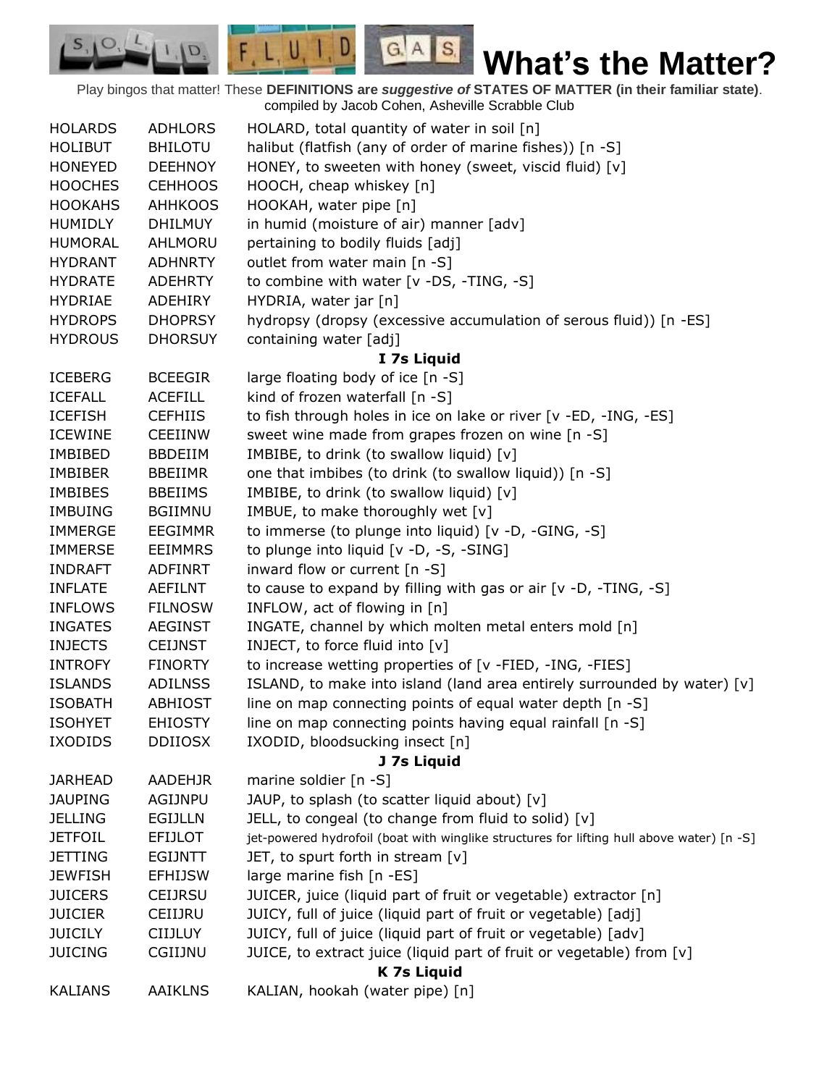Play bingos that matter! These **DEFINITIONS are** *suggestive of* **STATES OF MATTER (in their familiar state)**. compiled by Jacob Cohen, Asheville Scrabble Club

 $G.A.S.$ 

 $F, L, U, I, D$ 

D.

| <b>HOLARDS</b> | <b>ADHLORS</b>     | HOLARD, total quantity of water in soil [n]                                               |  |  |
|----------------|--------------------|-------------------------------------------------------------------------------------------|--|--|
| <b>HOLIBUT</b> | <b>BHILOTU</b>     | halibut (flatfish (any of order of marine fishes)) [n -S]                                 |  |  |
| <b>HONEYED</b> | <b>DEEHNOY</b>     | HONEY, to sweeten with honey (sweet, viscid fluid) [v]                                    |  |  |
| <b>HOOCHES</b> | <b>CEHHOOS</b>     | HOOCH, cheap whiskey [n]                                                                  |  |  |
| <b>HOOKAHS</b> | <b>AHHKOOS</b>     | HOOKAH, water pipe [n]                                                                    |  |  |
| <b>HUMIDLY</b> | <b>DHILMUY</b>     | in humid (moisture of air) manner [adv]                                                   |  |  |
| <b>HUMORAL</b> | AHLMORU            | pertaining to bodily fluids [adj]                                                         |  |  |
| <b>HYDRANT</b> | <b>ADHNRTY</b>     | outlet from water main [n -S]                                                             |  |  |
| <b>HYDRATE</b> | <b>ADEHRTY</b>     | to combine with water [v -DS, -TING, -S]                                                  |  |  |
| <b>HYDRIAE</b> | <b>ADEHIRY</b>     | HYDRIA, water jar [n]                                                                     |  |  |
| <b>HYDROPS</b> | <b>DHOPRSY</b>     | hydropsy (dropsy (excessive accumulation of serous fluid)) [n -ES]                        |  |  |
| <b>HYDROUS</b> | <b>DHORSUY</b>     | containing water [adj]                                                                    |  |  |
|                |                    | I 7s Liquid                                                                               |  |  |
| <b>ICEBERG</b> | <b>BCEEGIR</b>     | large floating body of ice [n -S]                                                         |  |  |
| <b>ICEFALL</b> | <b>ACEFILL</b>     | kind of frozen waterfall [n -S]                                                           |  |  |
| <b>ICEFISH</b> | <b>CEFHIIS</b>     | to fish through holes in ice on lake or river [v -ED, -ING, -ES]                          |  |  |
| <b>ICEWINE</b> | <b>CEEIINW</b>     | sweet wine made from grapes frozen on wine [n -S]                                         |  |  |
| <b>IMBIBED</b> | <b>BBDEIIM</b>     | IMBIBE, to drink (to swallow liquid) [v]                                                  |  |  |
| <b>IMBIBER</b> | <b>BBEIIMR</b>     | one that imbibes (to drink (to swallow liquid)) [n -S]                                    |  |  |
| <b>IMBIBES</b> | <b>BBEIIMS</b>     | IMBIBE, to drink (to swallow liquid) [v]                                                  |  |  |
| <b>IMBUING</b> | <b>BGIIMNU</b>     | IMBUE, to make thoroughly wet [v]                                                         |  |  |
| <b>IMMERGE</b> | <b>EEGIMMR</b>     |                                                                                           |  |  |
|                |                    | to immerse (to plunge into liquid) [v -D, -GING, -S]                                      |  |  |
| <b>IMMERSE</b> | <b>EEIMMRS</b>     | to plunge into liquid [v -D, -S, -SING]                                                   |  |  |
| <b>INDRAFT</b> | <b>ADFINRT</b>     | inward flow or current [n -S]                                                             |  |  |
| <b>INFLATE</b> | <b>AEFILNT</b>     | to cause to expand by filling with gas or air [v -D, -TING, -S]                           |  |  |
| <b>INFLOWS</b> | <b>FILNOSW</b>     | INFLOW, act of flowing in [n]                                                             |  |  |
| <b>INGATES</b> | <b>AEGINST</b>     | INGATE, channel by which molten metal enters mold [n]                                     |  |  |
| <b>INJECTS</b> | <b>CEIJNST</b>     | INJECT, to force fluid into [v]                                                           |  |  |
| <b>INTROFY</b> | <b>FINORTY</b>     | to increase wetting properties of [v -FIED, -ING, -FIES]                                  |  |  |
| <b>ISLANDS</b> | <b>ADILNSS</b>     | ISLAND, to make into island (land area entirely surrounded by water) [v]                  |  |  |
| <b>ISOBATH</b> | <b>ABHIOST</b>     | line on map connecting points of equal water depth [n -S]                                 |  |  |
| <b>ISOHYET</b> | <b>EHIOSTY</b>     | line on map connecting points having equal rainfall [n -S]                                |  |  |
| <b>IXODIDS</b> | <b>DDIIOSX</b>     | IXODID, bloodsucking insect [n]                                                           |  |  |
|                |                    | J 7s Liquid                                                                               |  |  |
| <b>JARHEAD</b> | AADEHJR            | marine soldier [n -S]                                                                     |  |  |
| <b>JAUPING</b> | <b>AGIJNPU</b>     | JAUP, to splash (to scatter liquid about) [v]                                             |  |  |
| <b>JELLING</b> | <b>EGIJLLN</b>     | JELL, to congeal (to change from fluid to solid) [v]                                      |  |  |
| <b>JETFOIL</b> | <b>EFIJLOT</b>     | jet-powered hydrofoil (boat with winglike structures for lifting hull above water) [n -S] |  |  |
| <b>JETTING</b> | <b>EGIJNTT</b>     | JET, to spurt forth in stream [v]                                                         |  |  |
| <b>JEWFISH</b> | <b>EFHIJSW</b>     | large marine fish [n -ES]                                                                 |  |  |
| <b>JUICERS</b> | <b>CEIJRSU</b>     | JUICER, juice (liquid part of fruit or vegetable) extractor [n]                           |  |  |
| <b>JUICIER</b> | CEIIJRU            | JUICY, full of juice (liquid part of fruit or vegetable) [adj]                            |  |  |
| <b>JUICILY</b> | <b>CIIJLUY</b>     | JUICY, full of juice (liquid part of fruit or vegetable) [adv]                            |  |  |
| <b>JUICING</b> | CGIIJNU            | JUICE, to extract juice (liquid part of fruit or vegetable) from [v]                      |  |  |
|                | <b>K 7s Liquid</b> |                                                                                           |  |  |
| <b>KALIANS</b> | <b>AAIKLNS</b>     | KALIAN, hookah (water pipe) [n]                                                           |  |  |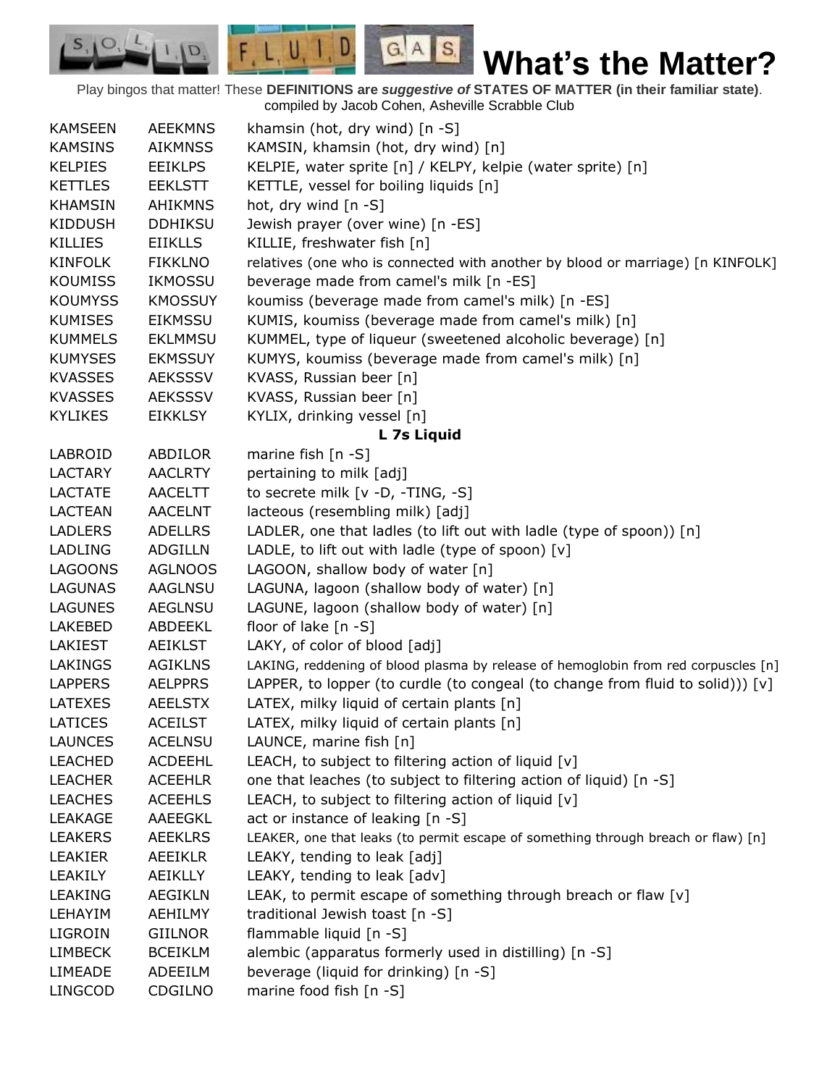Play bingos that matter! These **DEFINITIONS are** *suggestive of* **STATES OF MATTER (in their familiar state)**. compiled by Jacob Cohen, Asheville Scrabble Club

 $G.A.S.$ 

 $F, L, U, I, D$ 

D.

| <b>KAMSEEN</b> | <b>AEEKMNS</b> | khamsin (hot, dry wind) [n -S]                                                     |
|----------------|----------------|------------------------------------------------------------------------------------|
| <b>KAMSINS</b> | <b>AIKMNSS</b> | KAMSIN, khamsin (hot, dry wind) [n]                                                |
| <b>KELPIES</b> | <b>EEIKLPS</b> | KELPIE, water sprite [n] / KELPY, kelpie (water sprite) [n]                        |
| <b>KETTLES</b> | <b>EEKLSTT</b> | KETTLE, vessel for boiling liquids [n]                                             |
| <b>KHAMSIN</b> | <b>AHIKMNS</b> | hot, dry wind [n -S]                                                               |
| <b>KIDDUSH</b> | <b>DDHIKSU</b> | Jewish prayer (over wine) [n -ES]                                                  |
| <b>KILLIES</b> | <b>EIIKLLS</b> | KILLIE, freshwater fish [n]                                                        |
| <b>KINFOLK</b> | <b>FIKKLNO</b> | relatives (one who is connected with another by blood or marriage) [n KINFOLK]     |
| <b>KOUMISS</b> | <b>IKMOSSU</b> | beverage made from camel's milk [n -ES]                                            |
| <b>KOUMYSS</b> | <b>KMOSSUY</b> | koumiss (beverage made from camel's milk) [n -ES]                                  |
| <b>KUMISES</b> | <b>EIKMSSU</b> | KUMIS, koumiss (beverage made from camel's milk) [n]                               |
| <b>KUMMELS</b> | <b>EKLMMSU</b> | KUMMEL, type of liqueur (sweetened alcoholic beverage) [n]                         |
| <b>KUMYSES</b> | <b>EKMSSUY</b> | KUMYS, koumiss (beverage made from camel's milk) [n]                               |
| <b>KVASSES</b> | <b>AEKSSSV</b> | KVASS, Russian beer [n]                                                            |
| <b>KVASSES</b> | <b>AEKSSSV</b> | KVASS, Russian beer [n]                                                            |
| <b>KYLIKES</b> | <b>EIKKLSY</b> | KYLIX, drinking vessel [n]                                                         |
|                |                | L 7s Liquid                                                                        |
| LABROID        | ABDILOR        | marine fish $[n - S]$                                                              |
| <b>LACTARY</b> | <b>AACLRTY</b> | pertaining to milk [adj]                                                           |
| <b>LACTATE</b> | <b>AACELTT</b> | to secrete milk [v -D, -TING, -S]                                                  |
| <b>LACTEAN</b> | <b>AACELNT</b> | lacteous (resembling milk) [adj]                                                   |
| <b>LADLERS</b> | <b>ADELLRS</b> | LADLER, one that ladles (to lift out with ladle (type of spoon)) [n]               |
| <b>LADLING</b> | <b>ADGILLN</b> | LADLE, to lift out with ladle (type of spoon) [v]                                  |
| <b>LAGOONS</b> | <b>AGLNOOS</b> | LAGOON, shallow body of water [n]                                                  |
| LAGUNAS        | AAGLNSU        | LAGUNA, lagoon (shallow body of water) [n]                                         |
| <b>LAGUNES</b> | <b>AEGLNSU</b> | LAGUNE, lagoon (shallow body of water) [n]                                         |
| <b>LAKEBED</b> | ABDEEKL        | floor of lake [n -S]                                                               |
| <b>LAKIEST</b> | <b>AEIKLST</b> | LAKY, of color of blood [adj]                                                      |
| LAKINGS        | <b>AGIKLNS</b> | LAKING, reddening of blood plasma by release of hemoglobin from red corpuscles [n] |
| <b>LAPPERS</b> | <b>AELPPRS</b> | LAPPER, to lopper (to curdle (to congeal (to change from fluid to solid))) [v]     |
| <b>LATEXES</b> | <b>AEELSTX</b> | LATEX, milky liquid of certain plants [n]                                          |
| <b>LATICES</b> | <b>ACEILST</b> | LATEX, milky liquid of certain plants [n]                                          |
| <b>LAUNCES</b> | <b>ACELNSU</b> | LAUNCE, marine fish [n]                                                            |
| <b>LEACHED</b> | <b>ACDEEHL</b> | LEACH, to subject to filtering action of liquid [v]                                |
| <b>LEACHER</b> | <b>ACEEHLR</b> | one that leaches (to subject to filtering action of liquid) [n -S]                 |
| <b>LEACHES</b> | <b>ACEEHLS</b> | LEACH, to subject to filtering action of liquid $[v]$                              |
| LEAKAGE        | AAEEGKL        | act or instance of leaking [n -S]                                                  |
| <b>LEAKERS</b> | <b>AEEKLRS</b> | LEAKER, one that leaks (to permit escape of something through breach or flaw) [n]  |
| <b>LEAKIER</b> | AEEIKLR        | LEAKY, tending to leak [adj]                                                       |
| LEAKILY        | AEIKLLY        | LEAKY, tending to leak [adv]                                                       |
| <b>LEAKING</b> | <b>AEGIKLN</b> | LEAK, to permit escape of something through breach or flaw [v]                     |
| LEHAYIM        | <b>AEHILMY</b> | traditional Jewish toast [n -S]                                                    |
| LIGROIN        | <b>GIILNOR</b> | flammable liquid [n -S]                                                            |
| <b>LIMBECK</b> | <b>BCEIKLM</b> | alembic (apparatus formerly used in distilling) [n -S]                             |
| <b>LIMEADE</b> | ADEEILM        | beverage (liquid for drinking) [n -S]                                              |
| <b>LINGCOD</b> | CDGILNO        | marine food fish [n -S]                                                            |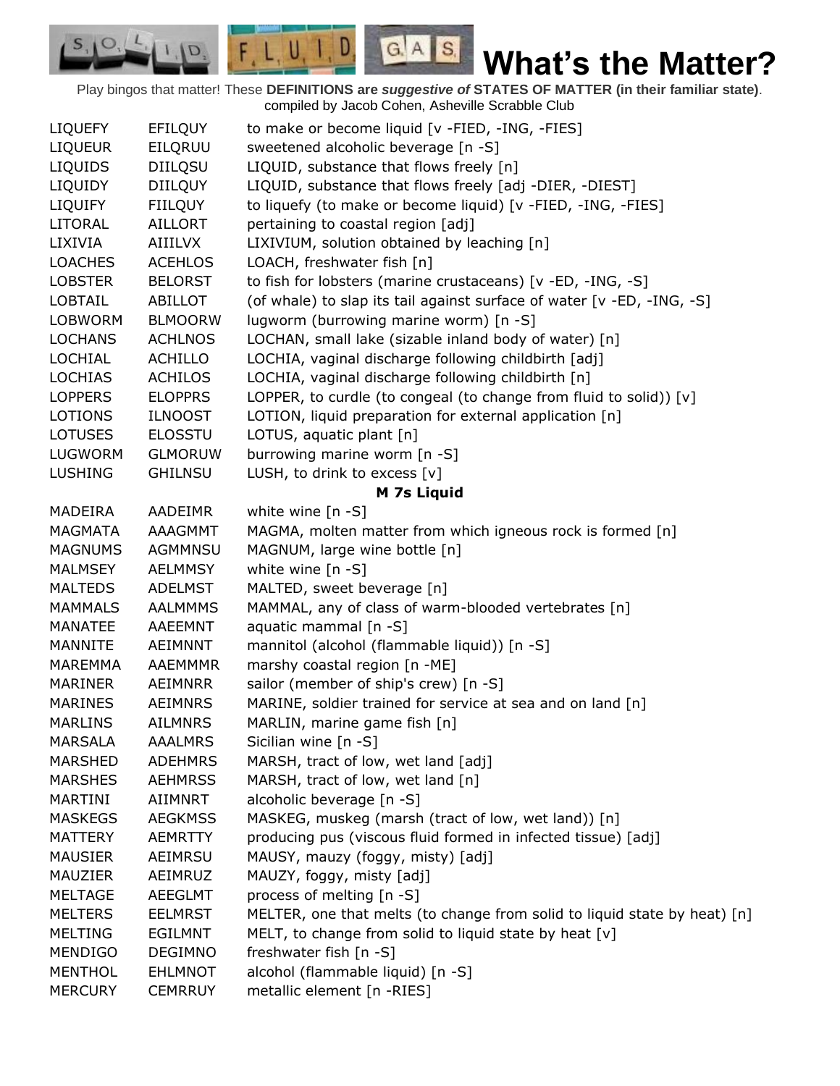Play bingos that matter! These **DEFINITIONS are** *suggestive of* **STATES OF MATTER (in their familiar state)**. compiled by Jacob Cohen, Asheville Scrabble Club

 $G.A.S.$ 

 $F, L, U, I, D$ 

D.

| <b>LIQUEFY</b> | <b>EFILQUY</b> | to make or become liquid [v -FIED, -ING, -FIES]                           |
|----------------|----------------|---------------------------------------------------------------------------|
| <b>LIQUEUR</b> | EILQRUU        | sweetened alcoholic beverage [n -S]                                       |
| <b>LIQUIDS</b> | <b>DIILQSU</b> | LIQUID, substance that flows freely [n]                                   |
| LIQUIDY        | <b>DIILQUY</b> | LIQUID, substance that flows freely [adj -DIER, -DIEST]                   |
| <b>LIQUIFY</b> | <b>FIILQUY</b> | to liquefy (to make or become liquid) [v -FIED, -ING, -FIES]              |
| <b>LITORAL</b> | <b>AILLORT</b> | pertaining to coastal region [adj]                                        |
| LIXIVIA        | AIIILVX        | LIXIVIUM, solution obtained by leaching [n]                               |
| <b>LOACHES</b> | <b>ACEHLOS</b> | LOACH, freshwater fish [n]                                                |
| <b>LOBSTER</b> | <b>BELORST</b> | to fish for lobsters (marine crustaceans) [v -ED, -ING, -S]               |
| <b>LOBTAIL</b> | <b>ABILLOT</b> | (of whale) to slap its tail against surface of water [v -ED, -ING, -S]    |
| <b>LOBWORM</b> | <b>BLMOORW</b> | lugworm (burrowing marine worm) [n -S]                                    |
| <b>LOCHANS</b> | <b>ACHLNOS</b> | LOCHAN, small lake (sizable inland body of water) [n]                     |
| LOCHIAL        | <b>ACHILLO</b> | LOCHIA, vaginal discharge following childbirth [adj]                      |
| <b>LOCHIAS</b> | <b>ACHILOS</b> | LOCHIA, vaginal discharge following childbirth [n]                        |
| <b>LOPPERS</b> | <b>ELOPPRS</b> | LOPPER, to curdle (to congeal (to change from fluid to solid)) [v]        |
| <b>LOTIONS</b> | <b>ILNOOST</b> | LOTION, liquid preparation for external application [n]                   |
| <b>LOTUSES</b> | <b>ELOSSTU</b> | LOTUS, aquatic plant [n]                                                  |
| LUGWORM        | <b>GLMORUW</b> | burrowing marine worm [n -S]                                              |
| <b>LUSHING</b> | <b>GHILNSU</b> | LUSH, to drink to excess [v]                                              |
|                |                | M 7s Liquid                                                               |
| <b>MADEIRA</b> | <b>AADEIMR</b> | white wine $[n -S]$                                                       |
| <b>MAGMATA</b> | AAAGMMT        | MAGMA, molten matter from which igneous rock is formed [n]                |
| <b>MAGNUMS</b> | <b>AGMMNSU</b> | MAGNUM, large wine bottle [n]                                             |
| <b>MALMSEY</b> | AELMMSY        | white wine $[n - S]$                                                      |
| <b>MALTEDS</b> | <b>ADELMST</b> | MALTED, sweet beverage [n]                                                |
| <b>MAMMALS</b> | <b>AALMMMS</b> | MAMMAL, any of class of warm-blooded vertebrates [n]                      |
| <b>MANATEE</b> | <b>AAEEMNT</b> | aquatic mammal [n -S]                                                     |
| <b>MANNITE</b> | <b>AEIMNNT</b> | mannitol (alcohol (flammable liquid)) [n -S]                              |
| <b>MAREMMA</b> | AAEMMMR        | marshy coastal region [n -ME]                                             |
| <b>MARINER</b> | AEIMNRR        | sailor (member of ship's crew) [n -S]                                     |
| <b>MARINES</b> | <b>AEIMNRS</b> | MARINE, soldier trained for service at sea and on land [n]                |
| <b>MARLINS</b> | <b>AILMNRS</b> | MARLIN, marine game fish [n]                                              |
| <b>MARSALA</b> | <b>AAALMRS</b> | Sicilian wine [n -S]                                                      |
| <b>MARSHED</b> | <b>ADEHMRS</b> | MARSH, tract of low, wet land [adj]                                       |
| <b>MARSHES</b> | <b>AEHMRSS</b> | MARSH, tract of low, wet land [n]                                         |
| MARTINI        | AIIMNRT        | alcoholic beverage [n -S]                                                 |
| <b>MASKEGS</b> | <b>AEGKMSS</b> | MASKEG, muskeg (marsh (tract of low, wet land)) [n]                       |
| <b>MATTERY</b> | <b>AEMRTTY</b> | producing pus (viscous fluid formed in infected tissue) [adj]             |
| <b>MAUSIER</b> | AEIMRSU        | MAUSY, mauzy (foggy, misty) [adj]                                         |
| MAUZIER        | AEIMRUZ        | MAUZY, foggy, misty [adj]                                                 |
| <b>MELTAGE</b> | <b>AEEGLMT</b> | process of melting [n -S]                                                 |
| <b>MELTERS</b> | <b>EELMRST</b> | MELTER, one that melts (to change from solid to liquid state by heat) [n] |
| <b>MELTING</b> | <b>EGILMNT</b> | MELT, to change from solid to liquid state by heat [v]                    |
| <b>MENDIGO</b> | <b>DEGIMNO</b> | freshwater fish [n -S]                                                    |
| <b>MENTHOL</b> | <b>EHLMNOT</b> | alcohol (flammable liquid) [n -S]                                         |
| <b>MERCURY</b> | <b>CEMRRUY</b> | metallic element [n -RIES]                                                |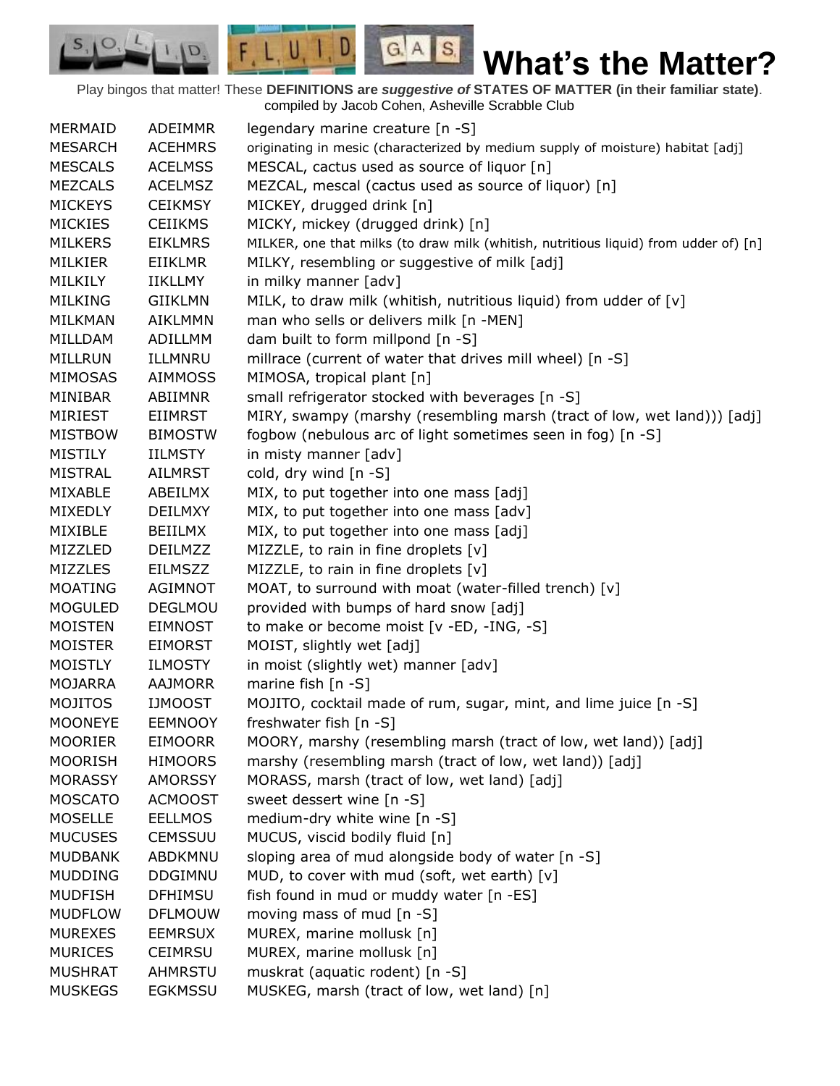$G.A.S.$ **What's the Matter?**

Play bingos that matter! These **DEFINITIONS are** *suggestive of* **STATES OF MATTER (in their familiar state)**. compiled by Jacob Cohen, Asheville Scrabble Club

 $F, L, U, I, D$ 

D.

| MERMAID        | <b>ADEIMMR</b>            | legendary marine creature [n -S]                                                     |
|----------------|---------------------------|--------------------------------------------------------------------------------------|
| <b>MESARCH</b> | <b>ACEHMRS</b>            | originating in mesic (characterized by medium supply of moisture) habitat [adj]      |
| <b>MESCALS</b> | <b>ACELMSS</b>            | MESCAL, cactus used as source of liquor [n]                                          |
| <b>MEZCALS</b> | <b>ACELMSZ</b>            | MEZCAL, mescal (cactus used as source of liquor) [n]                                 |
| <b>MICKEYS</b> | <b>CEIKMSY</b>            | MICKEY, drugged drink [n]                                                            |
| <b>MICKIES</b> | <b>CEIIKMS</b>            | MICKY, mickey (drugged drink) [n]                                                    |
|                |                           |                                                                                      |
| <b>MILKERS</b> | <b>EIKLMRS</b>            | MILKER, one that milks (to draw milk (whitish, nutritious liquid) from udder of) [n] |
| MILKIER        | EIIKLMR<br><b>IIKLLMY</b> | MILKY, resembling or suggestive of milk [adj]                                        |
| MILKILY        |                           | in milky manner [adv]                                                                |
| <b>MILKING</b> | <b>GIIKLMN</b>            | MILK, to draw milk (whitish, nutritious liquid) from udder of [v]                    |
| <b>MILKMAN</b> | <b>AIKLMMN</b>            | man who sells or delivers milk [n -MEN]                                              |
| MILLDAM        | ADILLMM                   | dam built to form millpond [n -S]                                                    |
| MILLRUN        | ILLMNRU                   | millrace (current of water that drives mill wheel) [n -S]                            |
| <b>MIMOSAS</b> | <b>AIMMOSS</b>            | MIMOSA, tropical plant [n]                                                           |
| MINIBAR        | <b>ABIIMNR</b>            | small refrigerator stocked with beverages [n -S]                                     |
| <b>MIRIEST</b> | <b>EIIMRST</b>            | MIRY, swampy (marshy (resembling marsh (tract of low, wet land))) [adj]              |
| <b>MISTBOW</b> | <b>BIMOSTW</b>            | fogbow (nebulous arc of light sometimes seen in fog) [n -S]                          |
| <b>MISTILY</b> | <b>IILMSTY</b>            | in misty manner [adv]                                                                |
| <b>MISTRAL</b> | <b>AILMRST</b>            | cold, dry wind [n -S]                                                                |
| MIXABLE        | ABEILMX                   | MIX, to put together into one mass [adj]                                             |
| <b>MIXEDLY</b> | <b>DEILMXY</b>            | MIX, to put together into one mass [adv]                                             |
| MIXIBLE        | BEIILMX                   | MIX, to put together into one mass [adj]                                             |
| MIZZLED        | <b>DEILMZZ</b>            | MIZZLE, to rain in fine droplets [v]                                                 |
| <b>MIZZLES</b> | <b>EILMSZZ</b>            | MIZZLE, to rain in fine droplets [v]                                                 |
| MOATING        | AGIMNOT                   | MOAT, to surround with moat (water-filled trench) [v]                                |
| <b>MOGULED</b> | DEGLMOU                   | provided with bumps of hard snow [adj]                                               |
| <b>MOISTEN</b> | <b>EIMNOST</b>            | to make or become moist [v -ED, -ING, -S]                                            |
| <b>MOISTER</b> | <b>EIMORST</b>            | MOIST, slightly wet [adj]                                                            |
| <b>MOISTLY</b> | <b>ILMOSTY</b>            | in moist (slightly wet) manner [adv]                                                 |
| <b>MOJARRA</b> | <b>AAJMORR</b>            | marine fish [n -S]                                                                   |
| <b>MOJITOS</b> | <b>IJMOOST</b>            | MOJITO, cocktail made of rum, sugar, mint, and lime juice [n -S]                     |
| <b>MOONEYE</b> | <b>EEMNOOY</b>            | freshwater fish [n -S]                                                               |
| <b>MOORIER</b> | <b>EIMOORR</b>            | MOORY, marshy (resembling marsh (tract of low, wet land)) [adj]                      |
| <b>MOORISH</b> | <b>HIMOORS</b>            | marshy (resembling marsh (tract of low, wet land)) [adj]                             |
| <b>MORASSY</b> | <b>AMORSSY</b>            | MORASS, marsh (tract of low, wet land) [adj]                                         |
| <b>MOSCATO</b> | <b>ACMOOST</b>            | sweet dessert wine [n -S]                                                            |
| <b>MOSELLE</b> | <b>EELLMOS</b>            | medium-dry white wine [n -S]                                                         |
| <b>MUCUSES</b> | <b>CEMSSUU</b>            | MUCUS, viscid bodily fluid [n]                                                       |
| <b>MUDBANK</b> | ABDKMNU                   | sloping area of mud alongside body of water [n -S]                                   |
| <b>MUDDING</b> | <b>DDGIMNU</b>            | MUD, to cover with mud (soft, wet earth) [v]                                         |
| <b>MUDFISH</b> | <b>DFHIMSU</b>            | fish found in mud or muddy water [n -ES]                                             |
| <b>MUDFLOW</b> | <b>DFLMOUW</b>            | moving mass of mud [n -S]                                                            |
| <b>MUREXES</b> | <b>EEMRSUX</b>            | MUREX, marine mollusk [n]                                                            |
| <b>MURICES</b> | <b>CEIMRSU</b>            | MUREX, marine mollusk [n]                                                            |
| <b>MUSHRAT</b> | <b>AHMRSTU</b>            | muskrat (aquatic rodent) [n -S]                                                      |
| <b>MUSKEGS</b> | <b>EGKMSSU</b>            | MUSKEG, marsh (tract of low, wet land) [n]                                           |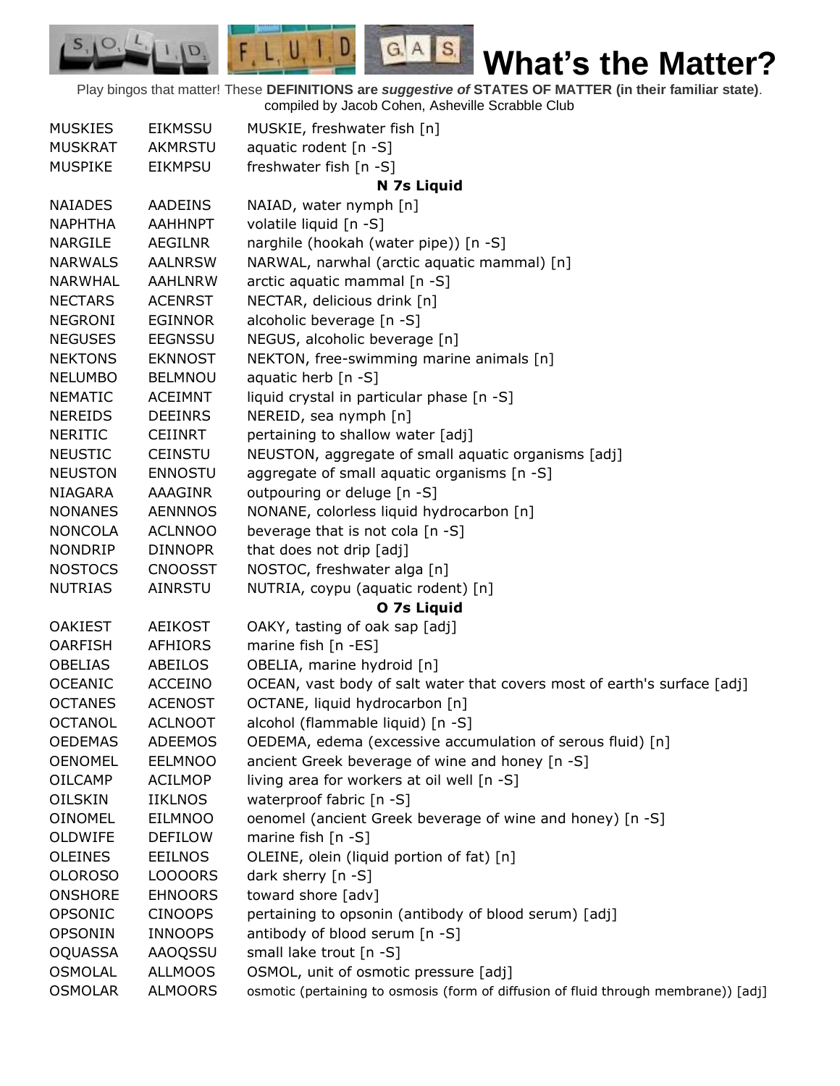Play bingos that matter! These **DEFINITIONS are** *suggestive of* **STATES OF MATTER (in their familiar state)**. compiled by Jacob Cohen, Asheville Scrabble Club

 $G.A.S.$ 

 $F, L, U, I, D$ 

D.

 $S_{1}$  $\mathcal{O},$ 

| <b>MUSKIES</b> | <b>EIKMSSU</b> | MUSKIE, freshwater fish [n]                                                         |
|----------------|----------------|-------------------------------------------------------------------------------------|
| <b>MUSKRAT</b> | <b>AKMRSTU</b> | aquatic rodent [n -S]                                                               |
| <b>MUSPIKE</b> | <b>EIKMPSU</b> | freshwater fish [n -S]                                                              |
|                |                | N 7s Liquid                                                                         |
| <b>NAIADES</b> | <b>AADEINS</b> | NAIAD, water nymph [n]                                                              |
| <b>NAPHTHA</b> | <b>AAHHNPT</b> | volatile liquid [n -S]                                                              |
| <b>NARGILE</b> | AEGILNR        | narghile (hookah (water pipe)) [n -S]                                               |
| <b>NARWALS</b> | <b>AALNRSW</b> | NARWAL, narwhal (arctic aquatic mammal) [n]                                         |
| <b>NARWHAL</b> | <b>AAHLNRW</b> | arctic aquatic mammal [n -S]                                                        |
| <b>NECTARS</b> | <b>ACENRST</b> | NECTAR, delicious drink [n]                                                         |
| <b>NEGRONI</b> | <b>EGINNOR</b> | alcoholic beverage [n -S]                                                           |
| <b>NEGUSES</b> | <b>EEGNSSU</b> | NEGUS, alcoholic beverage [n]                                                       |
| <b>NEKTONS</b> | <b>EKNNOST</b> | NEKTON, free-swimming marine animals [n]                                            |
| <b>NELUMBO</b> | <b>BELMNOU</b> | aquatic herb [n -S]                                                                 |
| <b>NEMATIC</b> | <b>ACEIMNT</b> | liquid crystal in particular phase [n -S]                                           |
| <b>NEREIDS</b> | <b>DEEINRS</b> | NEREID, sea nymph [n]                                                               |
| <b>NERITIC</b> | <b>CEIINRT</b> | pertaining to shallow water [adj]                                                   |
| <b>NEUSTIC</b> | <b>CEINSTU</b> | NEUSTON, aggregate of small aquatic organisms [adj]                                 |
| <b>NEUSTON</b> | <b>ENNOSTU</b> | aggregate of small aquatic organisms [n -S]                                         |
| <b>NIAGARA</b> | AAAGINR        | outpouring or deluge [n -S]                                                         |
| <b>NONANES</b> | <b>AENNNOS</b> | NONANE, colorless liquid hydrocarbon [n]                                            |
| <b>NONCOLA</b> | <b>ACLNNOO</b> | beverage that is not cola [n -S]                                                    |
| <b>NONDRIP</b> | <b>DINNOPR</b> | that does not drip [adj]                                                            |
| <b>NOSTOCS</b> | <b>CNOOSST</b> | NOSTOC, freshwater alga [n]                                                         |
| <b>NUTRIAS</b> | <b>AINRSTU</b> | NUTRIA, coypu (aquatic rodent) [n]                                                  |
|                |                | O 7s Liquid                                                                         |
| <b>OAKIEST</b> | <b>AEIKOST</b> | OAKY, tasting of oak sap [adj]                                                      |
| <b>OARFISH</b> | <b>AFHIORS</b> | marine fish [n -ES]                                                                 |
| <b>OBELIAS</b> | ABEILOS        | OBELIA, marine hydroid [n]                                                          |
| <b>OCEANIC</b> | <b>ACCEINO</b> | OCEAN, vast body of salt water that covers most of earth's surface [adj]            |
| <b>OCTANES</b> | <b>ACENOST</b> | OCTANE, liquid hydrocarbon [n]                                                      |
| <b>OCTANOL</b> | <b>ACLNOOT</b> | alcohol (flammable liquid) [n -S]                                                   |
| <b>OEDEMAS</b> | <b>ADEEMOS</b> | OEDEMA, edema (excessive accumulation of serous fluid) [n]                          |
| <b>OENOMEL</b> | <b>EELMNOO</b> | ancient Greek beverage of wine and honey [n -S]                                     |
| <b>OILCAMP</b> | <b>ACILMOP</b> | living area for workers at oil well [n -S]                                          |
| <b>OILSKIN</b> | <b>IIKLNOS</b> | waterproof fabric [n -S]                                                            |
| <b>OINOMEL</b> | <b>EILMNOO</b> | oenomel (ancient Greek beverage of wine and honey) [n -S]                           |
| OLDWIFE        | <b>DEFILOW</b> | marine fish $[n - S]$                                                               |
| <b>OLEINES</b> | <b>EEILNOS</b> | OLEINE, olein (liquid portion of fat) [n]                                           |
| <b>OLOROSO</b> | LOOOORS        | dark sherry [n -S]                                                                  |
| <b>ONSHORE</b> | <b>EHNOORS</b> | toward shore [adv]                                                                  |
| OPSONIC        | <b>CINOOPS</b> | pertaining to opsonin (antibody of blood serum) [adj]                               |
| <b>OPSONIN</b> | <b>INNOOPS</b> | antibody of blood serum [n -S]                                                      |
| <b>OQUASSA</b> | <b>AAOQSSU</b> | small lake trout [n -S]                                                             |
| <b>OSMOLAL</b> | <b>ALLMOOS</b> | OSMOL, unit of osmotic pressure [adj]                                               |
| <b>OSMOLAR</b> | <b>ALMOORS</b> | osmotic (pertaining to osmosis (form of diffusion of fluid through membrane)) [adj] |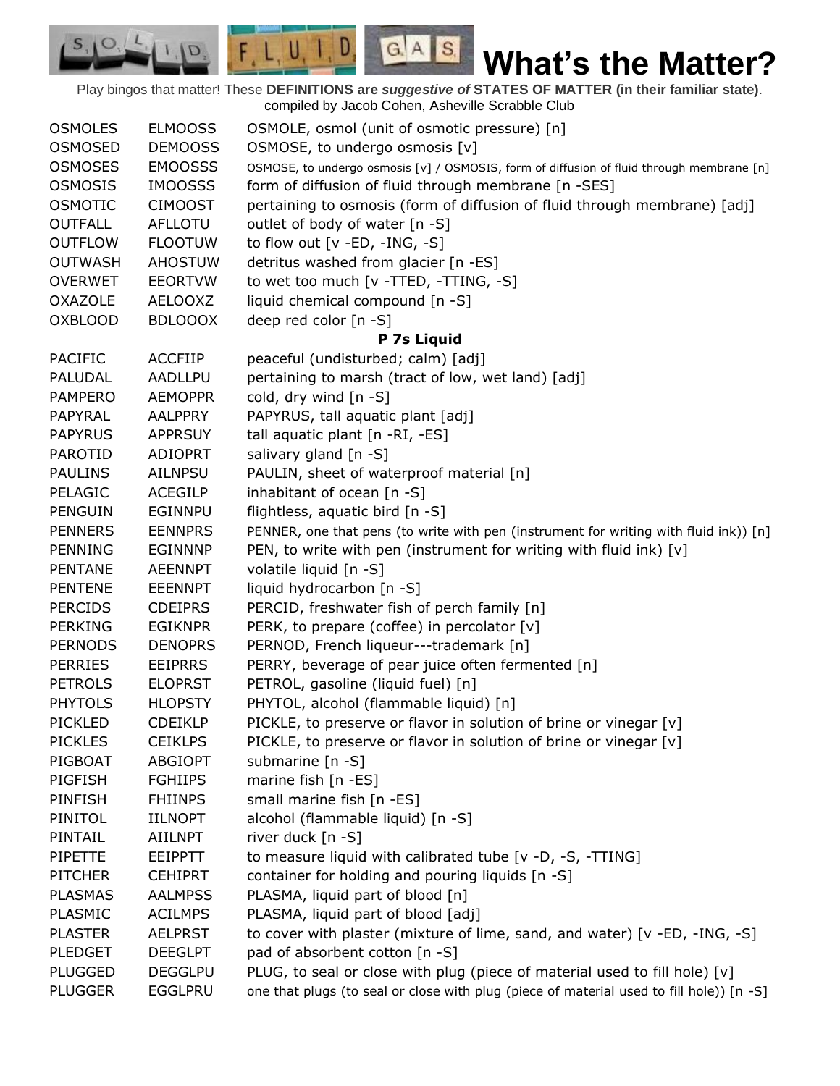Play bingos that matter! These **DEFINITIONS are** *suggestive of* **STATES OF MATTER (in their familiar state)**. compiled by Jacob Cohen, Asheville Scrabble Club

 $G.A.S.$ 

 $F, L, U, I, D$ 

D.

| <b>OSMOLES</b> | <b>ELMOOSS</b> | OSMOLE, osmol (unit of osmotic pressure) [n]                                              |
|----------------|----------------|-------------------------------------------------------------------------------------------|
| <b>OSMOSED</b> | <b>DEMOOSS</b> | OSMOSE, to undergo osmosis [v]                                                            |
| <b>OSMOSES</b> | <b>EMOOSSS</b> | OSMOSE, to undergo osmosis [v] / OSMOSIS, form of diffusion of fluid through membrane [n] |
| <b>OSMOSIS</b> | <b>IMOOSSS</b> | form of diffusion of fluid through membrane [n -SES]                                      |
| <b>OSMOTIC</b> | <b>CIMOOST</b> | pertaining to osmosis (form of diffusion of fluid through membrane) [adj]                 |
| <b>OUTFALL</b> | <b>AFLLOTU</b> | outlet of body of water [n -S]                                                            |
| <b>OUTFLOW</b> | <b>FLOOTUW</b> | to flow out $[v - ED, -ING, -S]$                                                          |
| <b>OUTWASH</b> | <b>AHOSTUW</b> | detritus washed from glacier [n -ES]                                                      |
| <b>OVERWET</b> | <b>EEORTVW</b> | to wet too much [v -TTED, -TTING, -S]                                                     |
| <b>OXAZOLE</b> | <b>AELOOXZ</b> | liquid chemical compound [n -S]                                                           |
| <b>OXBLOOD</b> | <b>BDLOOOX</b> | deep red color [n -S]                                                                     |
|                |                | P 7s Liquid                                                                               |
| <b>PACIFIC</b> | <b>ACCFIIP</b> | peaceful (undisturbed; calm) [adj]                                                        |
| PALUDAL        | AADLLPU        | pertaining to marsh (tract of low, wet land) [adj]                                        |
| <b>PAMPERO</b> | <b>AEMOPPR</b> | cold, dry wind [n -S]                                                                     |
| PAPYRAL        | <b>AALPPRY</b> | PAPYRUS, tall aquatic plant [adj]                                                         |
| <b>PAPYRUS</b> | <b>APPRSUY</b> | tall aquatic plant [n -RI, -ES]                                                           |
| <b>PAROTID</b> | <b>ADIOPRT</b> | salivary gland [n -S]                                                                     |
| <b>PAULINS</b> | <b>AILNPSU</b> | PAULIN, sheet of waterproof material [n]                                                  |
| PELAGIC        | <b>ACEGILP</b> | inhabitant of ocean [n -S]                                                                |
| <b>PENGUIN</b> | <b>EGINNPU</b> | flightless, aquatic bird [n -S]                                                           |
| <b>PENNERS</b> | <b>EENNPRS</b> | PENNER, one that pens (to write with pen (instrument for writing with fluid ink)) [n]     |
| <b>PENNING</b> | <b>EGINNNP</b> | PEN, to write with pen (instrument for writing with fluid ink) [v]                        |
| <b>PENTANE</b> | <b>AEENNPT</b> | volatile liquid [n -S]                                                                    |
| <b>PENTENE</b> | <b>EEENNPT</b> | liquid hydrocarbon [n -S]                                                                 |
| <b>PERCIDS</b> | <b>CDEIPRS</b> | PERCID, freshwater fish of perch family [n]                                               |
| <b>PERKING</b> | <b>EGIKNPR</b> | PERK, to prepare (coffee) in percolator [v]                                               |
| <b>PERNODS</b> | <b>DENOPRS</b> | PERNOD, French liqueur---trademark [n]                                                    |
| <b>PERRIES</b> | <b>EEIPRRS</b> | PERRY, beverage of pear juice often fermented [n]                                         |
| <b>PETROLS</b> | <b>ELOPRST</b> | PETROL, gasoline (liquid fuel) [n]                                                        |
| <b>PHYTOLS</b> | <b>HLOPSTY</b> | PHYTOL, alcohol (flammable liquid) [n]                                                    |
| <b>PICKLED</b> | <b>CDEIKLP</b> | PICKLE, to preserve or flavor in solution of brine or vinegar [v]                         |
| <b>PICKLES</b> | <b>CEIKLPS</b> | PICKLE, to preserve or flavor in solution of brine or vinegar [v]                         |
| PIGBOAT        |                | submarine [n -S]                                                                          |
|                | <b>ABGIOPT</b> |                                                                                           |
| PIGFISH        | <b>FGHIIPS</b> | marine fish [n -ES]                                                                       |
| <b>PINFISH</b> | <b>FHIINPS</b> | small marine fish [n -ES]                                                                 |
| PINITOL        | <b>IILNOPT</b> | alcohol (flammable liquid) [n -S]                                                         |
| PINTAIL        | <b>AIILNPT</b> | river duck [n -S]                                                                         |
| PIPETTE        | <b>EEIPPTT</b> | to measure liquid with calibrated tube [v -D, -S, -TTING]                                 |
| <b>PITCHER</b> | <b>CEHIPRT</b> | container for holding and pouring liquids [n -S]                                          |
| <b>PLASMAS</b> | <b>AALMPSS</b> | PLASMA, liquid part of blood [n]                                                          |
| PLASMIC        | <b>ACILMPS</b> | PLASMA, liquid part of blood [adj]                                                        |
| <b>PLASTER</b> | <b>AELPRST</b> | to cover with plaster (mixture of lime, sand, and water) [v -ED, -ING, -S]                |
| <b>PLEDGET</b> | <b>DEEGLPT</b> | pad of absorbent cotton [n -S]                                                            |
| <b>PLUGGED</b> | <b>DEGGLPU</b> | PLUG, to seal or close with plug (piece of material used to fill hole) [v]                |
| <b>PLUGGER</b> | <b>EGGLPRU</b> | one that plugs (to seal or close with plug (piece of material used to fill hole)) [n -S]  |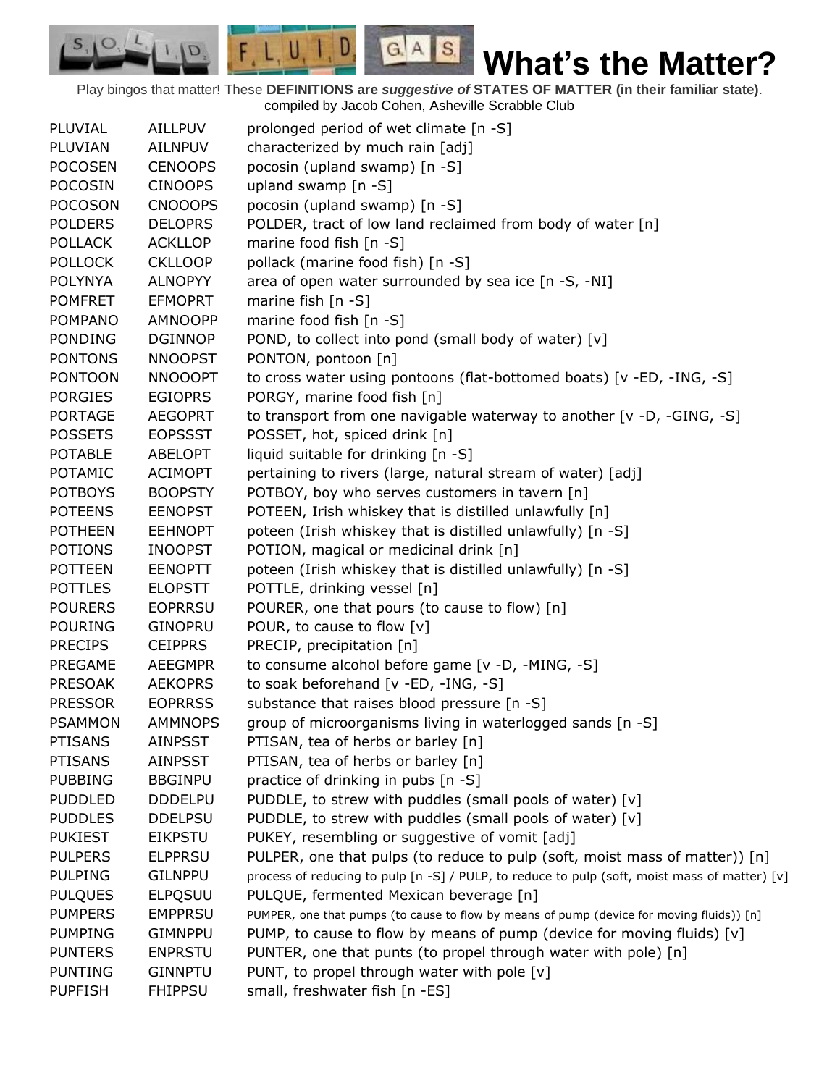Play bingos that matter! These **DEFINITIONS are** *suggestive of* **STATES OF MATTER (in their familiar state)**. compiled by Jacob Cohen, Asheville Scrabble Club

 $G.A.S.$ 

 $F, L, U, I, D$ 

D.

| <b>PLUVIAL</b> | AILLPUV        | prolonged period of wet climate [n -S]                                                        |
|----------------|----------------|-----------------------------------------------------------------------------------------------|
| PLUVIAN        | AILNPUV        | characterized by much rain [adj]                                                              |
| <b>POCOSEN</b> | <b>CENOOPS</b> | pocosin (upland swamp) [n -S]                                                                 |
| <b>POCOSIN</b> | <b>CINOOPS</b> | upland swamp [n -S]                                                                           |
| <b>POCOSON</b> | <b>CNOOOPS</b> | pocosin (upland swamp) [n -S]                                                                 |
| <b>POLDERS</b> | <b>DELOPRS</b> | POLDER, tract of low land reclaimed from body of water [n]                                    |
| <b>POLLACK</b> | <b>ACKLLOP</b> | marine food fish [n -S]                                                                       |
| <b>POLLOCK</b> | <b>CKLLOOP</b> | pollack (marine food fish) [n -S]                                                             |
| <b>POLYNYA</b> | <b>ALNOPYY</b> | area of open water surrounded by sea ice [n -S, -NI]                                          |
| <b>POMFRET</b> | <b>EFMOPRT</b> | marine fish [n -S]                                                                            |
| <b>POMPANO</b> | AMNOOPP        | marine food fish [n -S]                                                                       |
| <b>PONDING</b> | <b>DGINNOP</b> | POND, to collect into pond (small body of water) [v]                                          |
| <b>PONTONS</b> | <b>NNOOPST</b> | PONTON, pontoon [n]                                                                           |
| <b>PONTOON</b> | <b>NNOOOPT</b> | to cross water using pontoons (flat-bottomed boats) [v -ED, -ING, -S]                         |
| <b>PORGIES</b> | <b>EGIOPRS</b> | PORGY, marine food fish [n]                                                                   |
| <b>PORTAGE</b> | <b>AEGOPRT</b> | to transport from one navigable waterway to another [v -D, -GING, -S]                         |
| <b>POSSETS</b> | <b>EOPSSST</b> | POSSET, hot, spiced drink [n]                                                                 |
| <b>POTABLE</b> | <b>ABELOPT</b> | liquid suitable for drinking [n -S]                                                           |
| <b>POTAMIC</b> | <b>ACIMOPT</b> | pertaining to rivers (large, natural stream of water) [adj]                                   |
| <b>POTBOYS</b> | <b>BOOPSTY</b> | POTBOY, boy who serves customers in tavern [n]                                                |
| <b>POTEENS</b> | <b>EENOPST</b> | POTEEN, Irish whiskey that is distilled unlawfully [n]                                        |
| <b>POTHEEN</b> | <b>EEHNOPT</b> | poteen (Irish whiskey that is distilled unlawfully) [n -S]                                    |
| <b>POTIONS</b> | <b>INOOPST</b> | POTION, magical or medicinal drink [n]                                                        |
| <b>POTTEEN</b> | <b>EENOPTT</b> | poteen (Irish whiskey that is distilled unlawfully) [n -S]                                    |
| <b>POTTLES</b> | <b>ELOPSTT</b> | POTTLE, drinking vessel [n]                                                                   |
| <b>POURERS</b> | <b>EOPRRSU</b> | POURER, one that pours (to cause to flow) [n]                                                 |
| <b>POURING</b> | <b>GINOPRU</b> | POUR, to cause to flow [v]                                                                    |
| <b>PRECIPS</b> | <b>CEIPPRS</b> | PRECIP, precipitation [n]                                                                     |
| PREGAME        | <b>AEEGMPR</b> | to consume alcohol before game [v -D, -MING, -S]                                              |
| <b>PRESOAK</b> | <b>AEKOPRS</b> | to soak beforehand [v -ED, -ING, -S]                                                          |
| <b>PRESSOR</b> | <b>EOPRRSS</b> | substance that raises blood pressure [n -S]                                                   |
| <b>PSAMMON</b> | <b>AMMNOPS</b> | group of microorganisms living in waterlogged sands [n -S]                                    |
| <b>PTISANS</b> | <b>AINPSST</b> | PTISAN, tea of herbs or barley [n]                                                            |
| <b>PTISANS</b> | <b>AINPSST</b> | PTISAN, tea of herbs or barley [n]                                                            |
| <b>PUBBING</b> | <b>BBGINPU</b> | practice of drinking in pubs [n -S]                                                           |
| <b>PUDDLED</b> | <b>DDDELPU</b> | PUDDLE, to strew with puddles (small pools of water) [v]                                      |
| <b>PUDDLES</b> | <b>DDELPSU</b> | PUDDLE, to strew with puddles (small pools of water) [v]                                      |
| <b>PUKIEST</b> | <b>EIKPSTU</b> | PUKEY, resembling or suggestive of vomit [adj]                                                |
| <b>PULPERS</b> | <b>ELPPRSU</b> | PULPER, one that pulps (to reduce to pulp (soft, moist mass of matter)) [n]                   |
| <b>PULPING</b> | <b>GILNPPU</b> | process of reducing to pulp [n -S] / PULP, to reduce to pulp (soft, moist mass of matter) [v] |
| <b>PULQUES</b> | <b>ELPQSUU</b> | PULQUE, fermented Mexican beverage [n]                                                        |
| <b>PUMPERS</b> | <b>EMPPRSU</b> | PUMPER, one that pumps (to cause to flow by means of pump (device for moving fluids)) [n]     |
| <b>PUMPING</b> | <b>GIMNPPU</b> | PUMP, to cause to flow by means of pump (device for moving fluids) [v]                        |
| <b>PUNTERS</b> | <b>ENPRSTU</b> | PUNTER, one that punts (to propel through water with pole) [n]                                |
| <b>PUNTING</b> | <b>GINNPTU</b> | PUNT, to propel through water with pole [v]                                                   |
| <b>PUPFISH</b> | <b>FHIPPSU</b> | small, freshwater fish [n -ES]                                                                |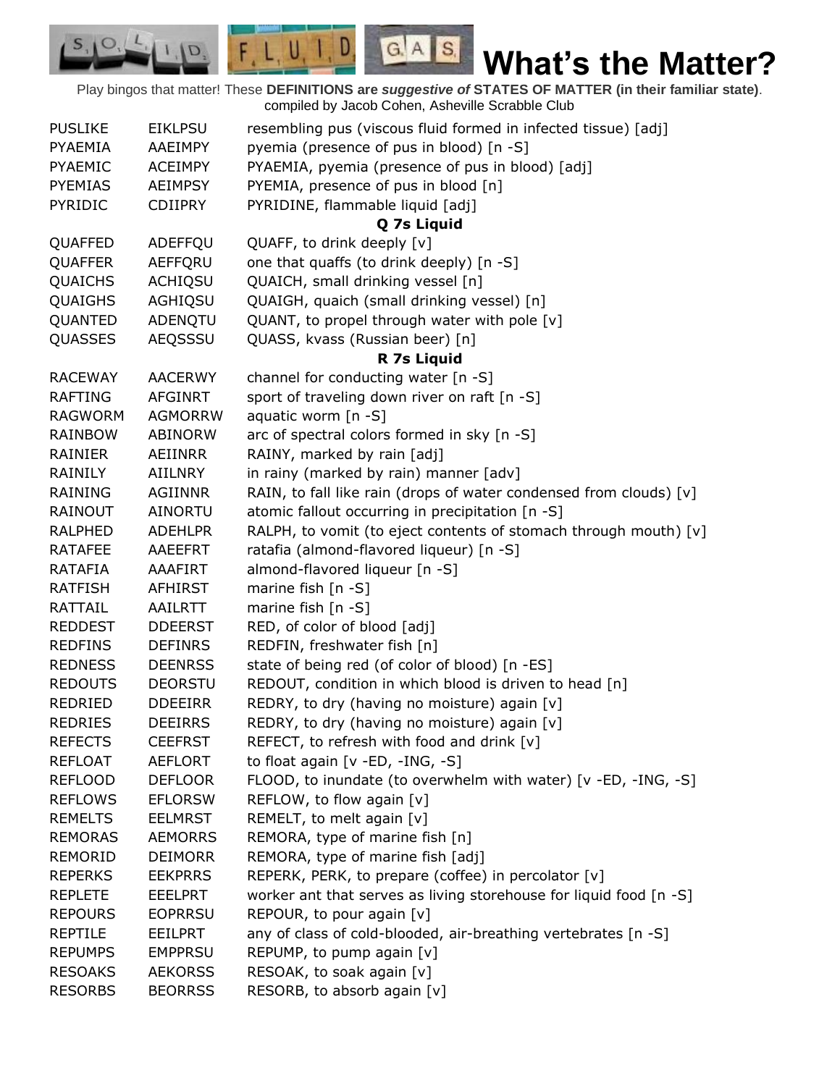Play bingos that matter! These **DEFINITIONS are** *suggestive of* **STATES OF MATTER (in their familiar state)**. compiled by Jacob Cohen, Asheville Scrabble Club

 $G.A.S.$ 

 $F, L, U, I, D$ 

D.

| <b>PUSLIKE</b> | <b>EIKLPSU</b> | resembling pus (viscous fluid formed in infected tissue) [adj]     |
|----------------|----------------|--------------------------------------------------------------------|
| PYAEMIA        | AAEIMPY        | pyemia (presence of pus in blood) [n -S]                           |
| PYAEMIC        | <b>ACEIMPY</b> | PYAEMIA, pyemia (presence of pus in blood) [adj]                   |
| <b>PYEMIAS</b> | <b>AEIMPSY</b> | PYEMIA, presence of pus in blood [n]                               |
| <b>PYRIDIC</b> | <b>CDIIPRY</b> | PYRIDINE, flammable liquid [adj]                                   |
|                |                | Q 7s Liquid                                                        |
| QUAFFED        | ADEFFQU        | QUAFF, to drink deeply [v]                                         |
| QUAFFER        | AEFFQRU        | one that quaffs (to drink deeply) [n -S]                           |
| <b>QUAICHS</b> | <b>ACHIQSU</b> | QUAICH, small drinking vessel [n]                                  |
| QUAIGHS        | AGHIQSU        | QUAIGH, quaich (small drinking vessel) [n]                         |
| QUANTED        | ADENQTU        | QUANT, to propel through water with pole [v]                       |
| QUASSES        | AEQSSSU        | QUASS, kvass (Russian beer) [n]                                    |
|                |                | R 7s Liquid                                                        |
| <b>RACEWAY</b> | <b>AACERWY</b> | channel for conducting water [n -S]                                |
| <b>RAFTING</b> | <b>AFGINRT</b> | sport of traveling down river on raft [n -S]                       |
| <b>RAGWORM</b> | <b>AGMORRW</b> | aquatic worm $[n -S]$                                              |
| <b>RAINBOW</b> | <b>ABINORW</b> | arc of spectral colors formed in sky [n -S]                        |
| RAINIER        | AEIINRR        | RAINY, marked by rain [adj]                                        |
| RAINILY        | AIILNRY        | in rainy (marked by rain) manner [adv]                             |
| <b>RAINING</b> | AGIINNR        | RAIN, to fall like rain (drops of water condensed from clouds) [v] |
| RAINOUT        | AINORTU        | atomic fallout occurring in precipitation [n -S]                   |
| <b>RALPHED</b> | <b>ADEHLPR</b> | RALPH, to vomit (to eject contents of stomach through mouth) [v]   |
| <b>RATAFEE</b> | AAEEFRT        | ratafia (almond-flavored liqueur) [n -S]                           |
| <b>RATAFIA</b> | AAAFIRT        | almond-flavored liqueur [n -S]                                     |
| <b>RATFISH</b> | <b>AFHIRST</b> | marine fish $[n - S]$                                              |
| <b>RATTAIL</b> | AAILRTT        | marine fish [n -S]                                                 |
| <b>REDDEST</b> | <b>DDEERST</b> | RED, of color of blood [adj]                                       |
| <b>REDFINS</b> | <b>DEFINRS</b> | REDFIN, freshwater fish [n]                                        |
| <b>REDNESS</b> | <b>DEENRSS</b> | state of being red (of color of blood) [n -ES]                     |
| <b>REDOUTS</b> | <b>DEORSTU</b> | REDOUT, condition in which blood is driven to head [n]             |
| REDRIED        | <b>DDEEIRR</b> | REDRY, to dry (having no moisture) again [v]                       |
| <b>REDRIES</b> | <b>DEEIRRS</b> | REDRY, to dry (having no moisture) again [v]                       |
| <b>REFECTS</b> | <b>CEEFRST</b> | REFECT, to refresh with food and drink [v]                         |
| <b>REFLOAT</b> | AEFLORT        | to float again [v -ED, -ING, -S]                                   |
| <b>REFLOOD</b> | <b>DEFLOOR</b> |                                                                    |
|                |                | FLOOD, to inundate (to overwhelm with water) [v -ED, -ING, -S]     |
| <b>REFLOWS</b> | <b>EFLORSW</b> | REFLOW, to flow again [v]                                          |
| <b>REMELTS</b> | <b>EELMRST</b> | REMELT, to melt again [v]                                          |
| <b>REMORAS</b> | <b>AEMORRS</b> | REMORA, type of marine fish [n]                                    |
| <b>REMORID</b> | <b>DEIMORR</b> | REMORA, type of marine fish [adj]                                  |
| <b>REPERKS</b> | <b>EEKPRRS</b> | REPERK, PERK, to prepare (coffee) in percolator [v]                |
| <b>REPLETE</b> | <b>EEELPRT</b> | worker ant that serves as living storehouse for liquid food [n -S] |
| <b>REPOURS</b> | <b>EOPRRSU</b> | REPOUR, to pour again [v]                                          |
| <b>REPTILE</b> | <b>EEILPRT</b> | any of class of cold-blooded, air-breathing vertebrates [n -S]     |
| <b>REPUMPS</b> | <b>EMPPRSU</b> | REPUMP, to pump again [v]                                          |
| <b>RESOAKS</b> | <b>AEKORSS</b> | RESOAK, to soak again [v]                                          |
| <b>RESORBS</b> | <b>BEORRSS</b> | RESORB, to absorb again [v]                                        |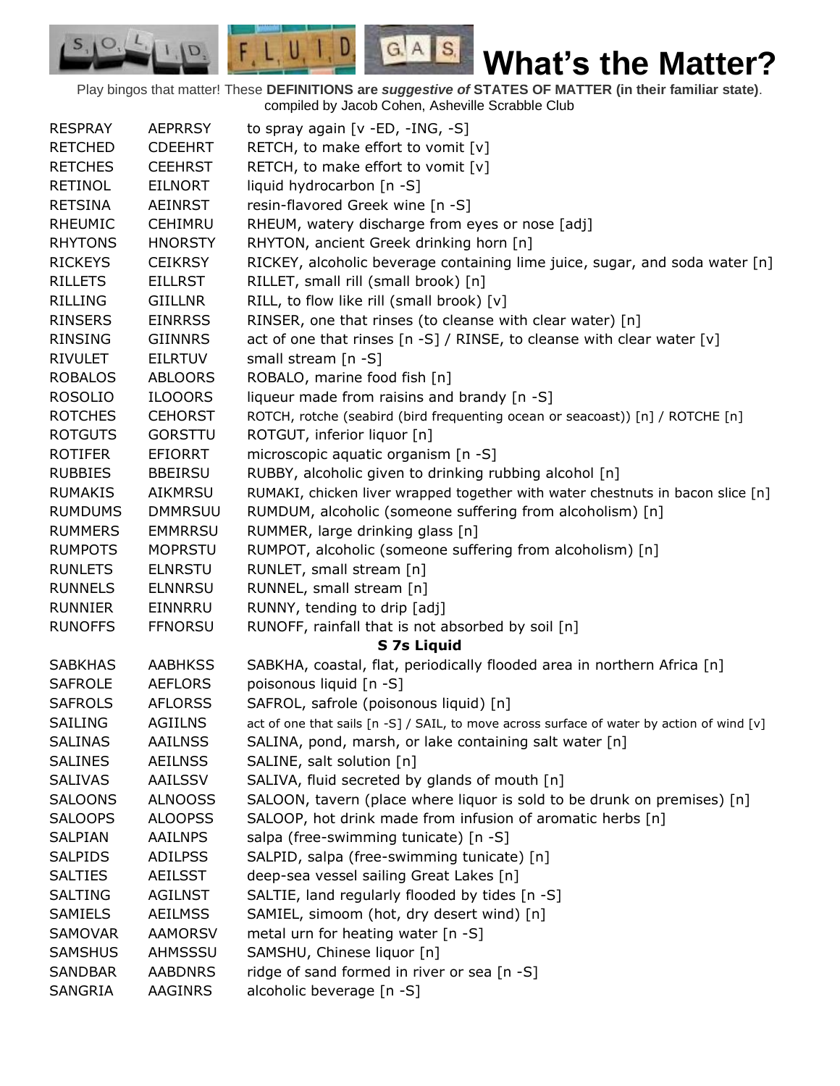Play bingos that matter! These **DEFINITIONS are** *suggestive of* **STATES OF MATTER (in their familiar state)**. compiled by Jacob Cohen, Asheville Scrabble Club

 $G.A.S.$ 

 $F, L, U, I, D$ 

D.

| <b>RESPRAY</b> | <b>AEPRRSY</b> | to spray again $[v - ED, -ING, -S]$                                                            |
|----------------|----------------|------------------------------------------------------------------------------------------------|
| <b>RETCHED</b> | <b>CDEEHRT</b> | RETCH, to make effort to vomit [v]                                                             |
| <b>RETCHES</b> | <b>CEEHRST</b> | RETCH, to make effort to vomit [v]                                                             |
| <b>RETINOL</b> | <b>EILNORT</b> | liquid hydrocarbon [n -S]                                                                      |
| <b>RETSINA</b> | <b>AEINRST</b> | resin-flavored Greek wine [n -S]                                                               |
| <b>RHEUMIC</b> | <b>CEHIMRU</b> | RHEUM, watery discharge from eyes or nose [adj]                                                |
| <b>RHYTONS</b> | <b>HNORSTY</b> | RHYTON, ancient Greek drinking horn [n]                                                        |
| <b>RICKEYS</b> | <b>CEIKRSY</b> | RICKEY, alcoholic beverage containing lime juice, sugar, and soda water [n]                    |
| <b>RILLETS</b> | <b>EILLRST</b> | RILLET, small rill (small brook) [n]                                                           |
| <b>RILLING</b> | <b>GIILLNR</b> | RILL, to flow like rill (small brook) [v]                                                      |
| <b>RINSERS</b> | <b>EINRRSS</b> | RINSER, one that rinses (to cleanse with clear water) [n]                                      |
| <b>RINSING</b> | <b>GIINNRS</b> | act of one that rinses [n -S] / RINSE, to cleanse with clear water [v]                         |
| <b>RIVULET</b> | <b>EILRTUV</b> | small stream [n -S]                                                                            |
| <b>ROBALOS</b> | <b>ABLOORS</b> | ROBALO, marine food fish [n]                                                                   |
| <b>ROSOLIO</b> | <b>ILOOORS</b> | liqueur made from raisins and brandy [n -S]                                                    |
| <b>ROTCHES</b> | <b>CEHORST</b> | ROTCH, rotche (seabird (bird frequenting ocean or seacoast)) [n] / ROTCHE [n]                  |
| <b>ROTGUTS</b> | <b>GORSTTU</b> | ROTGUT, inferior liquor [n]                                                                    |
| <b>ROTIFER</b> | <b>EFIORRT</b> | microscopic aquatic organism [n -S]                                                            |
| <b>RUBBIES</b> | <b>BBEIRSU</b> | RUBBY, alcoholic given to drinking rubbing alcohol [n]                                         |
| <b>RUMAKIS</b> | <b>AIKMRSU</b> | RUMAKI, chicken liver wrapped together with water chestnuts in bacon slice [n]                 |
| <b>RUMDUMS</b> | <b>DMMRSUU</b> | RUMDUM, alcoholic (someone suffering from alcoholism) [n]                                      |
| <b>RUMMERS</b> | <b>EMMRRSU</b> | RUMMER, large drinking glass [n]                                                               |
| <b>RUMPOTS</b> | <b>MOPRSTU</b> | RUMPOT, alcoholic (someone suffering from alcoholism) [n]                                      |
| <b>RUNLETS</b> | <b>ELNRSTU</b> | RUNLET, small stream [n]                                                                       |
| <b>RUNNELS</b> | <b>ELNNRSU</b> | RUNNEL, small stream [n]                                                                       |
| <b>RUNNIER</b> | EINNRRU        | RUNNY, tending to drip [adj]                                                                   |
| <b>RUNOFFS</b> | <b>FFNORSU</b> | RUNOFF, rainfall that is not absorbed by soil [n]                                              |
|                |                | S 7s Liquid                                                                                    |
| <b>SABKHAS</b> | <b>AABHKSS</b> | SABKHA, coastal, flat, periodically flooded area in northern Africa [n]                        |
| <b>SAFROLE</b> | <b>AEFLORS</b> | poisonous liquid [n -S]                                                                        |
| <b>SAFROLS</b> | <b>AFLORSS</b> | SAFROL, safrole (poisonous liquid) [n]                                                         |
| <b>SAILING</b> | <b>AGIILNS</b> | act of one that sails $[n -S]$ / SAIL, to move across surface of water by action of wind $[v]$ |
| <b>SALINAS</b> | <b>AAILNSS</b> | SALINA, pond, marsh, or lake containing salt water [n]                                         |
| <b>SALINES</b> | <b>AEILNSS</b> | SALINE, salt solution [n]                                                                      |
| <b>SALIVAS</b> | <b>AAILSSV</b> | SALIVA, fluid secreted by glands of mouth [n]                                                  |
| <b>SALOONS</b> | <b>ALNOOSS</b> | SALOON, tavern (place where liquor is sold to be drunk on premises) [n]                        |
| <b>SALOOPS</b> | <b>ALOOPSS</b> | SALOOP, hot drink made from infusion of aromatic herbs [n]                                     |
| <b>SALPIAN</b> | <b>AAILNPS</b> | salpa (free-swimming tunicate) [n -S]                                                          |
| <b>SALPIDS</b> | <b>ADILPSS</b> | SALPID, salpa (free-swimming tunicate) [n]                                                     |
| <b>SALTIES</b> | <b>AEILSST</b> | deep-sea vessel sailing Great Lakes [n]                                                        |
| <b>SALTING</b> | <b>AGILNST</b> | SALTIE, land regularly flooded by tides [n -S]                                                 |
| <b>SAMIELS</b> | <b>AEILMSS</b> | SAMIEL, simoom (hot, dry desert wind) [n]                                                      |
| <b>SAMOVAR</b> | <b>AAMORSV</b> | metal urn for heating water [n -S]                                                             |
| <b>SAMSHUS</b> | AHMSSSU        | SAMSHU, Chinese liquor [n]                                                                     |
| <b>SANDBAR</b> | <b>AABDNRS</b> | ridge of sand formed in river or sea [n -S]                                                    |
| SANGRIA        | AAGINRS        | alcoholic beverage [n -S]                                                                      |
|                |                |                                                                                                |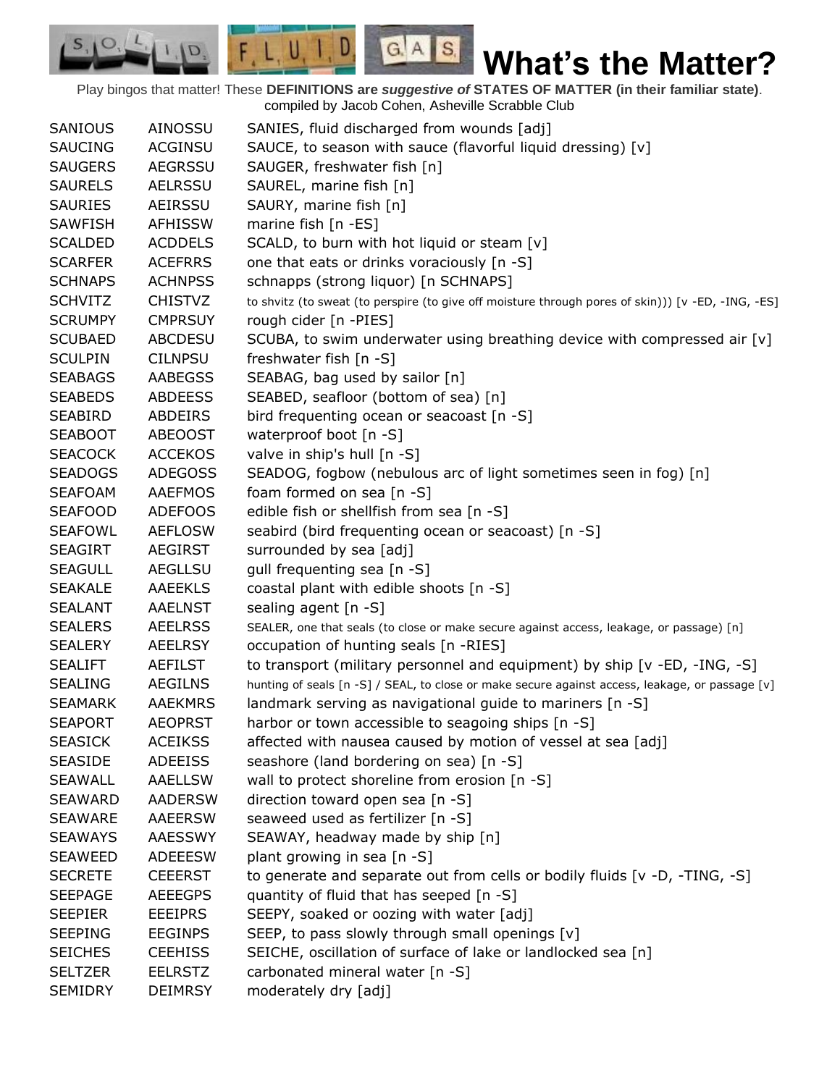Play bingos that matter! These **DEFINITIONS are** *suggestive of* **STATES OF MATTER (in their familiar state)**. compiled by Jacob Cohen, Asheville Scrabble Club

 $G.A.S.$ 

 $F, L, U, I, D$ 

D.

| <b>SANIOUS</b> | <b>AINOSSU</b> | SANIES, fluid discharged from wounds [adj]                                                         |
|----------------|----------------|----------------------------------------------------------------------------------------------------|
| <b>SAUCING</b> | <b>ACGINSU</b> | SAUCE, to season with sauce (flavorful liquid dressing) [v]                                        |
| <b>SAUGERS</b> | <b>AEGRSSU</b> | SAUGER, freshwater fish [n]                                                                        |
| <b>SAURELS</b> | <b>AELRSSU</b> | SAUREL, marine fish [n]                                                                            |
| <b>SAURIES</b> | AEIRSSU        | SAURY, marine fish [n]                                                                             |
| <b>SAWFISH</b> | <b>AFHISSW</b> | marine fish [n -ES]                                                                                |
| <b>SCALDED</b> | <b>ACDDELS</b> | SCALD, to burn with hot liquid or steam [v]                                                        |
| <b>SCARFER</b> | <b>ACEFRRS</b> | one that eats or drinks voraciously [n -S]                                                         |
| <b>SCHNAPS</b> | <b>ACHNPSS</b> | schnapps (strong liquor) [n SCHNAPS]                                                               |
| <b>SCHVITZ</b> | <b>CHISTVZ</b> | to shvitz (to sweat (to perspire (to give off moisture through pores of skin))) [v -ED, -ING, -ES] |
| <b>SCRUMPY</b> | <b>CMPRSUY</b> | rough cider [n -PIES]                                                                              |
| <b>SCUBAED</b> | <b>ABCDESU</b> | SCUBA, to swim underwater using breathing device with compressed air [v]                           |
| <b>SCULPIN</b> | <b>CILNPSU</b> | freshwater fish [n -S]                                                                             |
| <b>SEABAGS</b> | <b>AABEGSS</b> | SEABAG, bag used by sailor [n]                                                                     |
| <b>SEABEDS</b> | <b>ABDEESS</b> | SEABED, seafloor (bottom of sea) [n]                                                               |
| <b>SEABIRD</b> | <b>ABDEIRS</b> | bird frequenting ocean or seacoast [n -S]                                                          |
| <b>SEABOOT</b> | <b>ABEOOST</b> | waterproof boot [n -S]                                                                             |
| <b>SEACOCK</b> | <b>ACCEKOS</b> | valve in ship's hull [n -S]                                                                        |
| <b>SEADOGS</b> | <b>ADEGOSS</b> | SEADOG, fogbow (nebulous arc of light sometimes seen in fog) [n]                                   |
| <b>SEAFOAM</b> | <b>AAEFMOS</b> | foam formed on sea [n -S]                                                                          |
| <b>SEAFOOD</b> | <b>ADEFOOS</b> | edible fish or shellfish from sea [n -S]                                                           |
| <b>SEAFOWL</b> | <b>AEFLOSW</b> | seabird (bird frequenting ocean or seacoast) [n -S]                                                |
| <b>SEAGIRT</b> | <b>AEGIRST</b> | surrounded by sea [adj]                                                                            |
| <b>SEAGULL</b> | <b>AEGLLSU</b> | gull frequenting sea [n -S]                                                                        |
| <b>SEAKALE</b> | <b>AAEEKLS</b> | coastal plant with edible shoots [n -S]                                                            |
| <b>SEALANT</b> | <b>AAELNST</b> | sealing agent [n -S]                                                                               |
| <b>SEALERS</b> | <b>AEELRSS</b> | SEALER, one that seals (to close or make secure against access, leakage, or passage) [n]           |
| <b>SEALERY</b> | <b>AEELRSY</b> | occupation of hunting seals [n -RIES]                                                              |
| <b>SEALIFT</b> | <b>AEFILST</b> | to transport (military personnel and equipment) by ship [v -ED, -ING, -S]                          |
| <b>SEALING</b> | <b>AEGILNS</b> | hunting of seals [n -S] / SEAL, to close or make secure against access, leakage, or passage [v]    |
| <b>SEAMARK</b> | <b>AAEKMRS</b> | landmark serving as navigational guide to mariners [n -S]                                          |
| <b>SEAPORT</b> | <b>AEOPRST</b> | harbor or town accessible to seagoing ships [n -S]                                                 |
| <b>SEASICK</b> | <b>ACEIKSS</b> | affected with nausea caused by motion of vessel at sea [adj]                                       |
| <b>SEASIDE</b> | <b>ADEEISS</b> | seashore (land bordering on sea) [n -S]                                                            |
| <b>SEAWALL</b> | <b>AAELLSW</b> | wall to protect shoreline from erosion [n -S]                                                      |
| <b>SEAWARD</b> | <b>AADERSW</b> | direction toward open sea [n -S]                                                                   |
| <b>SEAWARE</b> | <b>AAEERSW</b> | seaweed used as fertilizer [n -S]                                                                  |
| <b>SEAWAYS</b> | AAESSWY        | SEAWAY, headway made by ship [n]                                                                   |
| <b>SEAWEED</b> | <b>ADEEESW</b> | plant growing in sea [n -S]                                                                        |
| <b>SECRETE</b> | <b>CEEERST</b> | to generate and separate out from cells or bodily fluids [v -D, -TING, -S]                         |
| <b>SEEPAGE</b> | <b>AEEEGPS</b> | quantity of fluid that has seeped [n -S]                                                           |
| <b>SEEPIER</b> | <b>EEEIPRS</b> | SEEPY, soaked or oozing with water [adj]                                                           |
| <b>SEEPING</b> | <b>EEGINPS</b> | SEEP, to pass slowly through small openings [v]                                                    |
| <b>SEICHES</b> | <b>CEEHISS</b> | SEICHE, oscillation of surface of lake or landlocked sea [n]                                       |
| <b>SELTZER</b> | <b>EELRSTZ</b> | carbonated mineral water [n -S]                                                                    |
| <b>SEMIDRY</b> | <b>DEIMRSY</b> | moderately dry [adj]                                                                               |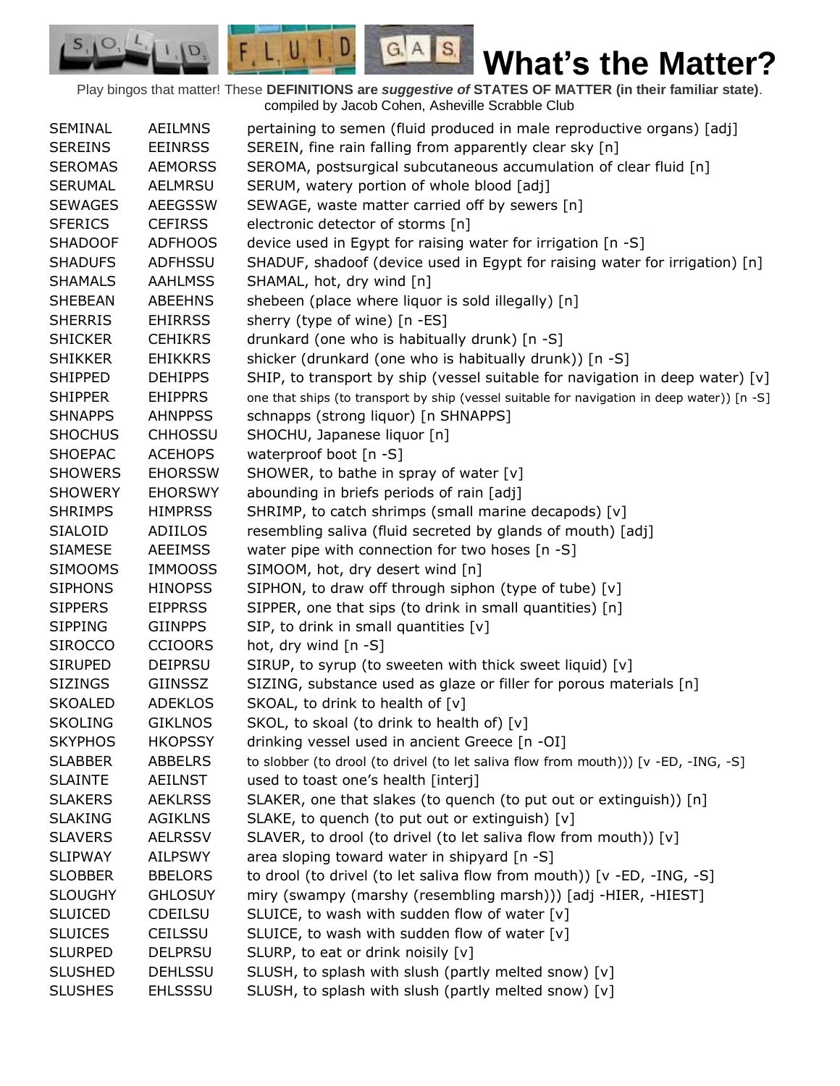Play bingos that matter! These **DEFINITIONS are** *suggestive of* **STATES OF MATTER (in their familiar state)**. compiled by Jacob Cohen, Asheville Scrabble Club

 $G.A.S.$ 

 $F, L, U, I, D$ 

D.

| SEMINAL        | <b>AEILMNS</b> | pertaining to semen (fluid produced in male reproductive organs) [adj]                      |
|----------------|----------------|---------------------------------------------------------------------------------------------|
| <b>SEREINS</b> | <b>EEINRSS</b> | SEREIN, fine rain falling from apparently clear sky [n]                                     |
| <b>SEROMAS</b> | <b>AEMORSS</b> | SEROMA, postsurgical subcutaneous accumulation of clear fluid [n]                           |
| <b>SERUMAL</b> | AELMRSU        | SERUM, watery portion of whole blood [adj]                                                  |
| <b>SEWAGES</b> | <b>AEEGSSW</b> | SEWAGE, waste matter carried off by sewers [n]                                              |
| <b>SFERICS</b> | <b>CEFIRSS</b> | electronic detector of storms [n]                                                           |
| <b>SHADOOF</b> | <b>ADFHOOS</b> | device used in Egypt for raising water for irrigation [n -S]                                |
| <b>SHADUFS</b> | <b>ADFHSSU</b> | SHADUF, shadoof (device used in Egypt for raising water for irrigation) [n]                 |
| <b>SHAMALS</b> | <b>AAHLMSS</b> | SHAMAL, hot, dry wind [n]                                                                   |
| <b>SHEBEAN</b> | <b>ABEEHNS</b> | shebeen (place where liquor is sold illegally) [n]                                          |
| <b>SHERRIS</b> | <b>EHIRRSS</b> | sherry (type of wine) [n -ES]                                                               |
| <b>SHICKER</b> | <b>CEHIKRS</b> | drunkard (one who is habitually drunk) [n -S]                                               |
| <b>SHIKKER</b> | <b>EHIKKRS</b> | shicker (drunkard (one who is habitually drunk)) [n -S]                                     |
| <b>SHIPPED</b> | <b>DEHIPPS</b> | SHIP, to transport by ship (vessel suitable for navigation in deep water) [v]               |
| <b>SHIPPER</b> | <b>EHIPPRS</b> | one that ships (to transport by ship (vessel suitable for navigation in deep water)) [n -S] |
| <b>SHNAPPS</b> | <b>AHNPPSS</b> | schnapps (strong liquor) [n SHNAPPS]                                                        |
| <b>SHOCHUS</b> | <b>CHHOSSU</b> | SHOCHU, Japanese liquor [n]                                                                 |
| <b>SHOEPAC</b> | <b>ACEHOPS</b> | waterproof boot [n -S]                                                                      |
| <b>SHOWERS</b> | <b>EHORSSW</b> | SHOWER, to bathe in spray of water [v]                                                      |
| <b>SHOWERY</b> | <b>EHORSWY</b> | abounding in briefs periods of rain [adj]                                                   |
| <b>SHRIMPS</b> | <b>HIMPRSS</b> | SHRIMP, to catch shrimps (small marine decapods) [v]                                        |
| SIALOID        | ADIILOS        | resembling saliva (fluid secreted by glands of mouth) [adj]                                 |
| <b>SIAMESE</b> | <b>AEEIMSS</b> | water pipe with connection for two hoses [n -S]                                             |
| <b>SIMOOMS</b> | <b>IMMOOSS</b> | SIMOOM, hot, dry desert wind [n]                                                            |
| <b>SIPHONS</b> | <b>HINOPSS</b> | SIPHON, to draw off through siphon (type of tube) [v]                                       |
| <b>SIPPERS</b> | <b>EIPPRSS</b> | SIPPER, one that sips (to drink in small quantities) [n]                                    |
| <b>SIPPING</b> | <b>GIINPPS</b> | SIP, to drink in small quantities [v]                                                       |
| <b>SIROCCO</b> | <b>CCIOORS</b> | hot, dry wind [n -S]                                                                        |
| <b>SIRUPED</b> | <b>DEIPRSU</b> | SIRUP, to syrup (to sweeten with thick sweet liquid) [v]                                    |
| <b>SIZINGS</b> | GIINSSZ        | SIZING, substance used as glaze or filler for porous materials [n]                          |
| <b>SKOALED</b> | <b>ADEKLOS</b> | SKOAL, to drink to health of [v]                                                            |
| <b>SKOLING</b> | <b>GIKLNOS</b> | SKOL, to skoal (to drink to health of) [v]                                                  |
| <b>SKYPHOS</b> | <b>HKOPSSY</b> | drinking vessel used in ancient Greece [n -OI]                                              |
| <b>SLABBER</b> | <b>ABBELRS</b> | to slobber (to drool (to drivel (to let saliva flow from mouth))) [v -ED, -ING, -S]         |
| <b>SLAINTE</b> | <b>AEILNST</b> | used to toast one's health [interj]                                                         |
| <b>SLAKERS</b> | <b>AEKLRSS</b> | SLAKER, one that slakes (to quench (to put out or extinguish)) [n]                          |
| <b>SLAKING</b> | <b>AGIKLNS</b> | SLAKE, to quench (to put out or extinguish) [v]                                             |
| <b>SLAVERS</b> | <b>AELRSSV</b> | SLAVER, to drool (to drivel (to let saliva flow from mouth)) [v]                            |
| <b>SLIPWAY</b> | <b>AILPSWY</b> | area sloping toward water in shipyard [n -S]                                                |
| <b>SLOBBER</b> | <b>BBELORS</b> | to drool (to drivel (to let saliva flow from mouth)) [v -ED, -ING, -S]                      |
| <b>SLOUGHY</b> | <b>GHLOSUY</b> | miry (swampy (marshy (resembling marsh))) [adj -HIER, -HIEST]                               |
| <b>SLUICED</b> | <b>CDEILSU</b> | SLUICE, to wash with sudden flow of water [v]                                               |
| <b>SLUICES</b> | <b>CEILSSU</b> | SLUICE, to wash with sudden flow of water [v]                                               |
| <b>SLURPED</b> | <b>DELPRSU</b> | SLURP, to eat or drink noisily [v]                                                          |
| <b>SLUSHED</b> | <b>DEHLSSU</b> | SLUSH, to splash with slush (partly melted snow) [v]                                        |
| <b>SLUSHES</b> | <b>EHLSSSU</b> | SLUSH, to splash with slush (partly melted snow) [v]                                        |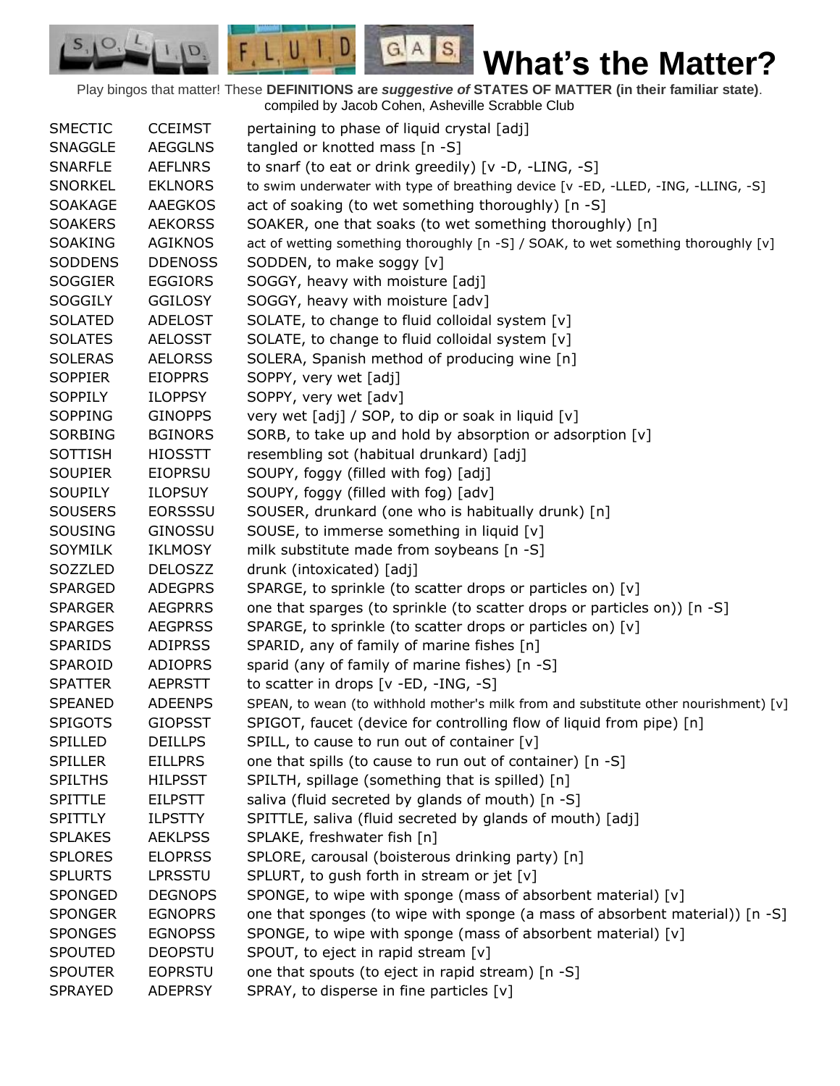Play bingos that matter! These **DEFINITIONS are** *suggestive of* **STATES OF MATTER (in their familiar state)**. compiled by Jacob Cohen, Asheville Scrabble Club

 $G.A.S.$ 

 $F, L, U, I, D$ 

D.

| <b>SMECTIC</b> | <b>CCEIMST</b> |                                                                                      |
|----------------|----------------|--------------------------------------------------------------------------------------|
|                |                | pertaining to phase of liquid crystal [adj]                                          |
| <b>SNAGGLE</b> | <b>AEGGLNS</b> | tangled or knotted mass [n -S]                                                       |
| <b>SNARFLE</b> | <b>AEFLNRS</b> | to snarf (to eat or drink greedily) [v -D, -LING, -S]                                |
| <b>SNORKEL</b> | <b>EKLNORS</b> | to swim underwater with type of breathing device [v -ED, -LLED, -ING, -LLING, -S]    |
| <b>SOAKAGE</b> | <b>AAEGKOS</b> | act of soaking (to wet something thoroughly) [n -S]                                  |
| <b>SOAKERS</b> | <b>AEKORSS</b> | SOAKER, one that soaks (to wet something thoroughly) [n]                             |
| <b>SOAKING</b> | <b>AGIKNOS</b> | act of wetting something thoroughly [n -S] / SOAK, to wet something thoroughly [v]   |
| <b>SODDENS</b> | <b>DDENOSS</b> | SODDEN, to make soggy [v]                                                            |
| <b>SOGGIER</b> | <b>EGGIORS</b> | SOGGY, heavy with moisture [adj]                                                     |
| <b>SOGGILY</b> | <b>GGILOSY</b> | SOGGY, heavy with moisture [adv]                                                     |
| <b>SOLATED</b> | <b>ADELOST</b> | SOLATE, to change to fluid colloidal system [v]                                      |
| <b>SOLATES</b> | <b>AELOSST</b> | SOLATE, to change to fluid colloidal system [v]                                      |
| <b>SOLERAS</b> | <b>AELORSS</b> | SOLERA, Spanish method of producing wine [n]                                         |
| <b>SOPPIER</b> | <b>EIOPPRS</b> | SOPPY, very wet [adj]                                                                |
| <b>SOPPILY</b> | <b>ILOPPSY</b> | SOPPY, very wet [adv]                                                                |
| <b>SOPPING</b> | <b>GINOPPS</b> | very wet [adj] / SOP, to dip or soak in liquid [v]                                   |
| <b>SORBING</b> | <b>BGINORS</b> | SORB, to take up and hold by absorption or adsorption [v]                            |
| <b>SOTTISH</b> | <b>HIOSSTT</b> | resembling sot (habitual drunkard) [adj]                                             |
| <b>SOUPIER</b> | <b>EIOPRSU</b> | SOUPY, foggy (filled with fog) [adj]                                                 |
| <b>SOUPILY</b> | <b>ILOPSUY</b> | SOUPY, foggy (filled with fog) [adv]                                                 |
| <b>SOUSERS</b> | <b>EORSSSU</b> | SOUSER, drunkard (one who is habitually drunk) [n]                                   |
| <b>SOUSING</b> | GINOSSU        | SOUSE, to immerse something in liquid [v]                                            |
| <b>SOYMILK</b> | <b>IKLMOSY</b> | milk substitute made from soybeans [n -S]                                            |
| SOZZLED        | <b>DELOSZZ</b> | drunk (intoxicated) [adj]                                                            |
| <b>SPARGED</b> | <b>ADEGPRS</b> | SPARGE, to sprinkle (to scatter drops or particles on) [v]                           |
| <b>SPARGER</b> | <b>AEGPRRS</b> | one that sparges (to sprinkle (to scatter drops or particles on)) [n -S]             |
| <b>SPARGES</b> | <b>AEGPRSS</b> | SPARGE, to sprinkle (to scatter drops or particles on) [v]                           |
| <b>SPARIDS</b> | <b>ADIPRSS</b> | SPARID, any of family of marine fishes [n]                                           |
| SPAROID        | <b>ADIOPRS</b> | sparid (any of family of marine fishes) [n -S]                                       |
| <b>SPATTER</b> | <b>AEPRSTT</b> | to scatter in drops [v -ED, -ING, -S]                                                |
| <b>SPEANED</b> | <b>ADEENPS</b> | SPEAN, to wean (to withhold mother's milk from and substitute other nourishment) [v] |
|                |                |                                                                                      |
| <b>SPIGOTS</b> | <b>GIOPSST</b> | SPIGOT, faucet (device for controlling flow of liquid from pipe) [n]                 |
| <b>SPILLED</b> | <b>DEILLPS</b> | SPILL, to cause to run out of container $[v]$                                        |
| <b>SPILLER</b> | <b>EILLPRS</b> | one that spills (to cause to run out of container) [n -S]                            |
| <b>SPILTHS</b> | <b>HILPSST</b> | SPILTH, spillage (something that is spilled) [n]                                     |
| <b>SPITTLE</b> | <b>EILPSTT</b> | saliva (fluid secreted by glands of mouth) [n -S]                                    |
| <b>SPITTLY</b> | <b>ILPSTTY</b> | SPITTLE, saliva (fluid secreted by glands of mouth) [adj]                            |
| <b>SPLAKES</b> | <b>AEKLPSS</b> | SPLAKE, freshwater fish [n]                                                          |
| <b>SPLORES</b> | <b>ELOPRSS</b> | SPLORE, carousal (boisterous drinking party) [n]                                     |
| <b>SPLURTS</b> | <b>LPRSSTU</b> | SPLURT, to gush forth in stream or jet [v]                                           |
| SPONGED        | <b>DEGNOPS</b> | SPONGE, to wipe with sponge (mass of absorbent material) [v]                         |
| <b>SPONGER</b> | <b>EGNOPRS</b> | one that sponges (to wipe with sponge (a mass of absorbent material)) [n -S]         |
| <b>SPONGES</b> | <b>EGNOPSS</b> | SPONGE, to wipe with sponge (mass of absorbent material) [v]                         |
| <b>SPOUTED</b> | <b>DEOPSTU</b> | SPOUT, to eject in rapid stream [v]                                                  |
| <b>SPOUTER</b> | <b>EOPRSTU</b> | one that spouts (to eject in rapid stream) [n -S]                                    |
| <b>SPRAYED</b> | <b>ADEPRSY</b> | SPRAY, to disperse in fine particles [v]                                             |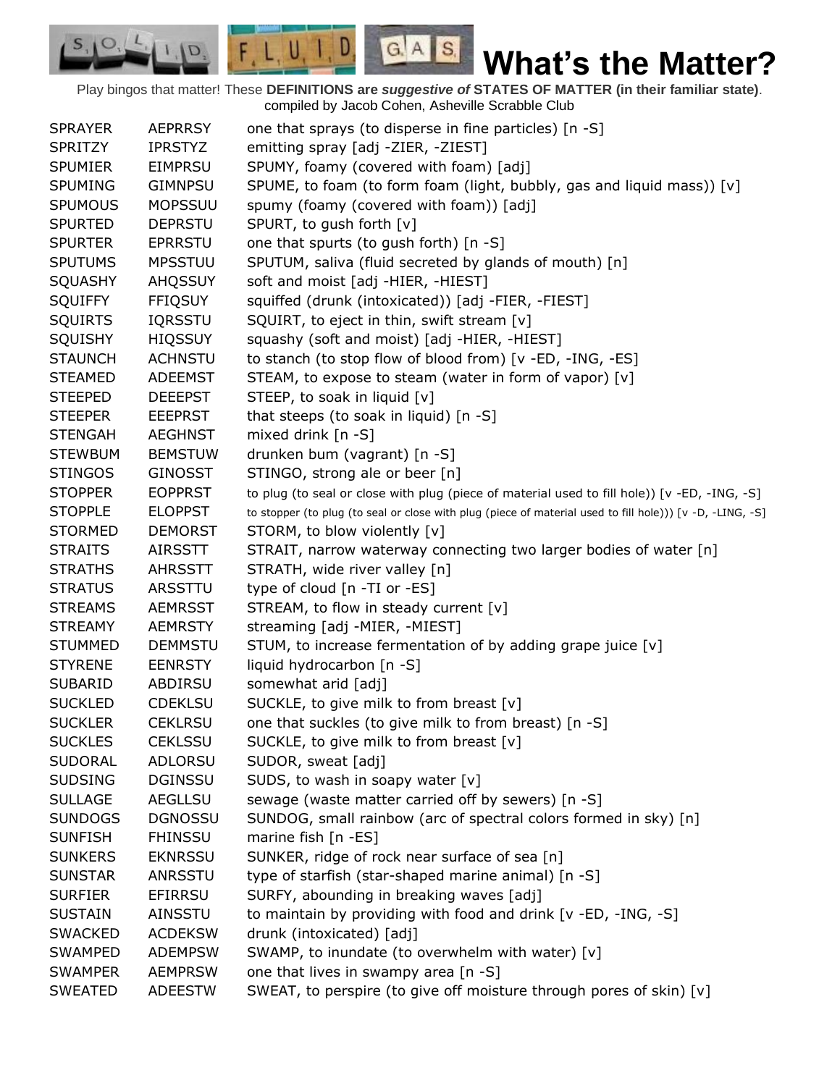Play bingos that matter! These **DEFINITIONS are** *suggestive of* **STATES OF MATTER (in their familiar state)**. compiled by Jacob Cohen, Asheville Scrabble Club

 $G.A.S.$ 

 $F, L, U, I, D$ 

D.

| <b>SPRAYER</b> | <b>AEPRRSY</b> | one that sprays (to disperse in fine particles) [n -S]                                                    |
|----------------|----------------|-----------------------------------------------------------------------------------------------------------|
| <b>SPRITZY</b> | <b>IPRSTYZ</b> | emitting spray [adj -ZIER, -ZIEST]                                                                        |
| <b>SPUMIER</b> | <b>EIMPRSU</b> | SPUMY, foamy (covered with foam) [adj]                                                                    |
| <b>SPUMING</b> | <b>GIMNPSU</b> | SPUME, to foam (to form foam (light, bubbly, gas and liquid mass)) [v]                                    |
| <b>SPUMOUS</b> | <b>MOPSSUU</b> | spumy (foamy (covered with foam)) [adj]                                                                   |
| <b>SPURTED</b> | <b>DEPRSTU</b> | SPURT, to gush forth [v]                                                                                  |
| <b>SPURTER</b> | <b>EPRRSTU</b> | one that spurts (to gush forth) [n -S]                                                                    |
| <b>SPUTUMS</b> | <b>MPSSTUU</b> | SPUTUM, saliva (fluid secreted by glands of mouth) [n]                                                    |
| SQUASHY        | <b>AHQSSUY</b> | soft and moist [adj -HIER, -HIEST]                                                                        |
| <b>SQUIFFY</b> | <b>FFIQSUY</b> | squiffed (drunk (intoxicated)) [adj -FIER, -FIEST]                                                        |
| <b>SQUIRTS</b> | IQRSSTU        | SQUIRT, to eject in thin, swift stream [v]                                                                |
| <b>SQUISHY</b> | <b>HIQSSUY</b> | squashy (soft and moist) [adj -HIER, -HIEST]                                                              |
| <b>STAUNCH</b> | <b>ACHNSTU</b> | to stanch (to stop flow of blood from) [v -ED, -ING, -ES]                                                 |
| <b>STEAMED</b> | <b>ADEEMST</b> | STEAM, to expose to steam (water in form of vapor) [v]                                                    |
| <b>STEEPED</b> | <b>DEEEPST</b> | STEEP, to soak in liquid [v]                                                                              |
| <b>STEEPER</b> | <b>EEEPRST</b> | that steeps (to soak in liquid) [n -S]                                                                    |
| <b>STENGAH</b> | <b>AEGHNST</b> | mixed drink [n -S]                                                                                        |
| <b>STEWBUM</b> | <b>BEMSTUW</b> | drunken bum (vagrant) [n -S]                                                                              |
| <b>STINGOS</b> | <b>GINOSST</b> | STINGO, strong ale or beer [n]                                                                            |
| <b>STOPPER</b> | <b>EOPPRST</b> | to plug (to seal or close with plug (piece of material used to fill hole)) [v -ED, -ING, -S]              |
| <b>STOPPLE</b> | <b>ELOPPST</b> | to stopper (to plug (to seal or close with plug (piece of material used to fill hole))) [v -D, -LING, -S] |
| <b>STORMED</b> | <b>DEMORST</b> | STORM, to blow violently [v]                                                                              |
| <b>STRAITS</b> | <b>AIRSSTT</b> | STRAIT, narrow waterway connecting two larger bodies of water [n]                                         |
| <b>STRATHS</b> | <b>AHRSSTT</b> | STRATH, wide river valley [n]                                                                             |
| <b>STRATUS</b> | ARSSTTU        | type of cloud [n -TI or -ES]                                                                              |
| <b>STREAMS</b> | <b>AEMRSST</b> | STREAM, to flow in steady current [v]                                                                     |
| <b>STREAMY</b> | <b>AEMRSTY</b> | streaming [adj -MIER, -MIEST]                                                                             |
| <b>STUMMED</b> | <b>DEMMSTU</b> | STUM, to increase fermentation of by adding grape juice [v]                                               |
| <b>STYRENE</b> | <b>EENRSTY</b> | liquid hydrocarbon [n -S]                                                                                 |
| <b>SUBARID</b> | ABDIRSU        | somewhat arid [adj]                                                                                       |
| <b>SUCKLED</b> | <b>CDEKLSU</b> | SUCKLE, to give milk to from breast [v]                                                                   |
| <b>SUCKLER</b> | <b>CEKLRSU</b> | one that suckles (to give milk to from breast) [n -S]                                                     |
| <b>SUCKLES</b> | <b>CEKLSSU</b> | SUCKLE, to give milk to from breast $[v]$                                                                 |
| <b>SUDORAL</b> | <b>ADLORSU</b> | SUDOR, sweat [adj]                                                                                        |
| <b>SUDSING</b> | <b>DGINSSU</b> | SUDS, to wash in soapy water [v]                                                                          |
| <b>SULLAGE</b> | AEGLLSU        | sewage (waste matter carried off by sewers) [n -S]                                                        |
| <b>SUNDOGS</b> | <b>DGNOSSU</b> | SUNDOG, small rainbow (arc of spectral colors formed in sky) [n]                                          |
| <b>SUNFISH</b> | <b>FHINSSU</b> | marine fish [n -ES]                                                                                       |
| <b>SUNKERS</b> | <b>EKNRSSU</b> | SUNKER, ridge of rock near surface of sea [n]                                                             |
| <b>SUNSTAR</b> | ANRSSTU        | type of starfish (star-shaped marine animal) [n -S]                                                       |
| <b>SURFIER</b> | EFIRRSU        | SURFY, abounding in breaking waves [adj]                                                                  |
| <b>SUSTAIN</b> | AINSSTU        | to maintain by providing with food and drink [v -ED, -ING, -S]                                            |
| <b>SWACKED</b> | <b>ACDEKSW</b> | drunk (intoxicated) [adj]                                                                                 |
| <b>SWAMPED</b> | <b>ADEMPSW</b> | SWAMP, to inundate (to overwhelm with water) [v]                                                          |
| <b>SWAMPER</b> | <b>AEMPRSW</b> | one that lives in swampy area [n -S]                                                                      |
| <b>SWEATED</b> | <b>ADEESTW</b> | SWEAT, to perspire (to give off moisture through pores of skin) [v]                                       |
|                |                |                                                                                                           |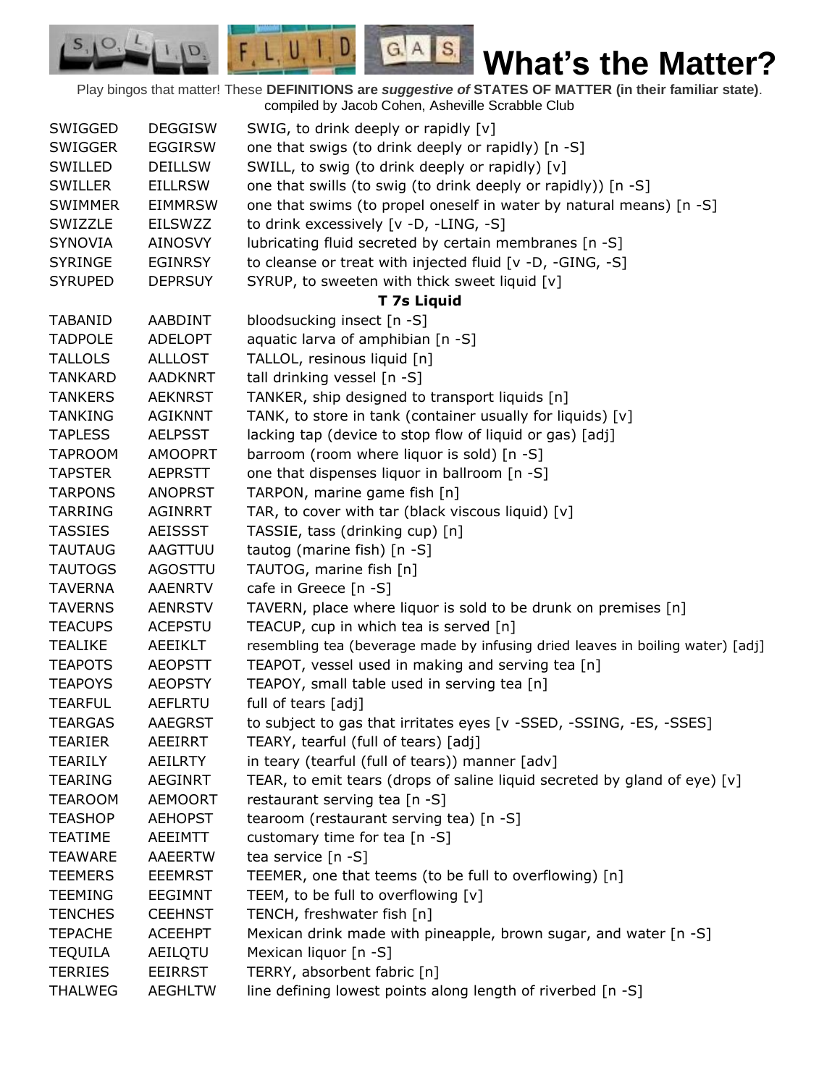Play bingos that matter! These **DEFINITIONS are** *suggestive of* **STATES OF MATTER (in their familiar state)**. compiled by Jacob Cohen, Asheville Scrabble Club

 $G.A.S.$ 

 $\Box$ 

 $F, L, U, I$ 

D.

| SWIGGED        | <b>DEGGISW</b> | SWIG, to drink deeply or rapidly [v]                                           |
|----------------|----------------|--------------------------------------------------------------------------------|
| <b>SWIGGER</b> | <b>EGGIRSW</b> | one that swigs (to drink deeply or rapidly) [n -S]                             |
| SWILLED        | <b>DEILLSW</b> | SWILL, to swig (to drink deeply or rapidly) [v]                                |
| <b>SWILLER</b> | <b>EILLRSW</b> | one that swills (to swig (to drink deeply or rapidly)) [n -S]                  |
| <b>SWIMMER</b> | <b>EIMMRSW</b> | one that swims (to propel oneself in water by natural means) [n -S]            |
| SWIZZLE        | <b>EILSWZZ</b> | to drink excessively [v -D, -LING, -S]                                         |
| <b>SYNOVIA</b> | <b>AINOSVY</b> | lubricating fluid secreted by certain membranes [n -S]                         |
| <b>SYRINGE</b> | <b>EGINRSY</b> | to cleanse or treat with injected fluid [v -D, -GING, -S]                      |
| <b>SYRUPED</b> | <b>DEPRSUY</b> | SYRUP, to sweeten with thick sweet liquid [v]                                  |
|                |                | <b>T 7s Liquid</b>                                                             |
| <b>TABANID</b> | AABDINT        | bloodsucking insect [n -S]                                                     |
| <b>TADPOLE</b> | <b>ADELOPT</b> | aquatic larva of amphibian [n -S]                                              |
| <b>TALLOLS</b> | <b>ALLLOST</b> | TALLOL, resinous liquid [n]                                                    |
| <b>TANKARD</b> | <b>AADKNRT</b> | tall drinking vessel [n -S]                                                    |
| <b>TANKERS</b> | <b>AEKNRST</b> | TANKER, ship designed to transport liquids [n]                                 |
| <b>TANKING</b> | <b>AGIKNNT</b> | TANK, to store in tank (container usually for liquids) [v]                     |
| <b>TAPLESS</b> | <b>AELPSST</b> | lacking tap (device to stop flow of liquid or gas) [adj]                       |
| <b>TAPROOM</b> | <b>AMOOPRT</b> | barroom (room where liquor is sold) [n -S]                                     |
| <b>TAPSTER</b> | <b>AEPRSTT</b> | one that dispenses liquor in ballroom [n -S]                                   |
| <b>TARPONS</b> | <b>ANOPRST</b> | TARPON, marine game fish [n]                                                   |
| <b>TARRING</b> | <b>AGINRRT</b> | TAR, to cover with tar (black viscous liquid) [v]                              |
| <b>TASSIES</b> | <b>AEISSST</b> | TASSIE, tass (drinking cup) [n]                                                |
| <b>TAUTAUG</b> | AAGTTUU        | tautog (marine fish) [n -S]                                                    |
| <b>TAUTOGS</b> | AGOSTTU        | TAUTOG, marine fish [n]                                                        |
| <b>TAVERNA</b> | <b>AAENRTV</b> | cafe in Greece [n -S]                                                          |
| <b>TAVERNS</b> | <b>AENRSTV</b> | TAVERN, place where liquor is sold to be drunk on premises [n]                 |
| <b>TEACUPS</b> | <b>ACEPSTU</b> | TEACUP, cup in which tea is served [n]                                         |
| <b>TEALIKE</b> | AEEIKLT        | resembling tea (beverage made by infusing dried leaves in boiling water) [adj] |
| <b>TEAPOTS</b> | <b>AEOPSTT</b> | TEAPOT, vessel used in making and serving tea [n]                              |
| <b>TEAPOYS</b> | <b>AEOPSTY</b> | TEAPOY, small table used in serving tea [n]                                    |
| <b>TEARFUL</b> | <b>AEFLRTU</b> | full of tears [adj]                                                            |
| <b>TEARGAS</b> | AAEGRST        | to subject to gas that irritates eyes [v -SSED, -SSING, -ES, -SSES]            |
| <b>TEARIER</b> | <b>AEEIRRT</b> | TEARY, tearful (full of tears) [adj]                                           |
| TEARILY        | AEILRTY        | in teary (tearful (full of tears)) manner [adv]                                |
| <b>TEARING</b> | <b>AEGINRT</b> | TEAR, to emit tears (drops of saline liquid secreted by gland of eye) [v]      |
| <b>TEAROOM</b> | <b>AEMOORT</b> | restaurant serving tea [n -S]                                                  |
| <b>TEASHOP</b> | <b>AEHOPST</b> | tearoom (restaurant serving tea) [n -S]                                        |
| <b>TEATIME</b> | <b>AEEIMTT</b> | customary time for tea [n -S]                                                  |
| <b>TEAWARE</b> | <b>AAEERTW</b> | tea service [n -S]                                                             |
| <b>TEEMERS</b> | <b>EEEMRST</b> | TEEMER, one that teems (to be full to overflowing) [n]                         |
| <b>TEEMING</b> | <b>EEGIMNT</b> | TEEM, to be full to overflowing [v]                                            |
| <b>TENCHES</b> | <b>CEEHNST</b> | TENCH, freshwater fish [n]                                                     |
| <b>TEPACHE</b> | <b>ACEEHPT</b> | Mexican drink made with pineapple, brown sugar, and water [n -S]               |
| <b>TEQUILA</b> | AEILQTU        | Mexican liquor [n -S]                                                          |
| <b>TERRIES</b> | <b>EEIRRST</b> | TERRY, absorbent fabric [n]                                                    |
| <b>THALWEG</b> | <b>AEGHLTW</b> | line defining lowest points along length of riverbed [n -S]                    |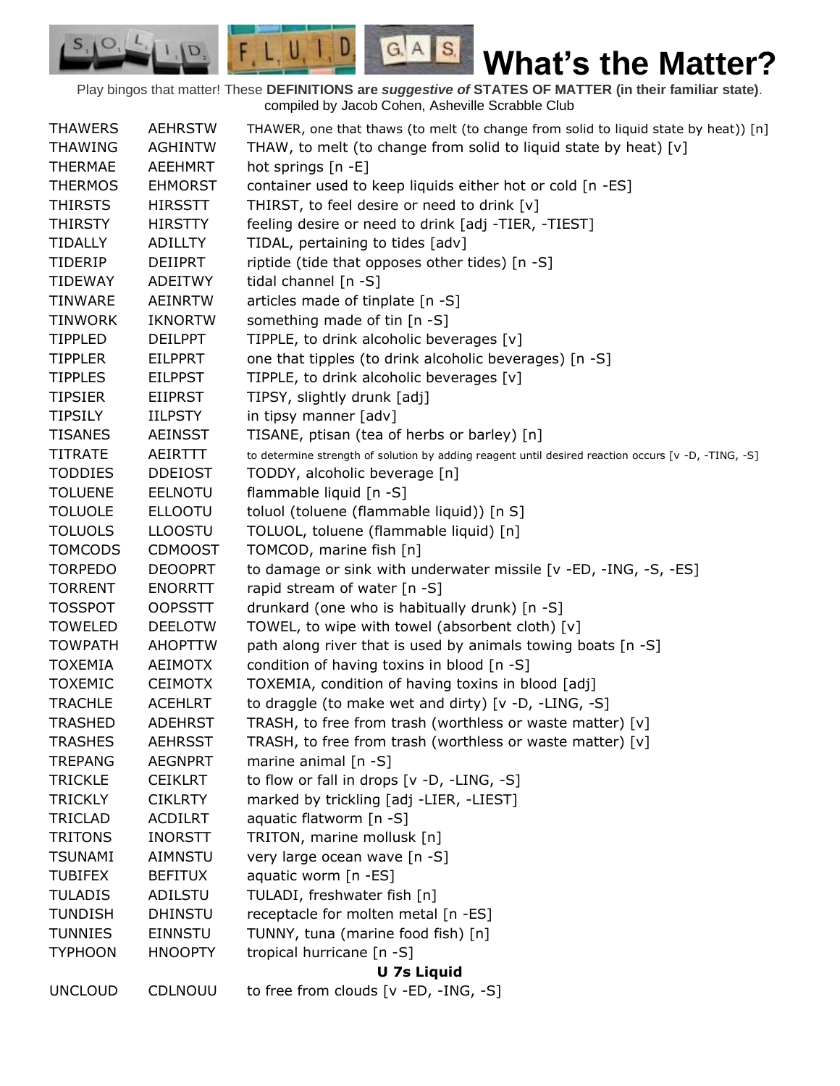Play bingos that matter! These **DEFINITIONS are** *suggestive of* **STATES OF MATTER (in their familiar state)**. compiled by Jacob Cohen, Asheville Scrabble Club

 $G.A.S.$ 

 $F, L, U, I, D$ 

D.

| <b>THAWERS</b>     | <b>AEHRSTW</b> | THAWER, one that thaws (to melt (to change from solid to liquid state by heat)) [n]                 |  |  |
|--------------------|----------------|-----------------------------------------------------------------------------------------------------|--|--|
| <b>THAWING</b>     | <b>AGHINTW</b> | THAW, to melt (to change from solid to liquid state by heat) [v]                                    |  |  |
| <b>THERMAE</b>     | <b>AEEHMRT</b> | hot springs [n -E]                                                                                  |  |  |
| <b>THERMOS</b>     | <b>EHMORST</b> | container used to keep liquids either hot or cold [n -ES]                                           |  |  |
| <b>THIRSTS</b>     | <b>HIRSSTT</b> | THIRST, to feel desire or need to drink [v]                                                         |  |  |
| <b>THIRSTY</b>     | <b>HIRSTTY</b> | feeling desire or need to drink [adj -TIER, -TIEST]                                                 |  |  |
| TIDALLY            | <b>ADILLTY</b> | TIDAL, pertaining to tides [adv]                                                                    |  |  |
| TIDERIP            | DEIIPRT        | riptide (tide that opposes other tides) [n -S]                                                      |  |  |
| <b>TIDEWAY</b>     | <b>ADEITWY</b> | tidal channel $[n -S]$                                                                              |  |  |
| <b>TINWARE</b>     | <b>AEINRTW</b> | articles made of tinplate [n -S]                                                                    |  |  |
| <b>TINWORK</b>     | <b>IKNORTW</b> | something made of tin [n -S]                                                                        |  |  |
| <b>TIPPLED</b>     | <b>DEILPPT</b> | TIPPLE, to drink alcoholic beverages [v]                                                            |  |  |
| <b>TIPPLER</b>     | <b>EILPPRT</b> | one that tipples (to drink alcoholic beverages) [n -S]                                              |  |  |
| <b>TIPPLES</b>     | <b>EILPPST</b> | TIPPLE, to drink alcoholic beverages [v]                                                            |  |  |
| <b>TIPSIER</b>     | <b>EIIPRST</b> | TIPSY, slightly drunk [adj]                                                                         |  |  |
| <b>TIPSILY</b>     | <b>IILPSTY</b> | in tipsy manner [adv]                                                                               |  |  |
| <b>TISANES</b>     | <b>AEINSST</b> | TISANE, ptisan (tea of herbs or barley) [n]                                                         |  |  |
| <b>TITRATE</b>     | AEIRTTT        | to determine strength of solution by adding reagent until desired reaction occurs [v -D, -TING, -S] |  |  |
| <b>TODDIES</b>     | <b>DDEIOST</b> | TODDY, alcoholic beverage [n]                                                                       |  |  |
| <b>TOLUENE</b>     | <b>EELNOTU</b> | flammable liquid [n -S]                                                                             |  |  |
| <b>TOLUOLE</b>     | <b>ELLOOTU</b> | toluol (toluene (flammable liquid)) [n S]                                                           |  |  |
| <b>TOLUOLS</b>     | <b>LLOOSTU</b> | TOLUOL, toluene (flammable liquid) [n]                                                              |  |  |
| <b>TOMCODS</b>     | <b>CDMOOST</b> | TOMCOD, marine fish [n]                                                                             |  |  |
| <b>TORPEDO</b>     | <b>DEOOPRT</b> | to damage or sink with underwater missile [v -ED, -ING, -S, -ES]                                    |  |  |
| <b>TORRENT</b>     | <b>ENORRTT</b> | rapid stream of water [n -S]                                                                        |  |  |
| <b>TOSSPOT</b>     | <b>OOPSSTT</b> | drunkard (one who is habitually drunk) [n -S]                                                       |  |  |
| <b>TOWELED</b>     | <b>DEELOTW</b> | TOWEL, to wipe with towel (absorbent cloth) [v]                                                     |  |  |
| <b>TOWPATH</b>     | <b>AHOPTTW</b> | path along river that is used by animals towing boats [n -S]                                        |  |  |
| <b>TOXEMIA</b>     | AEIMOTX        | condition of having toxins in blood [n -S]                                                          |  |  |
| <b>TOXEMIC</b>     | <b>CEIMOTX</b> | TOXEMIA, condition of having toxins in blood [adj]                                                  |  |  |
| <b>TRACHLE</b>     | <b>ACEHLRT</b> | to draggle (to make wet and dirty) [v -D, -LING, -S]                                                |  |  |
| <b>TRASHED</b>     | <b>ADEHRST</b> | TRASH, to free from trash (worthless or waste matter) [v]                                           |  |  |
| <b>TRASHES</b>     | <b>AEHRSST</b> | TRASH, to free from trash (worthless or waste matter) [v]                                           |  |  |
| <b>TREPANG</b>     | <b>AEGNPRT</b> | marine animal $[n - S]$                                                                             |  |  |
| <b>TRICKLE</b>     | <b>CEIKLRT</b> | to flow or fall in drops [v -D, -LING, -S]                                                          |  |  |
| <b>TRICKLY</b>     | <b>CIKLRTY</b> | marked by trickling [adj -LIER, -LIEST]                                                             |  |  |
| <b>TRICLAD</b>     | <b>ACDILRT</b> | aquatic flatworm [n -S]                                                                             |  |  |
| <b>TRITONS</b>     | <b>INORSTT</b> | TRITON, marine mollusk [n]                                                                          |  |  |
| <b>TSUNAMI</b>     | AIMNSTU        | very large ocean wave [n -S]                                                                        |  |  |
| <b>TUBIFEX</b>     | <b>BEFITUX</b> | aquatic worm [n -ES]                                                                                |  |  |
| <b>TULADIS</b>     | ADILSTU        | TULADI, freshwater fish [n]                                                                         |  |  |
| <b>TUNDISH</b>     | <b>DHINSTU</b> | receptacle for molten metal [n -ES]                                                                 |  |  |
| <b>TUNNIES</b>     | <b>EINNSTU</b> | TUNNY, tuna (marine food fish) [n]                                                                  |  |  |
| <b>TYPHOON</b>     | <b>HNOOPTY</b> | tropical hurricane [n -S]                                                                           |  |  |
| <b>U 7s Liquid</b> |                |                                                                                                     |  |  |
| <b>UNCLOUD</b>     | CDLNOUU        | to free from clouds [v -ED, -ING, -S]                                                               |  |  |
|                    |                |                                                                                                     |  |  |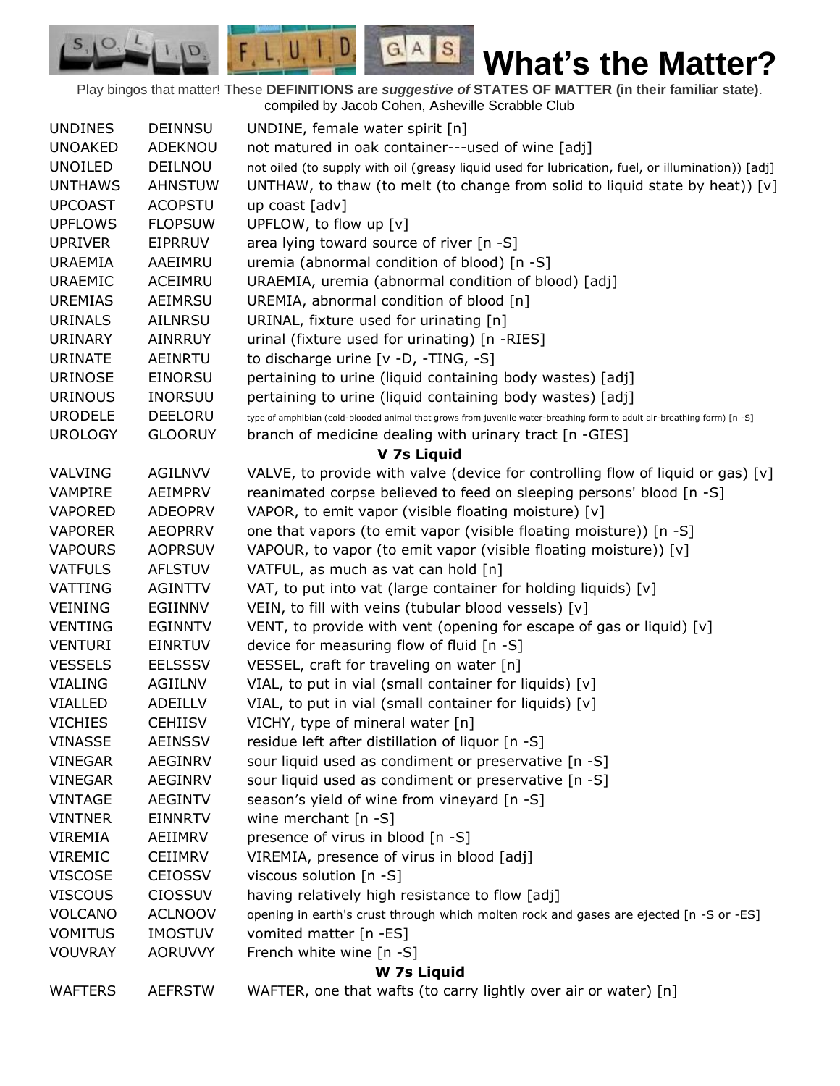Play bingos that matter! These **DEFINITIONS are** *suggestive of* **STATES OF MATTER (in their familiar state)**. compiled by Jacob Cohen, Asheville Scrabble Club

 $G.A.S.$ 

 $F, L, U, I, D$ 

D.

| <b>UNDINES</b> | <b>DEINNSU</b> | UNDINE, female water spirit [n]                                                                                          |
|----------------|----------------|--------------------------------------------------------------------------------------------------------------------------|
| <b>UNOAKED</b> | ADEKNOU        | not matured in oak container---used of wine [adj]                                                                        |
| <b>UNOILED</b> | DEILNOU        | not oiled (to supply with oil (greasy liquid used for lubrication, fuel, or illumination)) [adj]                         |
| <b>UNTHAWS</b> | <b>AHNSTUW</b> | UNTHAW, to thaw (to melt (to change from solid to liquid state by heat)) [v]                                             |
| <b>UPCOAST</b> | <b>ACOPSTU</b> | up coast [adv]                                                                                                           |
| <b>UPFLOWS</b> | <b>FLOPSUW</b> | UPFLOW, to flow up [v]                                                                                                   |
| <b>UPRIVER</b> | EIPRRUV        | area lying toward source of river [n -S]                                                                                 |
| <b>URAEMIA</b> | AAEIMRU        | uremia (abnormal condition of blood) [n -S]                                                                              |
| <b>URAEMIC</b> | ACEIMRU        | URAEMIA, uremia (abnormal condition of blood) [adj]                                                                      |
| <b>UREMIAS</b> | AEIMRSU        | UREMIA, abnormal condition of blood [n]                                                                                  |
| <b>URINALS</b> | AILNRSU        | URINAL, fixture used for urinating [n]                                                                                   |
| <b>URINARY</b> | <b>AINRRUY</b> | urinal (fixture used for urinating) [n -RIES]                                                                            |
| <b>URINATE</b> | AEINRTU        | to discharge urine [v -D, -TING, -S]                                                                                     |
| <b>URINOSE</b> | <b>EINORSU</b> | pertaining to urine (liquid containing body wastes) [adj]                                                                |
| <b>URINOUS</b> | <b>INORSUU</b> | pertaining to urine (liquid containing body wastes) [adj]                                                                |
| <b>URODELE</b> | DEELORU        | type of amphibian (cold-blooded animal that grows from juvenile water-breathing form to adult air-breathing form) [n -S] |
| <b>UROLOGY</b> | <b>GLOORUY</b> | branch of medicine dealing with urinary tract [n -GIES]                                                                  |
|                |                | V 7s Liquid                                                                                                              |
| VALVING        | <b>AGILNVV</b> | VALVE, to provide with valve (device for controlling flow of liquid or gas) $[v]$                                        |
| <b>VAMPIRE</b> | AEIMPRV        | reanimated corpse believed to feed on sleeping persons' blood [n -S]                                                     |
| <b>VAPORED</b> | <b>ADEOPRV</b> | VAPOR, to emit vapor (visible floating moisture) [v]                                                                     |
| <b>VAPORER</b> | <b>AEOPRRV</b> | one that vapors (to emit vapor (visible floating moisture)) [n -S]                                                       |
| <b>VAPOURS</b> | <b>AOPRSUV</b> | VAPOUR, to vapor (to emit vapor (visible floating moisture)) [v]                                                         |
| <b>VATFULS</b> | <b>AFLSTUV</b> | VATFUL, as much as vat can hold [n]                                                                                      |
| VATTING        | <b>AGINTTV</b> | VAT, to put into vat (large container for holding liquids) [v]                                                           |
| <b>VEINING</b> | EGIINNV        | VEIN, to fill with veins (tubular blood vessels) [v]                                                                     |
| <b>VENTING</b> | <b>EGINNTV</b> | VENT, to provide with vent (opening for escape of gas or liquid) [v]                                                     |
| <b>VENTURI</b> | EINRTUV        | device for measuring flow of fluid [n -S]                                                                                |
| <b>VESSELS</b> | <b>EELSSSV</b> | VESSEL, craft for traveling on water [n]                                                                                 |
| <b>VIALING</b> | AGIILNV        | VIAL, to put in vial (small container for liquids) [v]                                                                   |
| <b>VIALLED</b> | ADEILLV        | VIAL, to put in vial (small container for liquids) [v]                                                                   |
| <b>VICHIES</b> | <b>CEHIISV</b> | VICHY, type of mineral water [n]                                                                                         |
| <b>VINASSE</b> | <b>AEINSSV</b> | residue left after distillation of liquor [n -S]                                                                         |
| <b>VINEGAR</b> | <b>AEGINRV</b> | sour liquid used as condiment or preservative [n -S]                                                                     |
| <b>VINEGAR</b> | <b>AEGINRV</b> | sour liquid used as condiment or preservative [n -S]                                                                     |
| <b>VINTAGE</b> | <b>AEGINTV</b> | season's yield of wine from vineyard [n -S]                                                                              |
| <b>VINTNER</b> | <b>EINNRTV</b> | wine merchant $[n -S]$                                                                                                   |
| VIREMIA        | AEIIMRV        | presence of virus in blood [n -S]                                                                                        |
| <b>VIREMIC</b> | <b>CEIIMRV</b> | VIREMIA, presence of virus in blood [adj]                                                                                |
| <b>VISCOSE</b> | <b>CEIOSSV</b> | viscous solution [n -S]                                                                                                  |
| <b>VISCOUS</b> | <b>CIOSSUV</b> | having relatively high resistance to flow [adj]                                                                          |
| <b>VOLCANO</b> | <b>ACLNOOV</b> | opening in earth's crust through which molten rock and gases are ejected [n -S or -ES]                                   |
| <b>VOMITUS</b> | <b>IMOSTUV</b> | vomited matter [n -ES]                                                                                                   |
| <b>VOUVRAY</b> | AORUVVY        | French white wine [n -S]                                                                                                 |
|                |                | W 7s Liquid                                                                                                              |
| <b>WAFTERS</b> | <b>AEFRSTW</b> | WAFTER, one that wafts (to carry lightly over air or water) [n]                                                          |
|                |                |                                                                                                                          |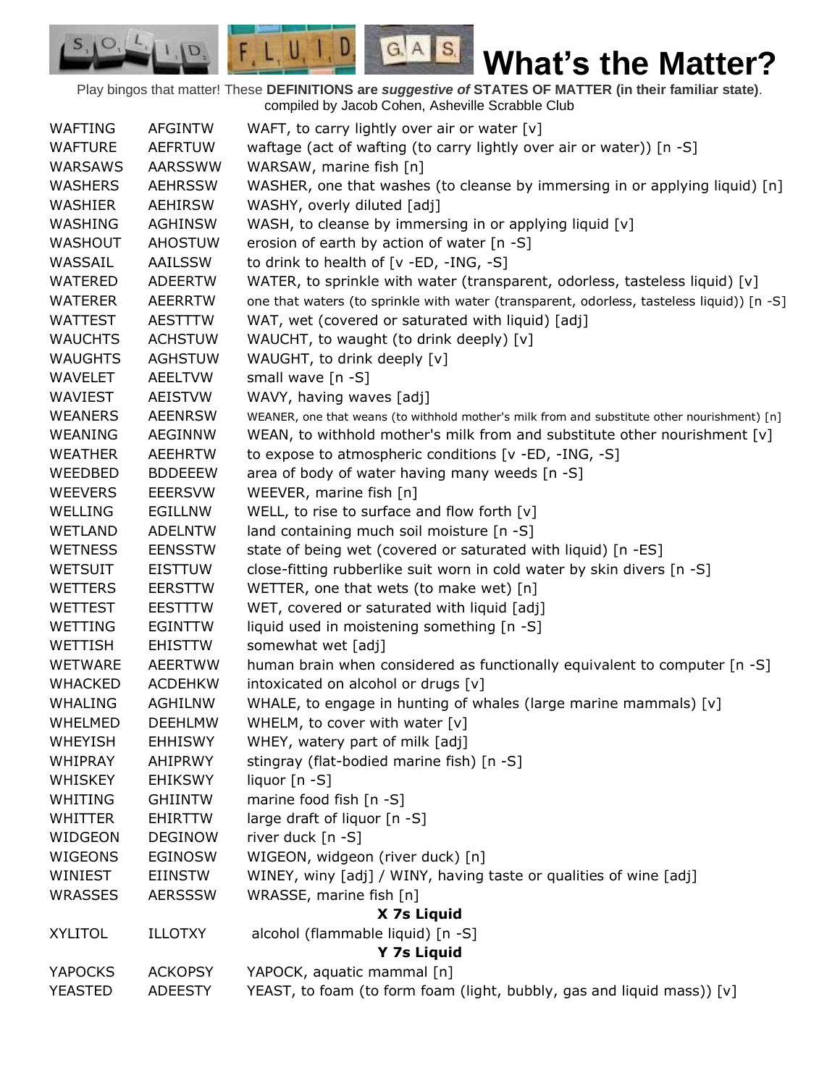Play bingos that matter! These **DEFINITIONS are** *suggestive of* **STATES OF MATTER (in their familiar state)**. compiled by Jacob Cohen, Asheville Scrabble Club

 $G.A.S.$ 

 $F, L, U, I, D$ 

D.

| <b>WAFTING</b> | <b>AFGINTW</b> | WAFT, to carry lightly over air or water [v]                                                 |
|----------------|----------------|----------------------------------------------------------------------------------------------|
| <b>WAFTURE</b> | <b>AEFRTUW</b> | waftage (act of wafting (to carry lightly over air or water)) [n -S]                         |
| WARSAWS        | <b>AARSSWW</b> | WARSAW, marine fish [n]                                                                      |
| <b>WASHERS</b> | <b>AEHRSSW</b> | WASHER, one that washes (to cleanse by immersing in or applying liquid) [n]                  |
| <b>WASHIER</b> | <b>AEHIRSW</b> | WASHY, overly diluted [adj]                                                                  |
| WASHING        | <b>AGHINSW</b> | WASH, to cleanse by immersing in or applying liquid [v]                                      |
| <b>WASHOUT</b> | <b>AHOSTUW</b> | erosion of earth by action of water [n -S]                                                   |
| WASSAIL        | AAILSSW        | to drink to health of [v -ED, -ING, -S]                                                      |
| <b>WATERED</b> | <b>ADEERTW</b> | WATER, to sprinkle with water (transparent, odorless, tasteless liquid) $[v]$                |
| <b>WATERER</b> | <b>AEERRTW</b> | one that waters (to sprinkle with water (transparent, odorless, tasteless liquid)) [n -S]    |
| <b>WATTEST</b> | <b>AESTTTW</b> | WAT, wet (covered or saturated with liquid) [adj]                                            |
| <b>WAUCHTS</b> | <b>ACHSTUW</b> | WAUCHT, to waught (to drink deeply) [v]                                                      |
| <b>WAUGHTS</b> | <b>AGHSTUW</b> | WAUGHT, to drink deeply [v]                                                                  |
| <b>WAVELET</b> | <b>AEELTVW</b> | small wave [n -S]                                                                            |
| WAVIEST        | <b>AEISTVW</b> | WAVY, having waves [adj]                                                                     |
| <b>WEANERS</b> | <b>AEENRSW</b> | WEANER, one that weans (to withhold mother's milk from and substitute other nourishment) [n] |
| WEANING        | <b>AEGINNW</b> | WEAN, to withhold mother's milk from and substitute other nourishment $[v]$                  |
| <b>WEATHER</b> | <b>AEEHRTW</b> | to expose to atmospheric conditions [v -ED, -ING, -S]                                        |
| WEEDBED        | <b>BDDEEEW</b> | area of body of water having many weeds [n -S]                                               |
| <b>WEEVERS</b> | <b>EEERSVW</b> | WEEVER, marine fish [n]                                                                      |
| WELLING        | <b>EGILLNW</b> | WELL, to rise to surface and flow forth $[v]$                                                |
| <b>WETLAND</b> | <b>ADELNTW</b> | land containing much soil moisture [n -S]                                                    |
| <b>WETNESS</b> | <b>EENSSTW</b> | state of being wet (covered or saturated with liquid) [n -ES]                                |
| <b>WETSUIT</b> | <b>EISTTUW</b> | close-fitting rubberlike suit worn in cold water by skin divers [n -S]                       |
| <b>WETTERS</b> | <b>EERSTTW</b> | WETTER, one that wets (to make wet) [n]                                                      |
| <b>WETTEST</b> | <b>EESTTTW</b> | WET, covered or saturated with liquid [adj]                                                  |
| WETTING        | <b>EGINTTW</b> | liquid used in moistening something [n -S]                                                   |
| <b>WETTISH</b> | EHISTTW        | somewhat wet [adj]                                                                           |
| <b>WETWARE</b> | <b>AEERTWW</b> | human brain when considered as functionally equivalent to computer [n -S]                    |
| <b>WHACKED</b> | <b>ACDEHKW</b> | intoxicated on alcohol or drugs [v]                                                          |
| <b>WHALING</b> | <b>AGHILNW</b> | WHALE, to engage in hunting of whales (large marine mammals) [v]                             |
| <b>WHELMED</b> | <b>DEEHLMW</b> | WHELM, to cover with water [v]                                                               |
| <b>WHEYISH</b> | <b>EHHISWY</b> | WHEY, watery part of milk [adj]                                                              |
| <b>WHIPRAY</b> | <b>AHIPRWY</b> | stingray (flat-bodied marine fish) [n -S]                                                    |
| <b>WHISKEY</b> | <b>EHIKSWY</b> | liquor [n -S]                                                                                |
| WHITING        | <b>GHIINTW</b> | marine food fish [n -S]                                                                      |
| <b>WHITTER</b> | <b>EHIRTTW</b> | large draft of liquor [n -S]                                                                 |
| WIDGEON        | <b>DEGINOW</b> | river duck [n -S]                                                                            |
| WIGEONS        | <b>EGINOSW</b> | WIGEON, widgeon (river duck) [n]                                                             |
| WINIEST        | EIINSTW        | WINEY, winy [adj] / WINY, having taste or qualities of wine [adj]                            |
|                |                | WRASSE, marine fish [n]                                                                      |
| <b>WRASSES</b> | <b>AERSSSW</b> |                                                                                              |
|                |                | X 7s Liquid                                                                                  |
| <b>XYLITOL</b> | <b>ILLOTXY</b> | alcohol (flammable liquid) [n -S]                                                            |
|                |                | Y 7s Liquid                                                                                  |
| <b>YAPOCKS</b> | <b>ACKOPSY</b> | YAPOCK, aquatic mammal [n]                                                                   |
| YEASTED        | <b>ADEESTY</b> | YEAST, to foam (to form foam (light, bubbly, gas and liquid mass)) [v]                       |